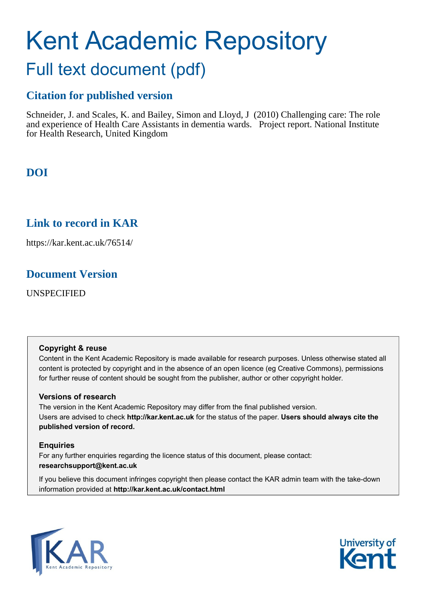# Kent Academic Repository Full text document (pdf)

### **Citation for published version**

Schneider, J. and Scales, K. and Bailey, Simon and Lloyd, J (2010) Challenging care: The role and experience of Health Care Assistants in dementia wards. Project report. National Institute for Health Research, United Kingdom

**DOI**

### **Link to record in KAR**

https://kar.kent.ac.uk/76514/

### **Document Version**

UNSPECIFIED

#### **Copyright & reuse**

Content in the Kent Academic Repository is made available for research purposes. Unless otherwise stated all content is protected by copyright and in the absence of an open licence (eg Creative Commons), permissions for further reuse of content should be sought from the publisher, author or other copyright holder.

#### **Versions of research**

The version in the Kent Academic Repository may differ from the final published version. Users are advised to check **http://kar.kent.ac.uk** for the status of the paper. **Users should always cite the published version of record.**

#### **Enquiries**

For any further enquiries regarding the licence status of this document, please contact: **researchsupport@kent.ac.uk**

If you believe this document infringes copyright then please contact the KAR admin team with the take-down information provided at **http://kar.kent.ac.uk/contact.html**



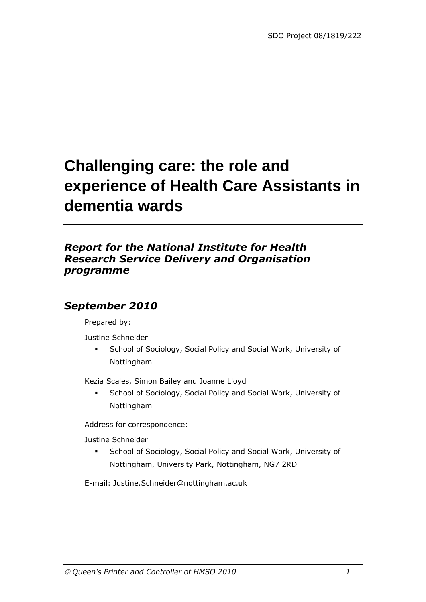## **Challenging care: the role and experience of Health Care Assistants in dementia wards**

### *Report for the National Institute for Health Research Service Delivery and Organisation programme*

### *September 2010*

Prepared by:

Justine Schneider

 School of Sociology, Social Policy and Social Work, University of Nottingham

Kezia Scales, Simon Bailey and Joanne Lloyd

 School of Sociology, Social Policy and Social Work, University of Nottingham

Address for correspondence:

Justine Schneider

**School of Sociology, Social Policy and Social Work, University of** Nottingham, University Park, Nottingham, NG7 2RD

E-mail: Justine.Schneider@nottingham.ac.uk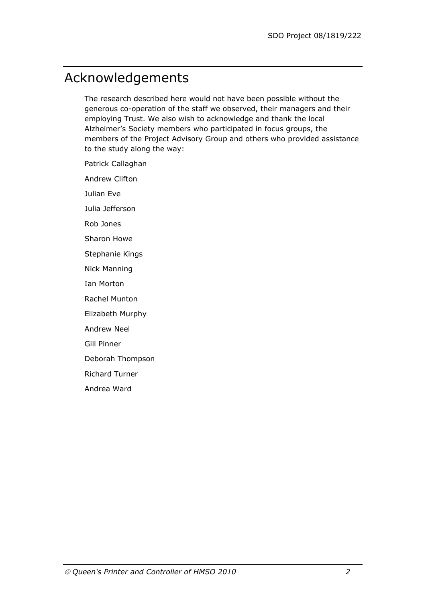## Acknowledgements

The research described here would not have been possible without the generous co-operation of the staff we observed, their managers and their employing Trust. We also wish to acknowledge and thank the local Alzheimer's Society members who participated in focus groups, the members of the Project Advisory Group and others who provided assistance to the study along the way:

Patrick Callaghan

Andrew Clifton

Julian Eve

Julia Jefferson

Rob Jones

Sharon Howe

Stephanie Kings

Nick Manning

Ian Morton

Rachel Munton

Elizabeth Murphy

Andrew Neel

Gill Pinner

Deborah Thompson

Richard Turner

Andrea Ward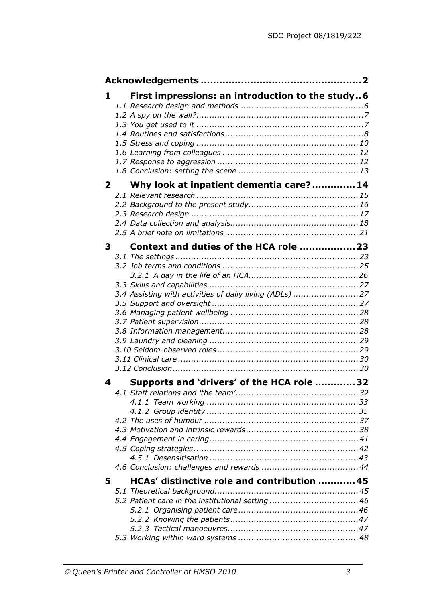| $\mathbf{1}$   | First impressions: an introduction to the study6        |  |
|----------------|---------------------------------------------------------|--|
|                |                                                         |  |
|                |                                                         |  |
| 2 <sup>7</sup> |                                                         |  |
|                | Why look at inpatient dementia care? 14                 |  |
| 3              | Context and duties of the HCA role  23                  |  |
|                | 3.4 Assisting with activities of daily living (ADLs) 27 |  |
|                |                                                         |  |
| 4              | Supports and 'drivers' of the HCA role 32               |  |
| 5              | HCAs' distinctive role and contribution  45             |  |
|                | 5.2 Patient care in the institutional setting  46       |  |
|                |                                                         |  |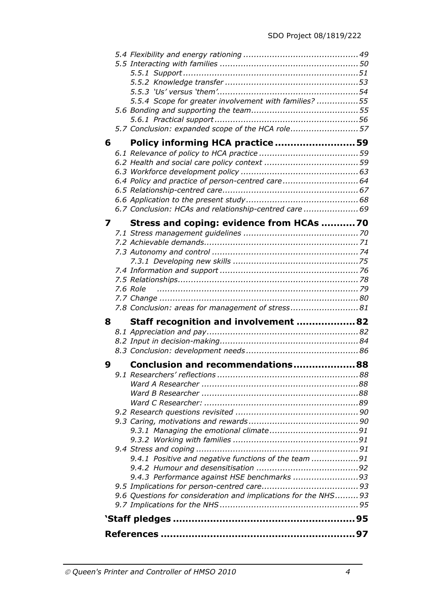|   | 5.5.4 Scope for greater involvement with families? 55           |
|---|-----------------------------------------------------------------|
|   |                                                                 |
|   | 5.7 Conclusion: expanded scope of the HCA role57                |
|   |                                                                 |
| 6 | Policy informing HCA practice 59                                |
|   |                                                                 |
|   |                                                                 |
|   |                                                                 |
|   | 6.4 Policy and practice of person-centred care 64               |
|   |                                                                 |
|   |                                                                 |
|   | 6.7 Conclusion: HCAs and relationship-centred care  69          |
| 7 | Stress and coping: evidence from HCAs 70                        |
|   |                                                                 |
|   |                                                                 |
|   |                                                                 |
|   |                                                                 |
|   |                                                                 |
|   |                                                                 |
|   |                                                                 |
|   | 7.8 Conclusion: areas for management of stress 81               |
|   |                                                                 |
| 8 | Staff recognition and involvement 82                            |
|   |                                                                 |
|   |                                                                 |
|   |                                                                 |
| 9 | Conclusion and recommendations 88                               |
|   |                                                                 |
|   |                                                                 |
|   |                                                                 |
|   |                                                                 |
|   |                                                                 |
|   |                                                                 |
|   |                                                                 |
|   |                                                                 |
|   |                                                                 |
|   |                                                                 |
|   | 9.4.1 Positive and negative functions of the team 91            |
|   |                                                                 |
|   | 9.4.3 Performance against HSE benchmarks 93                     |
|   |                                                                 |
|   | 9.6 Questions for consideration and implications for the NHS 93 |
|   |                                                                 |
|   |                                                                 |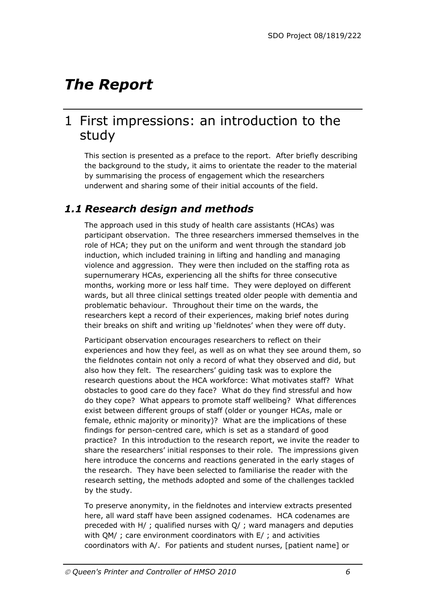## *The Report*

### 1 First impressions: an introduction to the study

This section is presented as a preface to the report. After briefly describing the background to the study, it aims to orientate the reader to the material by summarising the process of engagement which the researchers underwent and sharing some of their initial accounts of the field.

### *1.1 Research design and methods*

The approach used in this study of health care assistants (HCAs) was participant observation. The three researchers immersed themselves in the role of HCA; they put on the uniform and went through the standard job induction, which included training in lifting and handling and managing violence and aggression. They were then included on the staffing rota as supernumerary HCAs, experiencing all the shifts for three consecutive months, working more or less half time. They were deployed on different wards, but all three clinical settings treated older people with dementia and problematic behaviour. Throughout their time on the wards, the researchers kept a record of their experiences, making brief notes during their breaks on shift and writing up 'fieldnotes' when they were off duty.

Participant observation encourages researchers to reflect on their experiences and how they feel, as well as on what they see around them, so the fieldnotes contain not only a record of what they observed and did, but also how they felt. The researchers' guiding task was to explore the research questions about the HCA workforce: What motivates staff? What obstacles to good care do they face? What do they find stressful and how do they cope? What appears to promote staff wellbeing? What differences exist between different groups of staff (older or younger HCAs, male or female, ethnic majority or minority)? What are the implications of these findings for person-centred care, which is set as a standard of good practice? In this introduction to the research report, we invite the reader to share the researchers' initial responses to their role. The impressions given here introduce the concerns and reactions generated in the early stages of the research. They have been selected to familiarise the reader with the research setting, the methods adopted and some of the challenges tackled by the study.

To preserve anonymity, in the fieldnotes and interview extracts presented here, all ward staff have been assigned codenames. HCA codenames are preceded with H/ ; qualified nurses with Q/ ; ward managers and deputies with QM/ ; care environment coordinators with E/ ; and activities coordinators with A/. For patients and student nurses, [patient name] or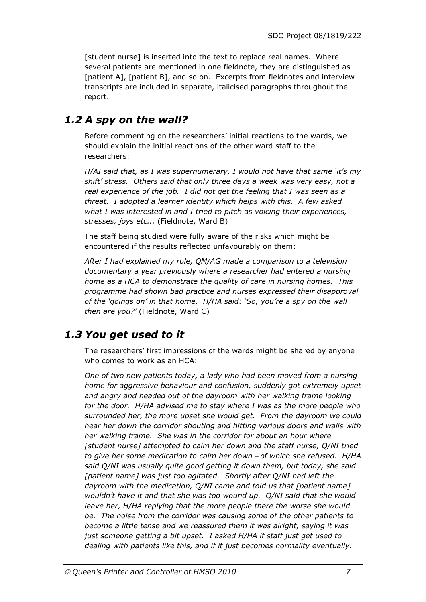[student nurse] is inserted into the text to replace real names. Where several patients are mentioned in one fieldnote, they are distinguished as [patient A], [patient B], and so on. Excerpts from fieldnotes and interview transcripts are included in separate, italicised paragraphs throughout the report.

### *1.2 A spy on the wall?*

Before commenting on the researchers' initial reactions to the wards, we should explain the initial reactions of the other ward staff to the researchers:

*H/AI said that, as I was supernumerary, I would not have that same 'it's my shift' stress. Others said that only three days a week was very easy, not a real experience of the job. I did not get the feeling that I was seen as a threat. I adopted a learner identity which helps with this. A few asked what I was interested in and I tried to pitch as voicing their experiences, stresses, joys etc...* (Fieldnote, Ward B)

The staff being studied were fully aware of the risks which might be encountered if the results reflected unfavourably on them:

*After I had explained my role, QM/AG made a comparison to a television documentary a year previously where a researcher had entered a nursing home as a HCA to demonstrate the quality of care in nursing homes. This programme had shown bad practice and nurses expressed their disapproval of the 'goings on' in that home. H/HA said: 'So, you're a spy on the wall then are you?'* (Fieldnote, Ward C)

### *1.3 You get used to it*

The researchers' first impressions of the wards might be shared by anyone who comes to work as an HCA:

*One of two new patients today, a lady who had been moved from a nursing home for aggressive behaviour and confusion, suddenly got extremely upset and angry and headed out of the dayroom with her walking frame looking for the door. H/HA advised me to stay where I was as the more people who surrounded her, the more upset she would get. From the dayroom we could hear her down the corridor shouting and hitting various doors and walls with her walking frame. She was in the corridor for about an hour where [student nurse] attempted to calm her down and the staff nurse, Q/NI tried to give her some medication to calm her down – of which she refused. H/HA said Q/NI was usually quite good getting it down them, but today, she said [patient name] was just too agitated. Shortly after Q/NI had left the dayroom with the medication, Q/NI came and told us that [patient name] wouldn't have it and that she was too wound up. Q/NI said that she would leave her, H/HA replying that the more people there the worse she would be. The noise from the corridor was causing some of the other patients to become a little tense and we reassured them it was alright, saying it was just someone getting a bit upset. I asked H/HA if staff just get used to dealing with patients like this, and if it just becomes normality eventually.*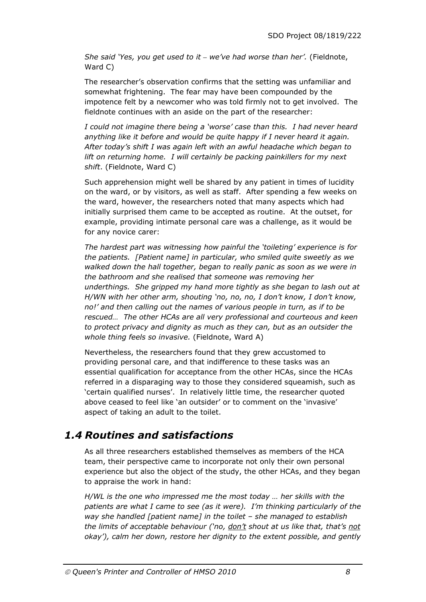*She said 'Yes, you get used to it – we've had worse than her'.* (Fieldnote, Ward C)

The researcher's observation confirms that the setting was unfamiliar and somewhat frightening. The fear may have been compounded by the impotence felt by a newcomer who was told firmly not to get involved. The fieldnote continues with an aside on the part of the researcher:

*I could not imagine there being a 'worse' case than this. I had never heard anything like it before and would be quite happy if I never heard it again. After today's shift I was again left with an awful headache which began to lift on returning home. I will certainly be packing painkillers for my next shift*. (Fieldnote, Ward C)

Such apprehension might well be shared by any patient in times of lucidity on the ward, or by visitors, as well as staff. After spending a few weeks on the ward, however, the researchers noted that many aspects which had initially surprised them came to be accepted as routine. At the outset, for example, providing intimate personal care was a challenge, as it would be for any novice carer:

*The hardest part was witnessing how painful the 'toileting' experience is for the patients. [Patient name] in particular, who smiled quite sweetly as we walked down the hall together, began to really panic as soon as we were in the bathroom and she realised that someone was removing her underthings. She gripped my hand more tightly as she began to lash out at H/WN with her other arm, shouting 'no, no, no, I don't know, I don't know, no!' and then calling out the names of various people in turn, as if to be rescued… The other HCAs are all very professional and courteous and keen to protect privacy and dignity as much as they can, but as an outsider the whole thing feels so invasive.* (Fieldnote, Ward A)

Nevertheless, the researchers found that they grew accustomed to providing personal care, and that indifference to these tasks was an essential qualification for acceptance from the other HCAs, since the HCAs referred in a disparaging way to those they considered squeamish, such as 'certain qualified nurses'. In relatively little time, the researcher quoted above ceased to feel like 'an outsider' or to comment on the 'invasive' aspect of taking an adult to the toilet.

### *1.4 Routines and satisfactions*

As all three researchers established themselves as members of the HCA team, their perspective came to incorporate not only their own personal experience but also the object of the study, the other HCAs, and they began to appraise the work in hand:

*H/WL is the one who impressed me the most today … her skills with the patients are what I came to see (as it were). I'm thinking particularly of the way she handled [patient name] in the toilet – she managed to establish the limits of acceptable behaviour ('no, don't shout at us like that, that's not okay'), calm her down, restore her dignity to the extent possible, and gently*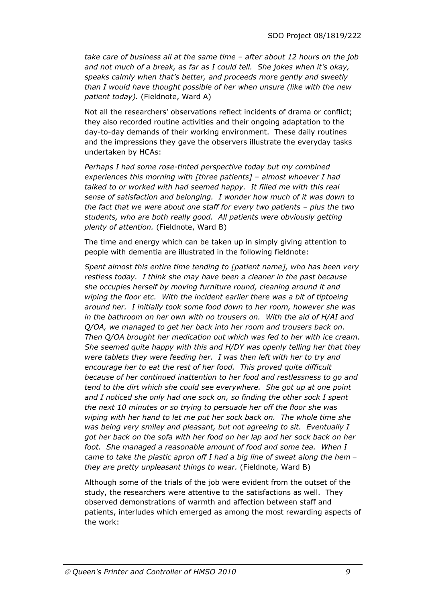*take care of business all at the same time – after about 12 hours on the job and not much of a break, as far as I could tell. She jokes when it's okay, speaks calmly when that's better, and proceeds more gently and sweetly than I would have thought possible of her when unsure (like with the new patient today).* (Fieldnote, Ward A)

Not all the researchers' observations reflect incidents of drama or conflict; they also recorded routine activities and their ongoing adaptation to the day-to-day demands of their working environment. These daily routines and the impressions they gave the observers illustrate the everyday tasks undertaken by HCAs:

*Perhaps I had some rose-tinted perspective today but my combined experiences this morning with [three patients] – almost whoever I had talked to or worked with had seemed happy. It filled me with this real sense of satisfaction and belonging. I wonder how much of it was down to the fact that we were about one staff for every two patients – plus the two students, who are both really good. All patients were obviously getting plenty of attention.* (Fieldnote, Ward B)

The time and energy which can be taken up in simply giving attention to people with dementia are illustrated in the following fieldnote:

*Spent almost this entire time tending to [patient name], who has been very restless today. I think she may have been a cleaner in the past because she occupies herself by moving furniture round, cleaning around it and wiping the floor etc. With the incident earlier there was a bit of tiptoeing around her. I initially took some food down to her room, however she was in the bathroom on her own with no trousers on. With the aid of H/AI and Q/OA, we managed to get her back into her room and trousers back on. Then Q/OA brought her medication out which was fed to her with ice cream. She seemed quite happy with this and H/DY was openly telling her that they were tablets they were feeding her. I was then left with her to try and encourage her to eat the rest of her food. This proved quite difficult because of her continued inattention to her food and restlessness to go and tend to the dirt which she could see everywhere. She got up at one point and I noticed she only had one sock on, so finding the other sock I spent the next 10 minutes or so trying to persuade her off the floor she was wiping with her hand to let me put her sock back on. The whole time she was being very smiley and pleasant, but not agreeing to sit. Eventually I got her back on the sofa with her food on her lap and her sock back on her foot. She managed a reasonable amount of food and some tea. When I came to take the plastic apron off I had a big line of sweat along the hem – they are pretty unpleasant things to wear.* (Fieldnote, Ward B)

Although some of the trials of the job were evident from the outset of the study, the researchers were attentive to the satisfactions as well. They observed demonstrations of warmth and affection between staff and patients, interludes which emerged as among the most rewarding aspects of the work: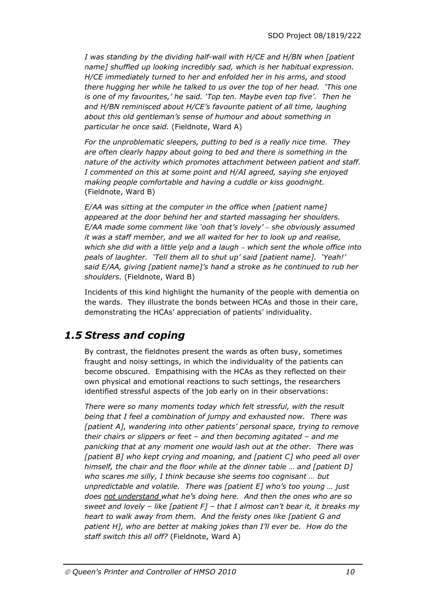*I was standing by the dividing half-wall with H/CE and H/BN when [patient name] shuffled up looking incredibly sad, which is her habitual expression. H/CE immediately turned to her and enfolded her in his arms, and stood there hugging her while he talked to us over the top of her head. 'This one is one of my favourites,' he said. 'Top ten. Maybe even top five'. Then he and H/BN reminisced about H/CE's favourite patient of all time, laughing about this old gentleman's sense of humour and about something in particular he once said.* (Fieldnote, Ward A)

*For the unproblematic sleepers, putting to bed is a really nice time. They are often clearly happy about going to bed and there is something in the nature of the activity which promotes attachment between patient and staff. I commented on this at some point and H/AI agreed, saying she enjoyed making people comfortable and having a cuddle or kiss goodnight.*  (Fieldnote, Ward B)

*E/AA was sitting at the computer in the office when [patient name] appeared at the door behind her and started massaging her shoulders. E/AA made some comment like 'ooh that's lovely' – she obviously assumed it was a staff member, and we all waited for her to look up and realise, which she did with a little yelp and a laugh – which sent the whole office into peals of laughter. 'Tell them all to shut up' said [patient name]. 'Yeah!' said E/AA, giving [patient name]'s hand a stroke as he continued to rub her shoulders.* (Fieldnote, Ward B)

Incidents of this kind highlight the humanity of the people with dementia on the wards. They illustrate the bonds between HCAs and those in their care, demonstrating the HCAs' appreciation of patients' individuality.

### *1.5 Stress and coping*

By contrast, the fieldnotes present the wards as often busy, sometimes fraught and noisy settings, in which the individuality of the patients can become obscured. Empathising with the HCAs as they reflected on their own physical and emotional reactions to such settings, the researchers identified stressful aspects of the job early on in their observations:

*There were so many moments today which felt stressful, with the result being that I feel a combination of jumpy and exhausted now. There was [patient A], wandering into other patients' personal space, trying to remove their chairs or slippers or feet – and then becoming agitated – and me panicking that at any moment one would lash out at the other. There was [patient B] who kept crying and moaning, and [patient C] who peed all over himself, the chair and the floor while at the dinner table … and [patient D] who scares me silly, I think because she seems too cognisant … but unpredictable and volatile. There was [patient E] who's too young … just does not understand what he's doing here. And then the ones who are so sweet and lovely – like [patient F] – that I almost can't bear it, it breaks my heart to walk away from them. And the feisty ones like [patient G and patient H], who are better at making jokes than I'll ever be. How do the staff switch this all off?* (Fieldnote, Ward A)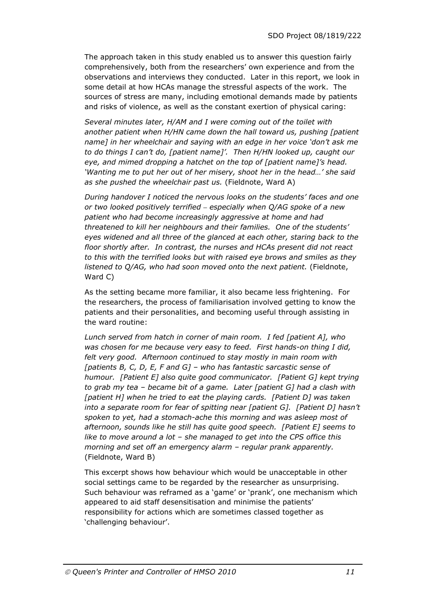The approach taken in this study enabled us to answer this question fairly comprehensively, both from the researchers' own experience and from the observations and interviews they conducted. Later in this report, we look in some detail at how HCAs manage the stressful aspects of the work. The sources of stress are many, including emotional demands made by patients and risks of violence, as well as the constant exertion of physical caring:

*Several minutes later, H/AM and I were coming out of the toilet with another patient when H/HN came down the hall toward us, pushing [patient name] in her wheelchair and saying with an edge in her voice 'don't ask me to do things I can't do, [patient name]'. Then H/HN looked up, caught our eye, and mimed dropping a hatchet on the top of [patient name]'s head. 'Wanting me to put her out of her misery, shoot her in the head…' she said as she pushed the wheelchair past us.* (Fieldnote, Ward A)

*During handover I noticed the nervous looks on the students' faces and one or two looked positively terrified – especially when Q/AG spoke of a new patient who had become increasingly aggressive at home and had threatened to kill her neighbours and their families. One of the students' eyes widened and all three of the glanced at each other, staring back to the floor shortly after. In contrast, the nurses and HCAs present did not react to this with the terrified looks but with raised eye brows and smiles as they listened to Q/AG, who had soon moved onto the next patient.* (Fieldnote, Ward C)

As the setting became more familiar, it also became less frightening. For the researchers, the process of familiarisation involved getting to know the patients and their personalities, and becoming useful through assisting in the ward routine:

*Lunch served from hatch in corner of main room. I fed [patient A], who was chosen for me because very easy to feed. First hands-on thing I did, felt very good. Afternoon continued to stay mostly in main room with [patients B, C, D, E, F and G] – who has fantastic sarcastic sense of humour. [Patient E] also quite good communicator. [Patient G] kept trying to grab my tea – became bit of a game. Later [patient G] had a clash with [patient H] when he tried to eat the playing cards. [Patient D] was taken into a separate room for fear of spitting near [patient G]. [Patient D] hasn't spoken to yet, had a stomach-ache this morning and was asleep most of afternoon, sounds like he still has quite good speech. [Patient E] seems to like to move around a lot – she managed to get into the CPS office this morning and set off an emergency alarm – regular prank apparently.*  (Fieldnote, Ward B)

This excerpt shows how behaviour which would be unacceptable in other social settings came to be regarded by the researcher as unsurprising. Such behaviour was reframed as a 'game' or 'prank', one mechanism which appeared to aid staff desensitisation and minimise the patients' responsibility for actions which are sometimes classed together as 'challenging behaviour'.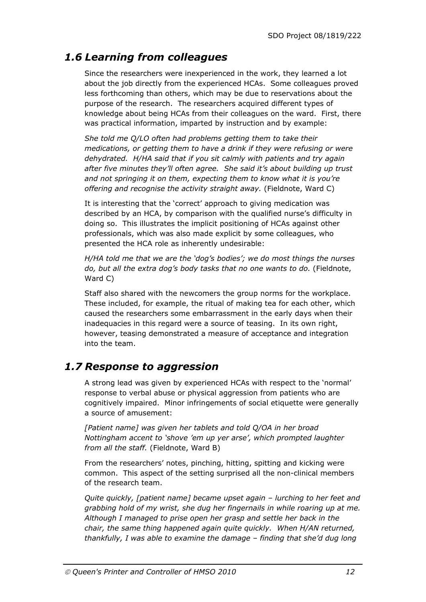### *1.6 Learning from colleagues*

Since the researchers were inexperienced in the work, they learned a lot about the job directly from the experienced HCAs. Some colleagues proved less forthcoming than others, which may be due to reservations about the purpose of the research. The researchers acquired different types of knowledge about being HCAs from their colleagues on the ward. First, there was practical information, imparted by instruction and by example:

*She told me Q/LO often had problems getting them to take their medications, or getting them to have a drink if they were refusing or were dehydrated. H/HA said that if you sit calmly with patients and try again after five minutes they'll often agree. She said it's about building up trust and not springing it on them, expecting them to know what it is you're offering and recognise the activity straight away.* (Fieldnote, Ward C)

It is interesting that the 'correct' approach to giving medication was described by an HCA, by comparison with the qualified nurse's difficulty in doing so. This illustrates the implicit positioning of HCAs against other professionals, which was also made explicit by some colleagues, who presented the HCA role as inherently undesirable:

*H/HA told me that we are the 'dog's bodies'; we do most things the nurses do, but all the extra dog's body tasks that no one wants to do.* (Fieldnote, Ward C)

Staff also shared with the newcomers the group norms for the workplace. These included, for example, the ritual of making tea for each other, which caused the researchers some embarrassment in the early days when their inadequacies in this regard were a source of teasing. In its own right, however, teasing demonstrated a measure of acceptance and integration into the team.

### *1.7 Response to aggression*

A strong lead was given by experienced HCAs with respect to the 'normal' response to verbal abuse or physical aggression from patients who are cognitively impaired. Minor infringements of social etiquette were generally a source of amusement:

*[Patient name] was given her tablets and told Q/OA in her broad Nottingham accent to 'shove 'em up yer arse', which prompted laughter from all the staff.* (Fieldnote, Ward B)

From the researchers' notes, pinching, hitting, spitting and kicking were common. This aspect of the setting surprised all the non-clinical members of the research team.

*Quite quickly, [patient name] became upset again – lurching to her feet and grabbing hold of my wrist, she dug her fingernails in while roaring up at me. Although I managed to prise open her grasp and settle her back in the chair, the same thing happened again quite quickly. When H/AN returned, thankfully, I was able to examine the damage – finding that she'd dug long*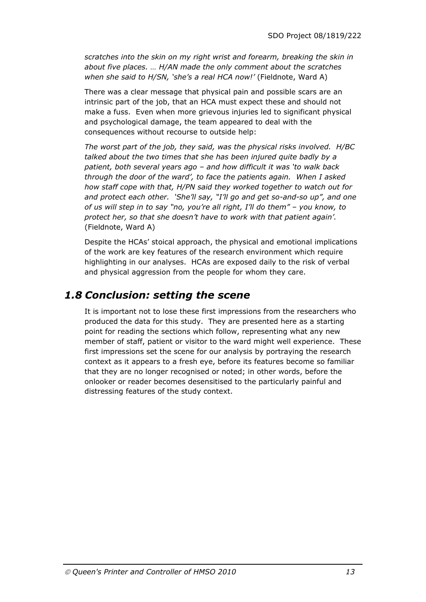*scratches into the skin on my right wrist and forearm, breaking the skin in about five places. … H/AN made the only comment about the scratches when she said to H/SN, 'she's a real HCA now!'* (Fieldnote, Ward A)

There was a clear message that physical pain and possible scars are an intrinsic part of the job, that an HCA must expect these and should not make a fuss. Even when more grievous injuries led to significant physical and psychological damage, the team appeared to deal with the consequences without recourse to outside help:

*The worst part of the job, they said, was the physical risks involved. H/BC talked about the two times that she has been injured quite badly by a patient, both several years ago – and how difficult it was 'to walk back through the door of the ward', to face the patients again. When I asked how staff cope with that, H/PN said they worked together to watch out for and protect each other. 'She'll say, "I'll go and get so-and-so up", and one of us will step in to say "no, you're all right, I'll do them" – you know, to protect her, so that she doesn't have to work with that patient again'.* (Fieldnote, Ward A)

Despite the HCAs' stoical approach, the physical and emotional implications of the work are key features of the research environment which require highlighting in our analyses. HCAs are exposed daily to the risk of verbal and physical aggression from the people for whom they care.

### *1.8 Conclusion: setting the scene*

It is important not to lose these first impressions from the researchers who produced the data for this study. They are presented here as a starting point for reading the sections which follow, representing what any new member of staff, patient or visitor to the ward might well experience. These first impressions set the scene for our analysis by portraying the research context as it appears to a fresh eye, before its features become so familiar that they are no longer recognised or noted; in other words, before the onlooker or reader becomes desensitised to the particularly painful and distressing features of the study context.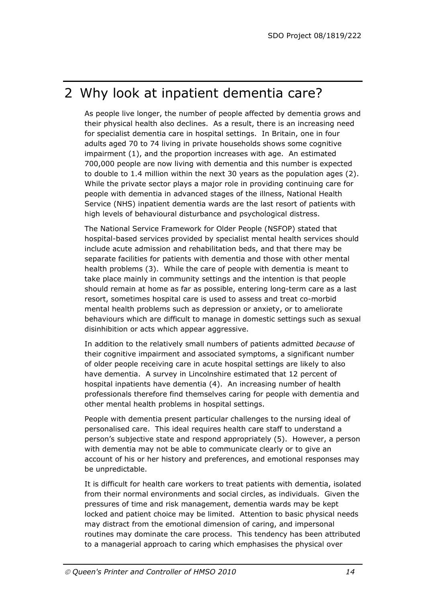## 2 Why look at inpatient dementia care?

As people live longer, the number of people affected by dementia grows and their physical health also declines. As a result, there is an increasing need for specialist dementia care in hospital settings. In Britain, one in four adults aged 70 to 74 living in private households shows some cognitive impairment (1), and the proportion increases with age. An estimated 700,000 people are now living with dementia and this number is expected to double to 1.4 million within the next 30 years as the population ages (2). While the private sector plays a major role in providing continuing care for people with dementia in advanced stages of the illness, National Health Service (NHS) inpatient dementia wards are the last resort of patients with high levels of behavioural disturbance and psychological distress.

The National Service Framework for Older People (NSFOP) stated that hospital-based services provided by specialist mental health services should include acute admission and rehabilitation beds, and that there may be separate facilities for patients with dementia and those with other mental health problems (3). While the care of people with dementia is meant to take place mainly in community settings and the intention is that people should remain at home as far as possible, entering long-term care as a last resort, sometimes hospital care is used to assess and treat co-morbid mental health problems such as depression or anxiety, or to ameliorate behaviours which are difficult to manage in domestic settings such as sexual disinhibition or acts which appear aggressive.

In addition to the relatively small numbers of patients admitted *because* of their cognitive impairment and associated symptoms, a significant number of older people receiving care in acute hospital settings are likely to also have dementia. A survey in Lincolnshire estimated that 12 percent of hospital inpatients have dementia (4). An increasing number of health professionals therefore find themselves caring for people with dementia and other mental health problems in hospital settings.

People with dementia present particular challenges to the nursing ideal of personalised care. This ideal requires health care staff to understand a person's subjective state and respond appropriately (5). However, a person with dementia may not be able to communicate clearly or to give an account of his or her history and preferences, and emotional responses may be unpredictable.

It is difficult for health care workers to treat patients with dementia, isolated from their normal environments and social circles, as individuals. Given the pressures of time and risk management, dementia wards may be kept locked and patient choice may be limited. Attention to basic physical needs may distract from the emotional dimension of caring, and impersonal routines may dominate the care process. This tendency has been attributed to a managerial approach to caring which emphasises the physical over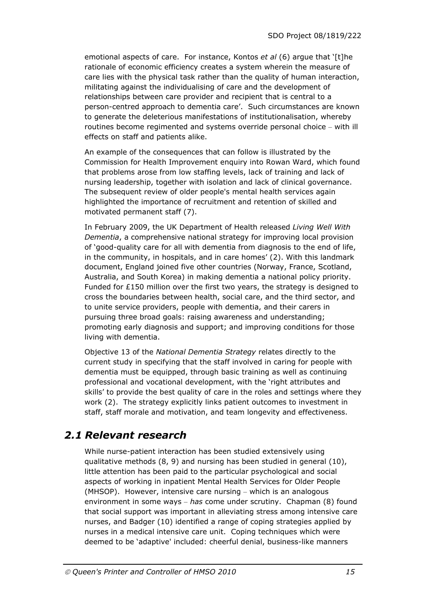emotional aspects of care. For instance, Kontos *et al* (6) argue that '[t]he rationale of economic efficiency creates a system wherein the measure of care lies with the physical task rather than the quality of human interaction, militating against the individualising of care and the development of relationships between care provider and recipient that is central to a person-centred approach to dementia care'. Such circumstances are known to generate the deleterious manifestations of institutionalisation, whereby routines become regimented and systems override personal choice – with ill effects on staff and patients alike.

An example of the consequences that can follow is illustrated by the Commission for Health Improvement enquiry into Rowan Ward, which found that problems arose from low staffing levels, lack of training and lack of nursing leadership, together with isolation and lack of clinical governance. The subsequent review of older people's mental health services again highlighted the importance of recruitment and retention of skilled and motivated permanent staff (7).

In February 2009, the UK Department of Health released *Living Well With Dementia*, a comprehensive national strategy for improving local provision of 'good-quality care for all with dementia from diagnosis to the end of life, in the community, in hospitals, and in care homes' (2). With this landmark document, England joined five other countries (Norway, France, Scotland, Australia, and South Korea) in making dementia a national policy priority. Funded for  $£150$  million over the first two years, the strategy is designed to cross the boundaries between health, social care, and the third sector, and to unite service providers, people with dementia, and their carers in pursuing three broad goals: raising awareness and understanding; promoting early diagnosis and support; and improving conditions for those living with dementia.

Objective 13 of the *National Dementia Strategy* relates directly to the current study in specifying that the staff involved in caring for people with dementia must be equipped, through basic training as well as continuing professional and vocational development, with the 'right attributes and skills' to provide the best quality of care in the roles and settings where they work (2). The strategy explicitly links patient outcomes to investment in staff, staff morale and motivation, and team longevity and effectiveness.

### *2.1 Relevant research*

While nurse-patient interaction has been studied extensively using qualitative methods (8, 9) and nursing has been studied in general (10), little attention has been paid to the particular psychological and social aspects of working in inpatient Mental Health Services for Older People (MHSOP). However, intensive care nursing – which is an analogous environment in some ways – *has* come under scrutiny. Chapman (8) found that social support was important in alleviating stress among intensive care nurses, and Badger (10) identified a range of coping strategies applied by nurses in a medical intensive care unit. Coping techniques which were deemed to be 'adaptive' included: cheerful denial, business-like manners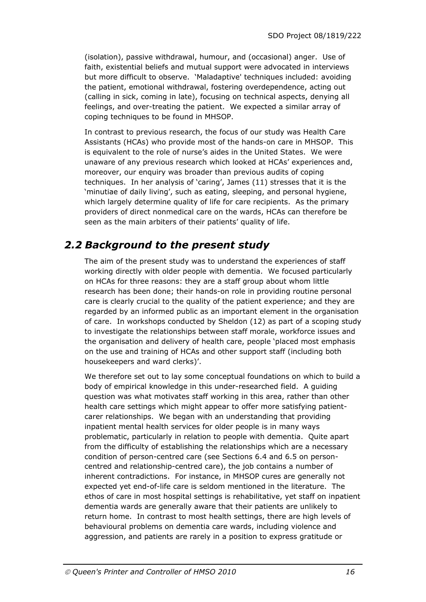(isolation), passive withdrawal, humour, and (occasional) anger. Use of faith, existential beliefs and mutual support were advocated in interviews but more difficult to observe. 'Maladaptive' techniques included: avoiding the patient, emotional withdrawal, fostering overdependence, acting out (calling in sick, coming in late), focusing on technical aspects, denying all feelings, and over-treating the patient. We expected a similar array of coping techniques to be found in MHSOP.

In contrast to previous research, the focus of our study was Health Care Assistants (HCAs) who provide most of the hands-on care in MHSOP. This is equivalent to the role of nurse's aides in the United States. We were unaware of any previous research which looked at HCAs' experiences and, moreover, our enquiry was broader than previous audits of coping techniques. In her analysis of 'caring', James (11) stresses that it is the 'minutiae of daily living', such as eating, sleeping, and personal hygiene, which largely determine quality of life for care recipients. As the primary providers of direct nonmedical care on the wards, HCAs can therefore be seen as the main arbiters of their patients' quality of life.

### *2.2 Background to the present study*

The aim of the present study was to understand the experiences of staff working directly with older people with dementia. We focused particularly on HCAs for three reasons: they are a staff group about whom little research has been done; their hands-on role in providing routine personal care is clearly crucial to the quality of the patient experience; and they are regarded by an informed public as an important element in the organisation of care. In workshops conducted by Sheldon (12) as part of a scoping study to investigate the relationships between staff morale, workforce issues and the organisation and delivery of health care, people 'placed most emphasis on the use and training of HCAs and other support staff (including both housekeepers and ward clerks)'.

We therefore set out to lay some conceptual foundations on which to build a body of empirical knowledge in this under-researched field. A guiding question was what motivates staff working in this area, rather than other health care settings which might appear to offer more satisfying patientcarer relationships. We began with an understanding that providing inpatient mental health services for older people is in many ways problematic, particularly in relation to people with dementia. Quite apart from the difficulty of establishing the relationships which are a necessary condition of person-centred care (see Sections 6.4 and 6.5 on personcentred and relationship-centred care), the job contains a number of inherent contradictions. For instance, in MHSOP cures are generally not expected yet end-of-life care is seldom mentioned in the literature. The ethos of care in most hospital settings is rehabilitative, yet staff on inpatient dementia wards are generally aware that their patients are unlikely to return home. In contrast to most health settings, there are high levels of behavioural problems on dementia care wards, including violence and aggression, and patients are rarely in a position to express gratitude or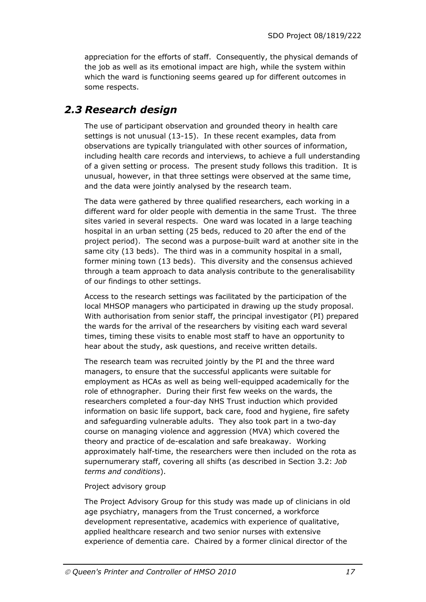appreciation for the efforts of staff. Consequently, the physical demands of the job as well as its emotional impact are high, while the system within which the ward is functioning seems geared up for different outcomes in some respects.

### *2.3 Research design*

The use of participant observation and grounded theory in health care settings is not unusual (13-15). In these recent examples, data from observations are typically triangulated with other sources of information, including health care records and interviews, to achieve a full understanding of a given setting or process. The present study follows this tradition. It is unusual, however, in that three settings were observed at the same time, and the data were jointly analysed by the research team.

The data were gathered by three qualified researchers, each working in a different ward for older people with dementia in the same Trust. The three sites varied in several respects. One ward was located in a large teaching hospital in an urban setting (25 beds, reduced to 20 after the end of the project period). The second was a purpose-built ward at another site in the same city (13 beds). The third was in a community hospital in a small, former mining town (13 beds). This diversity and the consensus achieved through a team approach to data analysis contribute to the generalisability of our findings to other settings.

Access to the research settings was facilitated by the participation of the local MHSOP managers who participated in drawing up the study proposal. With authorisation from senior staff, the principal investigator (PI) prepared the wards for the arrival of the researchers by visiting each ward several times, timing these visits to enable most staff to have an opportunity to hear about the study, ask questions, and receive written details.

The research team was recruited jointly by the PI and the three ward managers, to ensure that the successful applicants were suitable for employment as HCAs as well as being well-equipped academically for the role of ethnographer. During their first few weeks on the wards, the researchers completed a four-day NHS Trust induction which provided information on basic life support, back care, food and hygiene, fire safety and safeguarding vulnerable adults. They also took part in a two-day course on managing violence and aggression (MVA) which covered the theory and practice of de-escalation and safe breakaway. Working approximately half-time, the researchers were then included on the rota as supernumerary staff, covering all shifts (as described in Section 3.2: *Job terms and conditions*).

#### Project advisory group

The Project Advisory Group for this study was made up of clinicians in old age psychiatry, managers from the Trust concerned, a workforce development representative, academics with experience of qualitative, applied healthcare research and two senior nurses with extensive experience of dementia care. Chaired by a former clinical director of the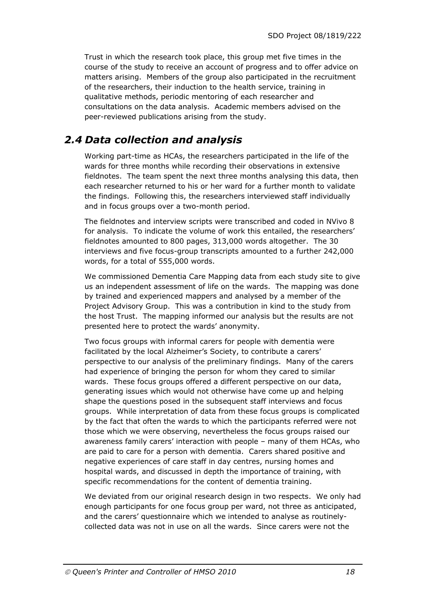Trust in which the research took place, this group met five times in the course of the study to receive an account of progress and to offer advice on matters arising. Members of the group also participated in the recruitment of the researchers, their induction to the health service, training in qualitative methods, periodic mentoring of each researcher and consultations on the data analysis. Academic members advised on the peer-reviewed publications arising from the study.

### *2.4 Data collection and analysis*

Working part-time as HCAs, the researchers participated in the life of the wards for three months while recording their observations in extensive fieldnotes. The team spent the next three months analysing this data, then each researcher returned to his or her ward for a further month to validate the findings. Following this, the researchers interviewed staff individually and in focus groups over a two-month period.

The fieldnotes and interview scripts were transcribed and coded in NVivo 8 for analysis. To indicate the volume of work this entailed, the researchers' fieldnotes amounted to 800 pages, 313,000 words altogether. The 30 interviews and five focus-group transcripts amounted to a further 242,000 words, for a total of 555,000 words.

We commissioned Dementia Care Mapping data from each study site to give us an independent assessment of life on the wards. The mapping was done by trained and experienced mappers and analysed by a member of the Project Advisory Group. This was a contribution in kind to the study from the host Trust. The mapping informed our analysis but the results are not presented here to protect the wards' anonymity.

Two focus groups with informal carers for people with dementia were facilitated by the local Alzheimer's Society, to contribute a carers' perspective to our analysis of the preliminary findings. Many of the carers had experience of bringing the person for whom they cared to similar wards. These focus groups offered a different perspective on our data, generating issues which would not otherwise have come up and helping shape the questions posed in the subsequent staff interviews and focus groups. While interpretation of data from these focus groups is complicated by the fact that often the wards to which the participants referred were not those which we were observing, nevertheless the focus groups raised our awareness family carers' interaction with people – many of them HCAs, who are paid to care for a person with dementia. Carers shared positive and negative experiences of care staff in day centres, nursing homes and hospital wards, and discussed in depth the importance of training, with specific recommendations for the content of dementia training.

We deviated from our original research design in two respects. We only had enough participants for one focus group per ward, not three as anticipated, and the carers' questionnaire which we intended to analyse as routinelycollected data was not in use on all the wards. Since carers were not the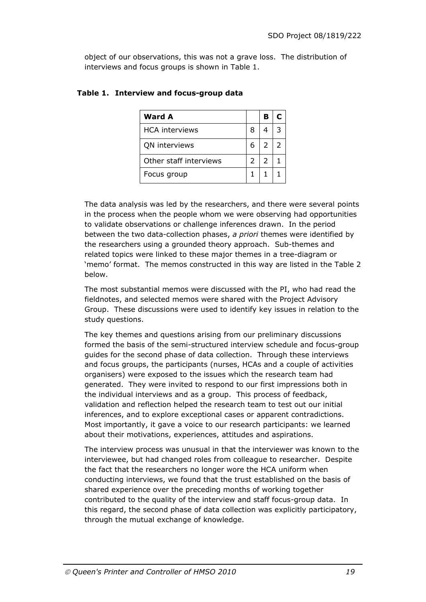object of our observations, this was not a grave loss. The distribution of interviews and focus groups is shown in Table 1.

| <b>Ward A</b>          |    | B              |  |
|------------------------|----|----------------|--|
| <b>HCA</b> interviews  | 8  |                |  |
| QN interviews          | 6. | $\overline{2}$ |  |
| Other staff interviews | 2  | $\mathcal{P}$  |  |
| Focus group            |    |                |  |

#### **Table 1. Interview and focus-group data**

The data analysis was led by the researchers, and there were several points in the process when the people whom we were observing had opportunities to validate observations or challenge inferences drawn. In the period between the two data-collection phases, *a priori* themes were identified by the researchers using a grounded theory approach. Sub-themes and related topics were linked to these major themes in a tree-diagram or 'memo' format. The memos constructed in this way are listed in the Table 2 below.

The most substantial memos were discussed with the PI, who had read the fieldnotes, and selected memos were shared with the Project Advisory Group. These discussions were used to identify key issues in relation to the study questions.

The key themes and questions arising from our preliminary discussions formed the basis of the semi-structured interview schedule and focus-group guides for the second phase of data collection. Through these interviews and focus groups, the participants (nurses, HCAs and a couple of activities organisers) were exposed to the issues which the research team had generated. They were invited to respond to our first impressions both in the individual interviews and as a group. This process of feedback, validation and reflection helped the research team to test out our initial inferences, and to explore exceptional cases or apparent contradictions. Most importantly, it gave a voice to our research participants: we learned about their motivations, experiences, attitudes and aspirations.

The interview process was unusual in that the interviewer was known to the interviewee, but had changed roles from colleague to researcher. Despite the fact that the researchers no longer wore the HCA uniform when conducting interviews, we found that the trust established on the basis of shared experience over the preceding months of working together contributed to the quality of the interview and staff focus-group data. In this regard, the second phase of data collection was explicitly participatory, through the mutual exchange of knowledge.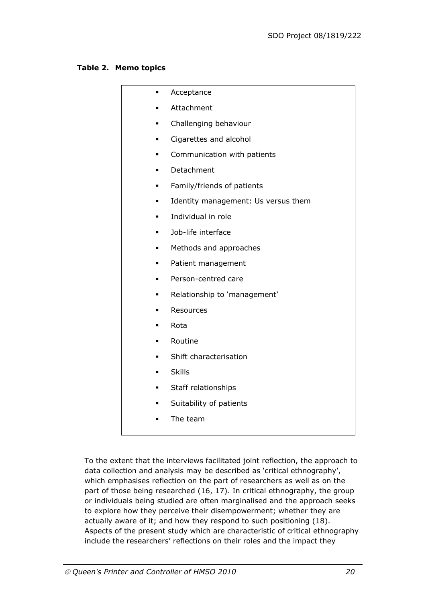#### **Table 2. Memo topics**

| ٠              | Acceptance                          |
|----------------|-------------------------------------|
| п              | Attachment                          |
| ٠              | Challenging behaviour               |
| ٠              | Cigarettes and alcohol              |
| $\blacksquare$ | Communication with patients         |
| ٠              | Detachment                          |
| ٠              | Family/friends of patients          |
| ٠              | Identity management: Us versus them |
| $\blacksquare$ | Individual in role                  |
| ٠              | Job-life interface                  |
| Ξ              | Methods and approaches              |
| ٠              | Patient management                  |
| ×,             | Person-centred care                 |
| ٠              | Relationship to 'management'        |
| п              | Resources                           |
| ×,             | Rota                                |
| ٠              | Routine                             |
| ٠              | Shift characterisation              |
| $\blacksquare$ | <b>Skills</b>                       |
| п              | Staff relationships                 |
| ٠              | Suitability of patients             |
| п              | The team                            |
|                |                                     |

To the extent that the interviews facilitated joint reflection, the approach to data collection and analysis may be described as 'critical ethnography', which emphasises reflection on the part of researchers as well as on the part of those being researched (16, 17). In critical ethnography, the group or individuals being studied are often marginalised and the approach seeks to explore how they perceive their disempowerment; whether they are actually aware of it; and how they respond to such positioning (18). Aspects of the present study which are characteristic of critical ethnography include the researchers' reflections on their roles and the impact they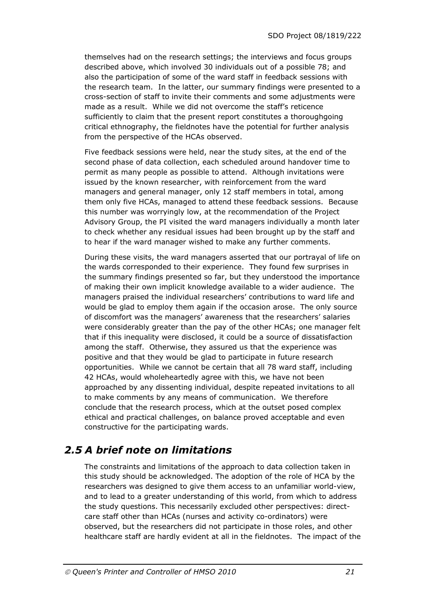themselves had on the research settings; the interviews and focus groups described above, which involved 30 individuals out of a possible 78; and also the participation of some of the ward staff in feedback sessions with the research team. In the latter, our summary findings were presented to a cross-section of staff to invite their comments and some adjustments were made as a result. While we did not overcome the staff's reticence sufficiently to claim that the present report constitutes a thoroughgoing critical ethnography, the fieldnotes have the potential for further analysis from the perspective of the HCAs observed.

Five feedback sessions were held, near the study sites, at the end of the second phase of data collection, each scheduled around handover time to permit as many people as possible to attend. Although invitations were issued by the known researcher, with reinforcement from the ward managers and general manager, only 12 staff members in total, among them only five HCAs, managed to attend these feedback sessions. Because this number was worryingly low, at the recommendation of the Project Advisory Group, the PI visited the ward managers individually a month later to check whether any residual issues had been brought up by the staff and to hear if the ward manager wished to make any further comments.

During these visits, the ward managers asserted that our portrayal of life on the wards corresponded to their experience. They found few surprises in the summary findings presented so far, but they understood the importance of making their own implicit knowledge available to a wider audience. The managers praised the individual researchers' contributions to ward life and would be glad to employ them again if the occasion arose. The only source of discomfort was the managers' awareness that the researchers' salaries were considerably greater than the pay of the other HCAs; one manager felt that if this inequality were disclosed, it could be a source of dissatisfaction among the staff. Otherwise, they assured us that the experience was positive and that they would be glad to participate in future research opportunities. While we cannot be certain that all 78 ward staff, including 42 HCAs, would wholeheartedly agree with this, we have not been approached by any dissenting individual, despite repeated invitations to all to make comments by any means of communication. We therefore conclude that the research process, which at the outset posed complex ethical and practical challenges, on balance proved acceptable and even constructive for the participating wards.

### *2.5 A brief note on limitations*

The constraints and limitations of the approach to data collection taken in this study should be acknowledged. The adoption of the role of HCA by the researchers was designed to give them access to an unfamiliar world-view, and to lead to a greater understanding of this world, from which to address the study questions. This necessarily excluded other perspectives: directcare staff other than HCAs (nurses and activity co-ordinators) were observed, but the researchers did not participate in those roles, and other healthcare staff are hardly evident at all in the fieldnotes. The impact of the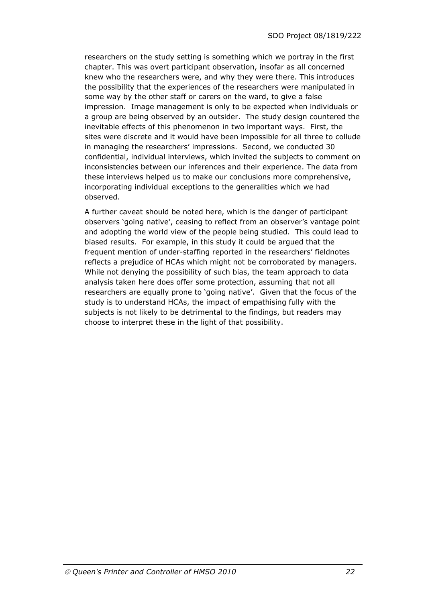researchers on the study setting is something which we portray in the first chapter. This was overt participant observation, insofar as all concerned knew who the researchers were, and why they were there. This introduces the possibility that the experiences of the researchers were manipulated in some way by the other staff or carers on the ward, to give a false impression. Image management is only to be expected when individuals or a group are being observed by an outsider. The study design countered the inevitable effects of this phenomenon in two important ways. First, the sites were discrete and it would have been impossible for all three to collude in managing the researchers' impressions. Second, we conducted 30 confidential, individual interviews, which invited the subjects to comment on inconsistencies between our inferences and their experience. The data from these interviews helped us to make our conclusions more comprehensive, incorporating individual exceptions to the generalities which we had observed.

A further caveat should be noted here, which is the danger of participant observers 'going native', ceasing to reflect from an observer's vantage point and adopting the world view of the people being studied. This could lead to biased results. For example, in this study it could be argued that the frequent mention of under-staffing reported in the researchers' fieldnotes reflects a prejudice of HCAs which might not be corroborated by managers. While not denying the possibility of such bias, the team approach to data analysis taken here does offer some protection, assuming that not all researchers are equally prone to 'going native'. Given that the focus of the study is to understand HCAs, the impact of empathising fully with the subjects is not likely to be detrimental to the findings, but readers may choose to interpret these in the light of that possibility.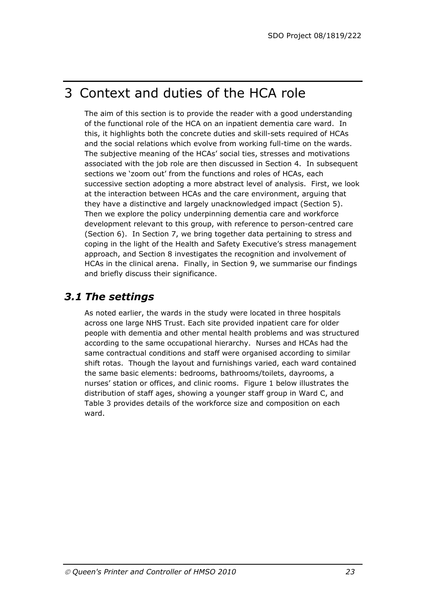## 3 Context and duties of the HCA role

The aim of this section is to provide the reader with a good understanding of the functional role of the HCA on an inpatient dementia care ward. In this, it highlights both the concrete duties and skill-sets required of HCAs and the social relations which evolve from working full-time on the wards. The subjective meaning of the HCAs' social ties, stresses and motivations associated with the job role are then discussed in Section 4. In subsequent sections we 'zoom out' from the functions and roles of HCAs, each successive section adopting a more abstract level of analysis. First, we look at the interaction between HCAs and the care environment, arguing that they have a distinctive and largely unacknowledged impact (Section 5). Then we explore the policy underpinning dementia care and workforce development relevant to this group, with reference to person-centred care (Section 6). In Section 7, we bring together data pertaining to stress and coping in the light of the Health and Safety Executive's stress management approach, and Section 8 investigates the recognition and involvement of HCAs in the clinical arena. Finally, in Section 9, we summarise our findings and briefly discuss their significance.

### *3.1 The settings*

As noted earlier, the wards in the study were located in three hospitals across one large NHS Trust. Each site provided inpatient care for older people with dementia and other mental health problems and was structured according to the same occupational hierarchy. Nurses and HCAs had the same contractual conditions and staff were organised according to similar shift rotas. Though the layout and furnishings varied, each ward contained the same basic elements: bedrooms, bathrooms/toilets, dayrooms, a nurses' station or offices, and clinic rooms. Figure 1 below illustrates the distribution of staff ages, showing a younger staff group in Ward C, and Table 3 provides details of the workforce size and composition on each ward.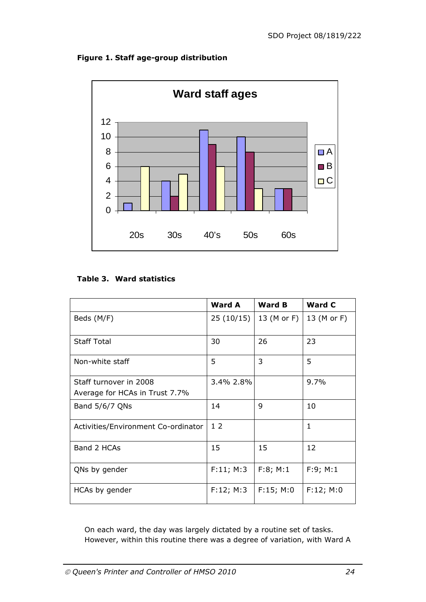#### **Figure 1. Staff age-group distribution**



#### **Table 3. Ward statistics**

|                                                          | <b>Ward A</b>  | <b>Ward B</b> | <b>Ward C</b> |
|----------------------------------------------------------|----------------|---------------|---------------|
| Beds (M/F)                                               | 25(10/15)      | 13 (M or F)   | 13 (M or F)   |
| <b>Staff Total</b>                                       | 30             | 26            | 23            |
| Non-white staff                                          | 5              | 3             | 5             |
| Staff turnover in 2008<br>Average for HCAs in Trust 7.7% | 3.4% 2.8%      |               | 9.7%          |
| Band 5/6/7 QNs                                           | 14             | 9             | 10            |
| Activities/Environment Co-ordinator                      | 1 <sub>2</sub> |               | $\mathbf{1}$  |
| Band 2 HCAs                                              | 15             | 15            | 12            |
| QNs by gender                                            | F:11; M:3      | F:8; M:1      | F:9; M:1      |
| HCAs by gender                                           | F:12; M:3      | F:15; M:0     | F:12; M:0     |

On each ward, the day was largely dictated by a routine set of tasks. However, within this routine there was a degree of variation, with Ward A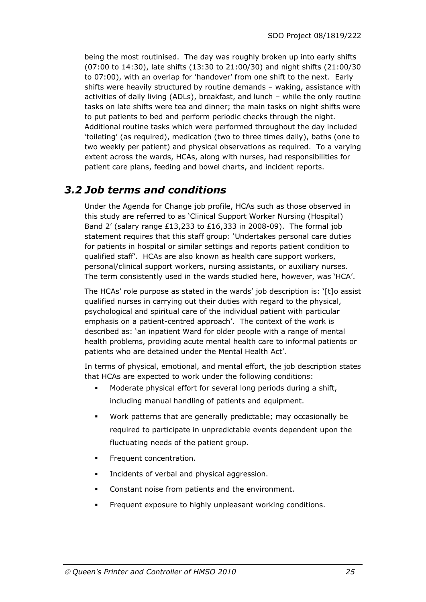being the most routinised. The day was roughly broken up into early shifts (07:00 to 14:30), late shifts (13:30 to 21:00/30) and night shifts (21:00/30 to 07:00), with an overlap for 'handover' from one shift to the next. Early shifts were heavily structured by routine demands – waking, assistance with activities of daily living (ADLs), breakfast, and lunch – while the only routine tasks on late shifts were tea and dinner; the main tasks on night shifts were to put patients to bed and perform periodic checks through the night. Additional routine tasks which were performed throughout the day included 'toileting' (as required), medication (two to three times daily), baths (one to two weekly per patient) and physical observations as required. To a varying extent across the wards, HCAs, along with nurses, had responsibilities for patient care plans, feeding and bowel charts, and incident reports.

### *3.2 Job terms and conditions*

Under the Agenda for Change job profile, HCAs such as those observed in this study are referred to as 'Clinical Support Worker Nursing (Hospital) Band 2' (salary range  $£13,233$  to  $£16,333$  in 2008-09). The formal job statement requires that this staff group: 'Undertakes personal care duties for patients in hospital or similar settings and reports patient condition to qualified staff'. HCAs are also known as health care support workers, personal/clinical support workers, nursing assistants, or auxiliary nurses. The term consistently used in the wards studied here, however, was 'HCA'.

The HCAs' role purpose as stated in the wards' job description is: '[t]o assist qualified nurses in carrying out their duties with regard to the physical, psychological and spiritual care of the individual patient with particular emphasis on a patient-centred approach'. The context of the work is described as: 'an inpatient Ward for older people with a range of mental health problems, providing acute mental health care to informal patients or patients who are detained under the Mental Health Act'.

In terms of physical, emotional, and mental effort, the job description states that HCAs are expected to work under the following conditions:

- Moderate physical effort for several long periods during a shift, including manual handling of patients and equipment.
- Work patterns that are generally predictable; may occasionally be required to participate in unpredictable events dependent upon the fluctuating needs of the patient group.
- Frequent concentration.
- Incidents of verbal and physical aggression.
- Constant noise from patients and the environment.
- **Figurent exposure to highly unpleasant working conditions.**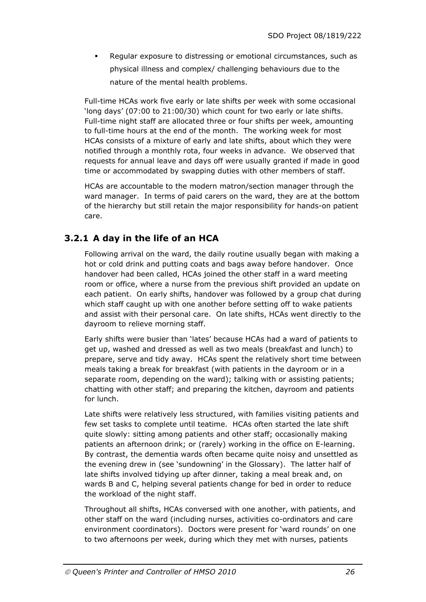Regular exposure to distressing or emotional circumstances, such as physical illness and complex/ challenging behaviours due to the nature of the mental health problems.

Full-time HCAs work five early or late shifts per week with some occasional 'long days' (07:00 to 21:00/30) which count for two early or late shifts. Full-time night staff are allocated three or four shifts per week, amounting to full-time hours at the end of the month. The working week for most HCAs consists of a mixture of early and late shifts, about which they were notified through a monthly rota, four weeks in advance. We observed that requests for annual leave and days off were usually granted if made in good time or accommodated by swapping duties with other members of staff.

HCAs are accountable to the modern matron/section manager through the ward manager. In terms of paid carers on the ward, they are at the bottom of the hierarchy but still retain the major responsibility for hands-on patient care.

### **3.2.1 A day in the life of an HCA**

Following arrival on the ward, the daily routine usually began with making a hot or cold drink and putting coats and bags away before handover. Once handover had been called, HCAs joined the other staff in a ward meeting room or office, where a nurse from the previous shift provided an update on each patient. On early shifts, handover was followed by a group chat during which staff caught up with one another before setting off to wake patients and assist with their personal care. On late shifts, HCAs went directly to the dayroom to relieve morning staff.

Early shifts were busier than 'lates' because HCAs had a ward of patients to get up, washed and dressed as well as two meals (breakfast and lunch) to prepare, serve and tidy away. HCAs spent the relatively short time between meals taking a break for breakfast (with patients in the dayroom or in a separate room, depending on the ward); talking with or assisting patients; chatting with other staff; and preparing the kitchen, dayroom and patients for lunch.

Late shifts were relatively less structured, with families visiting patients and few set tasks to complete until teatime. HCAs often started the late shift quite slowly: sitting among patients and other staff; occasionally making patients an afternoon drink; or (rarely) working in the office on E-learning. By contrast, the dementia wards often became quite noisy and unsettled as the evening drew in (see 'sundowning' in the Glossary). The latter half of late shifts involved tidying up after dinner, taking a meal break and, on wards B and C, helping several patients change for bed in order to reduce the workload of the night staff.

Throughout all shifts, HCAs conversed with one another, with patients, and other staff on the ward (including nurses, activities co-ordinators and care environment coordinators). Doctors were present for 'ward rounds' on one to two afternoons per week, during which they met with nurses, patients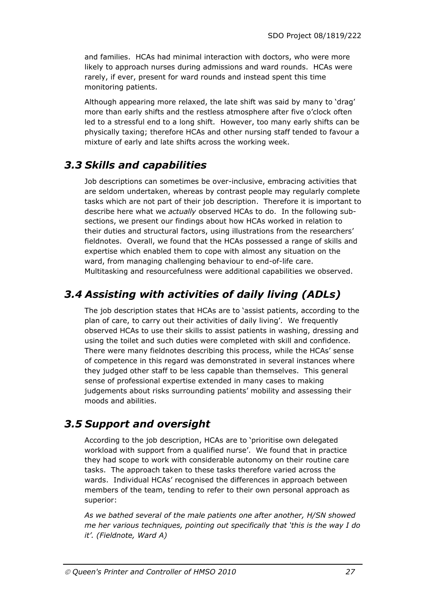and families. HCAs had minimal interaction with doctors, who were more likely to approach nurses during admissions and ward rounds. HCAs were rarely, if ever, present for ward rounds and instead spent this time monitoring patients.

Although appearing more relaxed, the late shift was said by many to 'drag' more than early shifts and the restless atmosphere after five o'clock often led to a stressful end to a long shift. However, too many early shifts can be physically taxing; therefore HCAs and other nursing staff tended to favour a mixture of early and late shifts across the working week.

### *3.3 Skills and capabilities*

Job descriptions can sometimes be over-inclusive, embracing activities that are seldom undertaken, whereas by contrast people may regularly complete tasks which are not part of their job description. Therefore it is important to describe here what we *actually* observed HCAs to do. In the following subsections, we present our findings about how HCAs worked in relation to their duties and structural factors, using illustrations from the researchers' fieldnotes. Overall, we found that the HCAs possessed a range of skills and expertise which enabled them to cope with almost any situation on the ward, from managing challenging behaviour to end-of-life care. Multitasking and resourcefulness were additional capabilities we observed.

### *3.4 Assisting with activities of daily living (ADLs)*

The job description states that HCAs are to 'assist patients, according to the plan of care, to carry out their activities of daily living'.We frequently observed HCAs to use their skills to assist patients in washing, dressing and using the toilet and such duties were completed with skill and confidence. There were many fieldnotes describing this process, while the HCAs' sense of competence in this regard was demonstrated in several instances where they judged other staff to be less capable than themselves. This general sense of professional expertise extended in many cases to making judgements about risks surrounding patients' mobility and assessing their moods and abilities.

### *3.5 Support and oversight*

According to the job description, HCAs are to 'prioritise own delegated workload with support from a qualified nurse'.We found that in practice they had scope to work with considerable autonomy on their routine care tasks. The approach taken to these tasks therefore varied across the wards. Individual HCAs' recognised the differences in approach between members of the team, tending to refer to their own personal approach as superior:

*As we bathed several of the male patients one after another, H/SN showed me her various techniques, pointing out specifically that 'this is the way I do it'. (Fieldnote, Ward A)*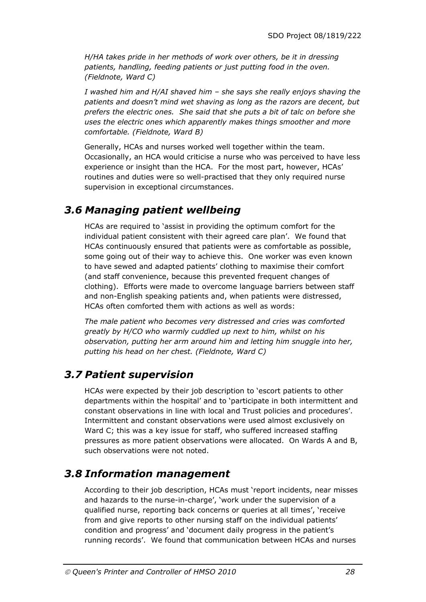*H/HA takes pride in her methods of work over others, be it in dressing patients, handling, feeding patients or just putting food in the oven. (Fieldnote, Ward C)* 

*I washed him and H/AI shaved him – she says she really enjoys shaving the patients and doesn't mind wet shaving as long as the razors are decent, but prefers the electric ones. She said that she puts a bit of talc on before she uses the electric ones which apparently makes things smoother and more comfortable. (Fieldnote, Ward B)* 

Generally, HCAs and nurses worked well together within the team. Occasionally, an HCA would criticise a nurse who was perceived to have less experience or insight than the HCA. For the most part, however, HCAs' routines and duties were so well-practised that they only required nurse supervision in exceptional circumstances.

### *3.6 Managing patient wellbeing*

HCAs are required to 'assist in providing the optimum comfort for the individual patient consistent with their agreed care plan'. We found that HCAs continuously ensured that patients were as comfortable as possible, some going out of their way to achieve this. One worker was even known to have sewed and adapted patients' clothing to maximise their comfort (and staff convenience, because this prevented frequent changes of clothing). Efforts were made to overcome language barriers between staff and non-English speaking patients and, when patients were distressed, HCAs often comforted them with actions as well as words:

*The male patient who becomes very distressed and cries was comforted greatly by H/CO who warmly cuddled up next to him, whilst on his observation, putting her arm around him and letting him snuggle into her, putting his head on her chest. (Fieldnote, Ward C)* 

### *3.7 Patient supervision*

HCA*s* were expected by their job description to 'escort patients to other departments within the hospital' and to 'participate in both intermittent and constant observations in line with local and Trust policies and procedures'. Intermittent and constant observations were used almost exclusively on Ward C; this was a key issue for staff, who suffered increased staffing pressures as more patient observations were allocated. On Wards A and B, such observations were not noted.

### *3.8 Information management*

According to their job description, HCAs must 'report incidents, near misses and hazards to the nurse-in-charge', 'work under the supervision of a qualified nurse, reporting back concerns or queries at all times', 'receive from and give reports to other nursing staff on the individual patients' condition and progress' and 'document daily progress in the patient's running records'. We found that communication between HCAs and nurses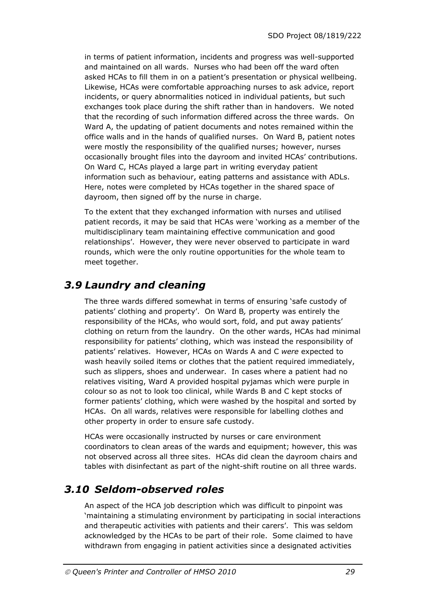in terms of patient information, incidents and progress was well-supported and maintained on all wards. Nurses who had been off the ward often asked HCAs to fill them in on a patient's presentation or physical wellbeing. Likewise, HCAs were comfortable approaching nurses to ask advice, report incidents, or query abnormalities noticed in individual patients, but such exchanges took place during the shift rather than in handovers. We noted that the recording of such information differed across the three wards. On Ward A, the updating of patient documents and notes remained within the office walls and in the hands of qualified nurses. On Ward B, patient notes were mostly the responsibility of the qualified nurses; however, nurses occasionally brought files into the dayroom and invited HCAs' contributions. On Ward C, HCAs played a large part in writing everyday patient information such as behaviour, eating patterns and assistance with ADLs. Here, notes were completed by HCAs together in the shared space of dayroom, then signed off by the nurse in charge.

To the extent that they exchanged information with nurses and utilised patient records, it may be said that HCAs were 'working as a member of the multidisciplinary team maintaining effective communication and good relationships'. However, they were never observed to participate in ward rounds, which were the only routine opportunities for the whole team to meet together.

### *3.9 Laundry and cleaning*

The three wards differed somewhat in terms of ensuring 'safe custody of patients' clothing and property'. On Ward B*,* property was entirely the responsibility of the HCAs, who would sort, fold, and put away patients' clothing on return from the laundry. On the other wards, HCAs had minimal responsibility for patients' clothing, which was instead the responsibility of patients' relatives. However, HCAs on Wards A and C *were* expected to wash heavily soiled items or clothes that the patient required immediately, such as slippers, shoes and underwear. In cases where a patient had no relatives visiting, Ward A provided hospital pyjamas which were purple in colour so as not to look too clinical, while Wards B and C kept stocks of former patients' clothing, which were washed by the hospital and sorted by HCAs. On all wards, relatives were responsible for labelling clothes and other property in order to ensure safe custody.

HCAs were occasionally instructed by nurses or care environment coordinators to clean areas of the wards and equipment; however, this was not observed across all three sites. HCAs did clean the dayroom chairs and tables with disinfectant as part of the night-shift routine on all three wards.

### *3.10 Seldom-observed roles*

An aspect of the HCA job description which was difficult to pinpoint was 'maintaining a stimulating environment by participating in social interactions and therapeutic activities with patients and their carers'. This was seldom acknowledged by the HCAs to be part of their role.Some claimed to have withdrawn from engaging in patient activities since a designated activities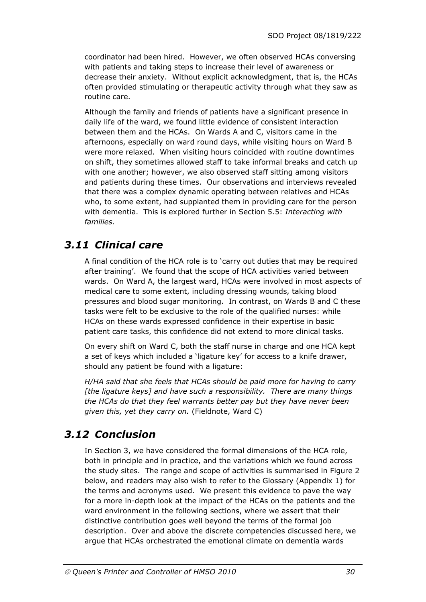coordinator had been hired. However, we often observed HCAs conversing with patients and taking steps to increase their level of awareness or decrease their anxiety. Without explicit acknowledgment, that is, the HCAs often provided stimulating or therapeutic activity through what they saw as routine care.

Although the family and friends of patients have a significant presence in daily life of the ward, we found little evidence of consistent interaction between them and the HCAs. On Wards A and C, visitors came in the afternoons, especially on ward round days, while visiting hours on Ward B were more relaxed. When visiting hours coincided with routine downtimes on shift, they sometimes allowed staff to take informal breaks and catch up with one another; however, we also observed staff sitting among visitors and patients during these times. Our observations and interviews revealed that there was a complex dynamic operating between relatives and HCAs who, to some extent, had supplanted them in providing care for the person with dementia. This is explored further in Section 5.5: *Interacting with families*.

### *3.11 Clinical care*

A final condition of the HCA role is to 'carry out duties that may be required after training'.We found that the scope of HCA activities varied between wards. On Ward A, the largest ward, HCAs were involved in most aspects of medical care to some extent, including dressing wounds, taking blood pressures and blood sugar monitoring. In contrast, on Wards B and C these tasks were felt to be exclusive to the role of the qualified nurses: while HCAs on these wards expressed confidence in their expertise in basic patient care tasks, this confidence did not extend to more clinical tasks.

On every shift on Ward C, both the staff nurse in charge and one HCA kept a set of keys which included a 'ligature key' for access to a knife drawer, should any patient be found with a ligature:

*H/HA said that she feels that HCAs should be paid more for having to carry [the ligature keys] and have such a responsibility. There are many things the HCAs do that they feel warrants better pay but they have never been given this, yet they carry on.* (Fieldnote, Ward C)

### *3.12 Conclusion*

In Section 3, we have considered the formal dimensions of the HCA role, both in principle and in practice, and the variations which we found across the study sites. The range and scope of activities is summarised in Figure 2 below, and readers may also wish to refer to the Glossary (Appendix 1) for the terms and acronyms used. We present this evidence to pave the way for a more in-depth look at the impact of the HCAs on the patients and the ward environment in the following sections, where we assert that their distinctive contribution goes well beyond the terms of the formal job description. Over and above the discrete competencies discussed here, we argue that HCAs orchestrated the emotional climate on dementia wards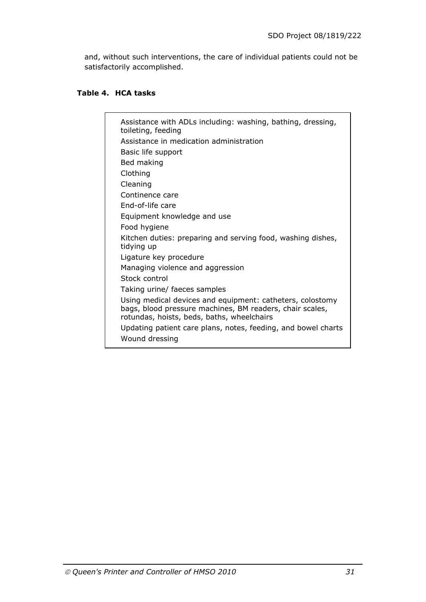and, without such interventions, the care of individual patients could not be satisfactorily accomplished.

### **Table 4. HCA tasks**

| Assistance with ADLs including: washing, bathing, dressing,<br>toileting, feeding                                                                                   |
|---------------------------------------------------------------------------------------------------------------------------------------------------------------------|
| Assistance in medication administration                                                                                                                             |
| Basic life support                                                                                                                                                  |
| Bed making                                                                                                                                                          |
| Clothing                                                                                                                                                            |
| Cleaning                                                                                                                                                            |
| Continence care                                                                                                                                                     |
| End-of-life care                                                                                                                                                    |
| Equipment knowledge and use                                                                                                                                         |
| Food hygiene                                                                                                                                                        |
| Kitchen duties: preparing and serving food, washing dishes,<br>tidying up                                                                                           |
| Ligature key procedure                                                                                                                                              |
| Managing violence and aggression                                                                                                                                    |
| Stock control                                                                                                                                                       |
| Taking urine/ faeces samples                                                                                                                                        |
| Using medical devices and equipment: catheters, colostomy<br>bags, blood pressure machines, BM readers, chair scales,<br>rotundas, hoists, beds, baths, wheelchairs |
| Updating patient care plans, notes, feeding, and bowel charts<br>Wound dressing                                                                                     |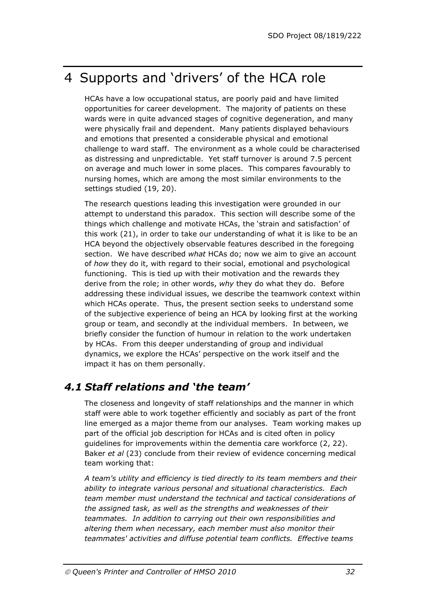## 4 Supports and 'drivers' of the HCA role

HCAs have a low occupational status, are poorly paid and have limited opportunities for career development. The majority of patients on these wards were in quite advanced stages of cognitive degeneration, and many were physically frail and dependent. Many patients displayed behaviours and emotions that presented a considerable physical and emotional challenge to ward staff. The environment as a whole could be characterised as distressing and unpredictable. Yet staff turnover is around 7.5 percent on average and much lower in some places. This compares favourably to nursing homes, which are among the most similar environments to the settings studied (19, 20).

The research questions leading this investigation were grounded in our attempt to understand this paradox. This section will describe some of the things which challenge and motivate HCAs, the 'strain and satisfaction' of this work (21), in order to take our understanding of what it is like to be an HCA beyond the objectively observable features described in the foregoing section. We have described *what* HCAs do; now we aim to give an account of *how* they do it, with regard to their social, emotional and psychological functioning. This is tied up with their motivation and the rewards they derive from the role; in other words, *why* they do what they do. Before addressing these individual issues, we describe the teamwork context within which HCAs operate. Thus, the present section seeks to understand some of the subjective experience of being an HCA by looking first at the working group or team, and secondly at the individual members. In between, we briefly consider the function of humour in relation to the work undertaken by HCAs. From this deeper understanding of group and individual dynamics, we explore the HCAs' perspective on the work itself and the impact it has on them personally.

### *4.1 Staff relations and 'the team'*

The closeness and longevity of staff relationships and the manner in which staff were able to work together efficiently and sociably as part of the front line emerged as a major theme from our analyses. Team working makes up part of the official job description for HCAs and is cited often in policy guidelines for improvements within the dementia care workforce (2, 22). Baker *et al* (23) conclude from their review of evidence concerning medical team working that:

*A team's utility and efficiency is tied directly to its team members and their ability to integrate various personal and situational characteristics. Each team member must understand the technical and tactical considerations of the assigned task, as well as the strengths and weaknesses of their teammates. In addition to carrying out their own responsibilities and altering them when necessary, each member must also monitor their teammates' activities and diffuse potential team conflicts. Effective teams*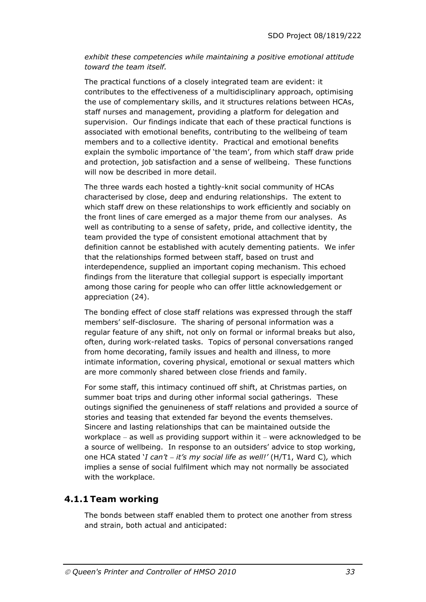*exhibit these competencies while maintaining a positive emotional attitude toward the team itself.* 

The practical functions of a closely integrated team are evident: it contributes to the effectiveness of a multidisciplinary approach, optimising the use of complementary skills, and it structures relations between HCAs, staff nurses and management, providing a platform for delegation and supervision. Our findings indicate that each of these practical functions is associated with emotional benefits, contributing to the wellbeing of team members and to a collective identity. Practical and emotional benefits explain the symbolic importance of 'the team', from which staff draw pride and protection, job satisfaction and a sense of wellbeing. These functions will now be described in more detail.

The three wards each hosted a tightly-knit social community of HCAs characterised by close, deep and enduring relationships. The extent to which staff drew on these relationships to work efficiently and sociably on the front lines of care emerged as a major theme from our analyses. As well as contributing to a sense of safety, pride, and collective identity, the team provided the type of consistent emotional attachment that by definition cannot be established with acutely dementing patients. We infer that the relationships formed between staff, based on trust and interdependence, supplied an important coping mechanism. This echoed findings from the literature that collegial support is especially important among those caring for people who can offer little acknowledgement or appreciation (24).

The bonding effect of close staff relations was expressed through the staff members' self-disclosure. The sharing of personal information was a regular feature of any shift, not only on formal or informal breaks but also, often, during work-related tasks. Topics of personal conversations ranged from home decorating, family issues and health and illness, to more intimate information, covering physical, emotional or sexual matters which are more commonly shared between close friends and family.

For some staff, this intimacy continued off shift, at Christmas parties, on summer boat trips and during other informal social gatherings. These outings signified the genuineness of staff relations and provided a source of stories and teasing that extended far beyond the events themselves. Sincere and lasting relationships that can be maintained outside the workplace – as well as providing support within it – were acknowledged to be a source of wellbeing. In response to an outsiders' advice to stop working, one HCA stated '*I can't – it's my social life as well!'* (H/T1, Ward C)*,* which implies a sense of social fulfilment which may not normally be associated with the workplace.

#### **4.1.1 Team working**

The bonds between staff enabled them to protect one another from stress and strain, both actual and anticipated: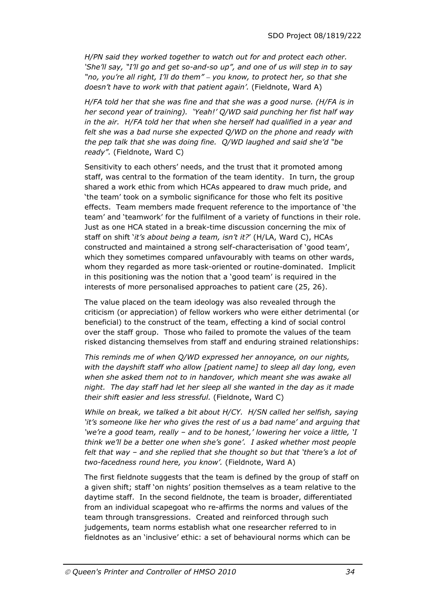*H/PN said they worked together to watch out for and protect each other. 'She'll say, "I'll go and get so-and-so up", and one of us will step in to say "no, you're all right, I'll do them" – you know, to protect her, so that she doesn't have to work with that patient again'.* (Fieldnote, Ward A)

*H/FA told her that she was fine and that she was a good nurse. (H/FA is in her second year of training). 'Yeah!' Q/WD said punching her fist half way in the air. H/FA told her that when she herself had qualified in a year and felt she was a bad nurse she expected Q/WD on the phone and ready with the pep talk that she was doing fine. Q/WD laughed and said she'd "be ready".* (Fieldnote, Ward C)

Sensitivity to each others' needs, and the trust that it promoted among staff, was central to the formation of the team identity. In turn, the group shared a work ethic from which HCAs appeared to draw much pride, and 'the team' took on a symbolic significance for those who felt its positive effects. Team members made frequent reference to the importance of 'the team' and 'teamwork' for the fulfilment of a variety of functions in their role. Just as one HCA stated in a break-time discussion concerning the mix of staff on shift '*it's about being a team, isn't it?*' (H/LA, Ward C), HCAs constructed and maintained a strong self-characterisation of 'good team', which they sometimes compared unfavourably with teams on other wards, whom they regarded as more task-oriented or routine-dominated. Implicit in this positioning was the notion that a 'good team' is required in the interests of more personalised approaches to patient care (25, 26).

The value placed on the team ideology was also revealed through the criticism (or appreciation) of fellow workers who were either detrimental (or beneficial) to the construct of the team, effecting a kind of social control over the staff group. Those who failed to promote the values of the team risked distancing themselves from staff and enduring strained relationships:

*This reminds me of when Q/WD expressed her annoyance, on our nights, with the dayshift staff who allow [patient name] to sleep all day long, even when she asked them not to in handover, which meant she was awake all night. The day staff had let her sleep all she wanted in the day as it made their shift easier and less stressful.* (Fieldnote, Ward C)

*While on break, we talked a bit about H/CY. H/SN called her selfish, saying 'it's someone like her who gives the rest of us a bad name' and arguing that 'we're a good team, really – and to be honest,' lowering her voice a little, 'I think we'll be a better one when she's gone'. I asked whether most people felt that way – and she replied that she thought so but that 'there's a lot of two-facedness round here, you know'.* (Fieldnote, Ward A)

The first fieldnote suggests that the team is defined by the group of staff on a given shift; staff 'on nights' position themselves as a team relative to the daytime staff. In the second fieldnote, the team is broader, differentiated from an individual scapegoat who re-affirms the norms and values of the team through transgressions. Created and reinforced through such judgements, team norms establish what one researcher referred to in fieldnotes as an 'inclusive' ethic: a set of behavioural norms which can be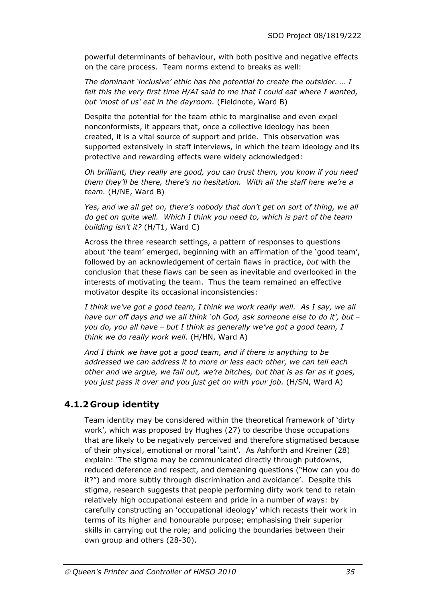powerful determinants of behaviour, with both positive and negative effects on the care process. Team norms extend to breaks as well:

*The dominant 'inclusive' ethic has the potential to create the outsider. … I felt this the very first time H/AI said to me that I could eat where I wanted, but 'most of us' eat in the dayroom.* (Fieldnote, Ward B)

Despite the potential for the team ethic to marginalise and even expel nonconformists, it appears that, once a collective ideology has been created, it is a vital source of support and pride. This observation was supported extensively in staff interviews, in which the team ideology and its protective and rewarding effects were widely acknowledged:

*Oh brilliant, they really are good, you can trust them, you know if you need them they'll be there, there's no hesitation. With all the staff here we're a team.* (H/NE, Ward B)

Yes, and we all get on, there's nobody that don't get on sort of thing, we all *do get on quite well. Which I think you need to, which is part of the team building isn't it?* (H/T1, Ward C)

Across the three research settings, a pattern of responses to questions about 'the team' emerged, beginning with an affirmation of the 'good team', followed by an acknowledgement of certain flaws in practice, *but* with the conclusion that these flaws can be seen as inevitable and overlooked in the interests of motivating the team. Thus the team remained an effective motivator despite its occasional inconsistencies:

*I think we've got a good team, I think we work really well. As I say, we all have our off days and we all think 'oh God, ask someone else to do it', but – you do, you all have – but I think as generally we've got a good team, I think we do really work well.* (H/HN, Ward A)

*And I think we have got a good team, and if there is anything to be addressed we can address it to more or less each other, we can tell each other and we argue, we fall out, we're bitches, but that is as far as it goes, you just pass it over and you just get on with your job.* (H/SN, Ward A)

#### **4.1.2 Group identity**

Team identity may be considered within the theoretical framework of 'dirty work', which was proposed by Hughes (27) to describe those occupations that are likely to be negatively perceived and therefore stigmatised because of their physical, emotional or moral 'taint'. As Ashforth and Kreiner (28) explain: 'The stigma may be communicated directly through putdowns, reduced deference and respect, and demeaning questions ("How can you do it?") and more subtly through discrimination and avoidance'. Despite this stigma, research suggests that people performing dirty work tend to retain relatively high occupational esteem and pride in a number of ways: by carefully constructing an 'occupational ideology' which recasts their work in terms of its higher and honourable purpose; emphasising their superior skills in carrying out the role; and policing the boundaries between their own group and others (28-30).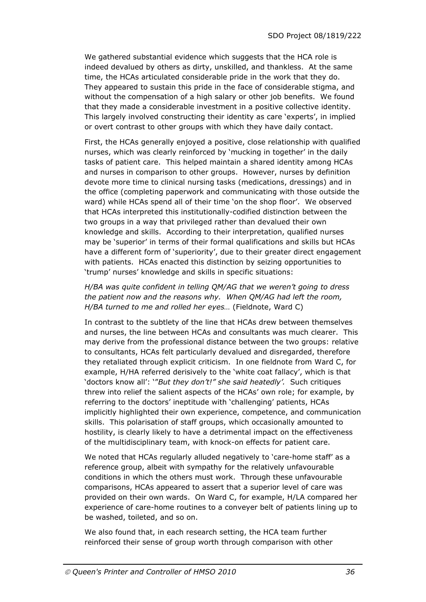We gathered substantial evidence which suggests that the HCA role is indeed devalued by others as dirty, unskilled, and thankless. At the same time, the HCAs articulated considerable pride in the work that they do. They appeared to sustain this pride in the face of considerable stigma, and without the compensation of a high salary or other job benefits. We found that they made a considerable investment in a positive collective identity. This largely involved constructing their identity as care 'experts', in implied or overt contrast to other groups with which they have daily contact.

First, the HCAs generally enjoyed a positive, close relationship with qualified nurses, which was clearly reinforced by 'mucking in together' in the daily tasks of patient care. This helped maintain a shared identity among HCAs and nurses in comparison to other groups. However, nurses by definition devote more time to clinical nursing tasks (medications, dressings) and in the office (completing paperwork and communicating with those outside the ward) while HCAs spend all of their time 'on the shop floor'. We observed that HCAs interpreted this institutionally-codified distinction between the two groups in a way that privileged rather than devalued their own knowledge and skills. According to their interpretation, qualified nurses may be 'superior' in terms of their formal qualifications and skills but HCAs have a different form of 'superiority', due to their greater direct engagement with patients. HCAs enacted this distinction by seizing opportunities to 'trump' nurses' knowledge and skills in specific situations:

#### *H/BA was quite confident in telling QM/AG that we weren't going to dress the patient now and the reasons why. When QM/AG had left the room, H/BA turned to me and rolled her eyes…* (Fieldnote, Ward C)

In contrast to the subtlety of the line that HCAs drew between themselves and nurses, the line between HCAs and consultants was much clearer. This may derive from the professional distance between the two groups: relative to consultants, HCAs felt particularly devalued and disregarded, therefore they retaliated through explicit criticism. In one fieldnote from Ward C, for example, H/HA referred derisively to the 'white coat fallacy', which is that 'doctors know all': '"*But they don't!" she said heatedly'.* Such critiques threw into relief the salient aspects of the HCAs' own role; for example, by referring to the doctors' ineptitude with 'challenging' patients, HCAs implicitly highlighted their own experience, competence, and communication skills. This polarisation of staff groups, which occasionally amounted to hostility, is clearly likely to have a detrimental impact on the effectiveness of the multidisciplinary team, with knock-on effects for patient care.

We noted that HCAs regularly alluded negatively to 'care-home staff' as a reference group, albeit with sympathy for the relatively unfavourable conditions in which the others must work. Through these unfavourable comparisons, HCAs appeared to assert that a superior level of care was provided on their own wards. On Ward C, for example, H/LA compared her experience of care-home routines to a conveyer belt of patients lining up to be washed, toileted, and so on.

We also found that, in each research setting, the HCA team further reinforced their sense of group worth through comparison with other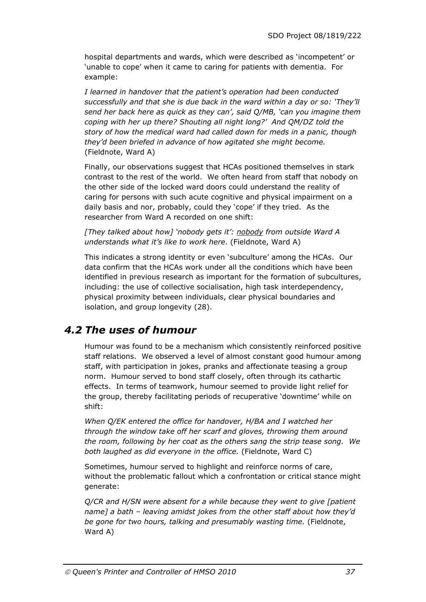hospital departments and wards, which were described as 'incompetent' or 'unable to cope' when it came to caring for patients with dementia. For example:

*I learned in handover that the patient's operation had been conducted successfully and that she is due back in the ward within a day or so: 'They'll send her back here as quick as they can', said Q/MB, 'can you imagine them coping with her up there? Shouting all night long?' And QM/DZ told the story of how the medical ward had called down for meds in a panic, though they'd been briefed in advance of how agitated she might become.*  (Fieldnote, Ward A)

Finally, our observations suggest that HCAs positioned themselves in stark contrast to the rest of the world. We often heard from staff that nobody on the other side of the locked ward doors could understand the reality of caring for persons with such acute cognitive and physical impairment on a daily basis and nor, probably, could they 'cope' if they tried. As the researcher from Ward A recorded on one shift:

*[They talked about how] 'nobody gets it': nobody from outside Ward A understands what it's like to work here*. (Fieldnote, Ward A)

This indicates a strong identity or even 'subculture' among the HCAs. Our data confirm that the HCAs work under all the conditions which have been identified in previous research as important for the formation of subcultures, including: the use of collective socialisation, high task interdependency, physical proximity between individuals, clear physical boundaries and isolation, and group longevity (28).

### *4.2 The uses of humour*

Humour was found to be a mechanism which consistently reinforced positive staff relations. We observed a level of almost constant good humour among staff, with participation in jokes, pranks and affectionate teasing a group norm. Humour served to bond staff closely, often through its cathartic effects. In terms of teamwork, humour seemed to provide light relief for the group, thereby facilitating periods of recuperative 'downtime' while on shift:

*When Q/EK entered the office for handover, H/BA and I watched her through the window take off her scarf and gloves, throwing them around the room, following by her coat as the others sang the strip tease song. We both laughed as did everyone in the office.* (Fieldnote, Ward C)

Sometimes, humour served to highlight and reinforce norms of care, without the problematic fallout which a confrontation or critical stance might generate:

*Q/CR and H/SN were absent for a while because they went to give [patient name] a bath – leaving amidst jokes from the other staff about how they'd be gone for two hours, talking and presumably wasting time.* (Fieldnote, Ward A)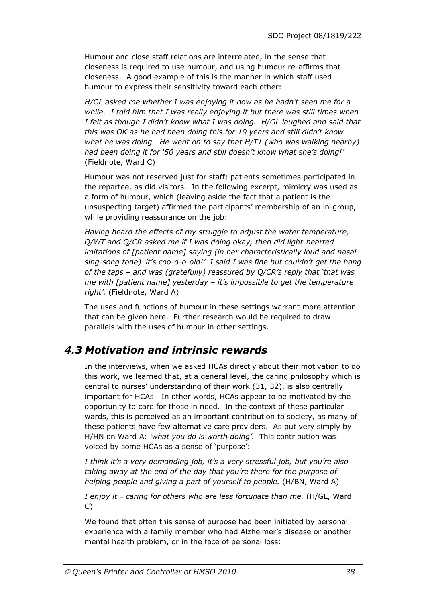Humour and close staff relations are interrelated, in the sense that closeness is required to use humour, and using humour re-affirms that closeness. A good example of this is the manner in which staff used humour to express their sensitivity toward each other:

*H/GL asked me whether I was enjoying it now as he hadn't seen me for a while. I told him that I was really enjoying it but there was still times when I felt as though I didn't know what I was doing. H/GL laughed and said that this was OK as he had been doing this for 19 years and still didn't know what he was doing. He went on to say that H/T1 (who was walking nearby) had been doing it for '50 years and still doesn't know what she's doing!'*  (Fieldnote, Ward C)

Humour was not reserved just for staff; patients sometimes participated in the repartee, as did visitors. In the following excerpt, mimicry was used as a form of humour, which (leaving aside the fact that a patient is the unsuspecting target) affirmed the participants' membership of an in-group, while providing reassurance on the job:

*Having heard the effects of my struggle to adjust the water temperature, Q/WT and Q/CR asked me if I was doing okay, then did light-hearted imitations of [patient name] saying (in her characteristically loud and nasal sing-song tone) 'it's coo-o-o-old!' I said I was fine but couldn't get the hang of the taps – and was (gratefully) reassured by Q/CR's reply that 'that was me with [patient name] yesterday – it's impossible to get the temperature right'.* (Fieldnote, Ward A)

The uses and functions of humour in these settings warrant more attention that can be given here. Further research would be required to draw parallels with the uses of humour in other settings.

### *4.3 Motivation and intrinsic rewards*

In the interviews, when we asked HCAs directly about their motivation to do this work, we learned that, at a general level, the caring philosophy which is central to nurses' understanding of their work (31, 32), is also centrally important for HCAs. In other words, HCAs appear to be motivated by the opportunity to care for those in need. In the context of these particular wards, this is perceived as an important contribution to society, as many of these patients have few alternative care providers. As put very simply by H/HN on Ward A: *'what you do is worth doing'.* This contribution was voiced by some HCAs as a sense of 'purpose':

*I think it's a very demanding job, it's a very stressful job, but you're also taking away at the end of the day that you're there for the purpose of helping people and giving a part of yourself to people.* (H/BN, Ward A)

*I enjoy it – caring for others who are less fortunate than me.* (H/GL, Ward C)

We found that often this sense of purpose had been initiated by personal experience with a family member who had Alzheimer's disease or another mental health problem, or in the face of personal loss: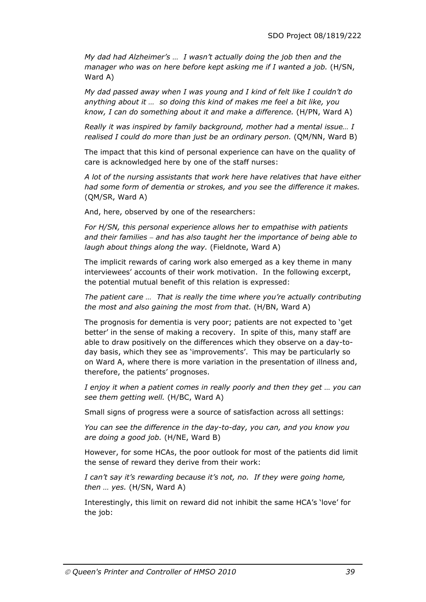*My dad had Alzheimer's … I wasn't actually doing the job then and the manager who was on here before kept asking me if I wanted a job.* (H/SN, Ward A)

*My dad passed away when I was young and I kind of felt like I couldn't do anything about it … so doing this kind of makes me feel a bit like, you know, I can do something about it and make a difference.* (H/PN, Ward A)

*Really it was inspired by family background, mother had a mental issue… I realised I could do more than just be an ordinary person.* (QM/NN, Ward B)

The impact that this kind of personal experience can have on the quality of care is acknowledged here by one of the staff nurses:

*A lot of the nursing assistants that work here have relatives that have either had some form of dementia or strokes, and you see the difference it makes.*  (QM/SR, Ward A)

And, here, observed by one of the researchers:

*For H/SN, this personal experience allows her to empathise with patients and their families – and has also taught her the importance of being able to laugh about things along the way.* (Fieldnote, Ward A)

The implicit rewards of caring work also emerged as a key theme in many interviewees' accounts of their work motivation. In the following excerpt, the potential mutual benefit of this relation is expressed:

*The patient care … That is really the time where you're actually contributing the most and also gaining the most from that.* (H/BN, Ward A)

The prognosis for dementia is very poor; patients are not expected to 'get better' in the sense of making a recovery. In spite of this, many staff are able to draw positively on the differences which they observe on a day-today basis, which they see as 'improvements'. This may be particularly so on Ward A, where there is more variation in the presentation of illness and, therefore, the patients' prognoses.

*I enjoy it when a patient comes in really poorly and then they get … you can see them getting well.* (H/BC, Ward A)

Small signs of progress were a source of satisfaction across all settings:

*You can see the difference in the day-to-day, you can, and you know you are doing a good job.* (H/NE, Ward B)

However, for some HCAs, the poor outlook for most of the patients did limit the sense of reward they derive from their work:

*I can't say it's rewarding because it's not, no. If they were going home, then … yes.* (H/SN, Ward A)

Interestingly, this limit on reward did not inhibit the same HCA's 'love' for the job: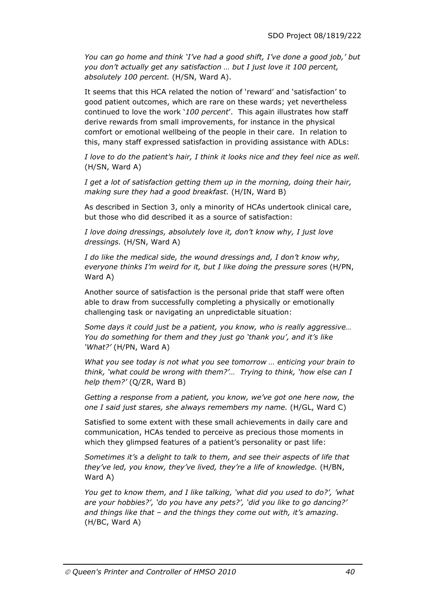*You can go home and think 'I've had a good shift, I've done a good job,' but you don't actually get any satisfaction … but I just love it 100 percent, absolutely 100 percent.* (H/SN, Ward A).

It seems that this HCA related the notion of 'reward' and 'satisfaction' to good patient outcomes, which are rare on these wards; yet nevertheless continued to love the work '*100 percent*'. This again illustrates how staff derive rewards from small improvements, for instance in the physical comfort or emotional wellbeing of the people in their care. In relation to this, many staff expressed satisfaction in providing assistance with ADLs:

*I love to do the patient's hair, I think it looks nice and they feel nice as well.*  (H/SN, Ward A)

*I get a lot of satisfaction getting them up in the morning, doing their hair, making sure they had a good breakfast.* (H/IN, Ward B)

As described in Section 3, only a minority of HCAs undertook clinical care, but those who did described it as a source of satisfaction:

*I love doing dressings, absolutely love it, don't know why, I just love dressings.* (H/SN, Ward A)

*I do like the medical side, the wound dressings and, I don't know why, everyone thinks I'm weird for it, but I like doing the pressure sores* (H/PN, Ward A)

Another source of satisfaction is the personal pride that staff were often able to draw from successfully completing a physically or emotionally challenging task or navigating an unpredictable situation:

*Some days it could just be a patient, you know, who is really aggressive… You do something for them and they just go 'thank you', and it's like 'What?'* (H/PN, Ward A)

*What you see today is not what you see tomorrow … enticing your brain to think, 'what could be wrong with them?'… Trying to think, 'how else can I help them?'* (Q/ZR, Ward B)

*Getting a response from a patient, you know, we've got one here now, the one I said just stares, she always remembers my name.* (H/GL, Ward C)

Satisfied to some extent with these small achievements in daily care and communication, HCAs tended to perceive as precious those moments in which they glimpsed features of a patient's personality or past life:

*Sometimes it's a delight to talk to them, and see their aspects of life that they've led, you know, they've lived, they're a life of knowledge.* (H/BN, Ward A)

*You get to know them, and I like talking, 'what did you used to do?', 'what are your hobbies?', 'do you have any pets?', 'did you like to go dancing?' and things like that – and the things they come out with, it's amazing.*  (H/BC, Ward A)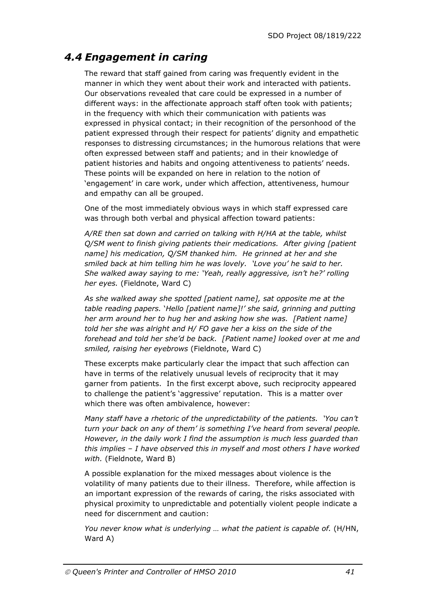### *4.4 Engagement in caring*

The reward that staff gained from caring was frequently evident in the manner in which they went about their work and interacted with patients. Our observations revealed that care could be expressed in a number of different ways: in the affectionate approach staff often took with patients; in the frequency with which their communication with patients was expressed in physical contact; in their recognition of the personhood of the patient expressed through their respect for patients' dignity and empathetic responses to distressing circumstances; in the humorous relations that were often expressed between staff and patients; and in their knowledge of patient histories and habits and ongoing attentiveness to patients' needs. These points will be expanded on here in relation to the notion of 'engagement' in care work, under which affection, attentiveness, humour and empathy can all be grouped.

One of the most immediately obvious ways in which staff expressed care was through both verbal and physical affection toward patients:

*A/RE then sat down and carried on talking with H/HA at the table, whilst Q/SM went to finish giving patients their medications. After giving [patient name] his medication, Q/SM thanked him. He grinned at her and she smiled back at him telling him he was lovely. 'Love you' he said to her. She walked away saying to me: 'Yeah, really aggressive, isn't he?' rolling her eyes.* (Fieldnote, Ward C)

*As she walked away she spotted [patient name], sat opposite me at the table reading papers.* '*Hello [patient name]!' she said, grinning and putting her arm around her to hug her and asking how she was. [Patient name] told her she was alright and H/ FO gave her a kiss on the side of the forehead and told her she'd be back. [Patient name] looked over at me and smiled, raising her eyebrows* (Fieldnote, Ward C)

These excerpts make particularly clear the impact that such affection can have in terms of the relatively unusual levels of reciprocity that it may garner from patients. In the first excerpt above, such reciprocity appeared to challenge the patient's 'aggressive' reputation. This is a matter over which there was often ambivalence, however:

*Many staff have a rhetoric of the unpredictability of the patients. 'You can't turn your back on any of them' is something I've heard from several people. However, in the daily work I find the assumption is much less guarded than this implies – I have observed this in myself and most others I have worked with.* (Fieldnote, Ward B)

A possible explanation for the mixed messages about violence is the volatility of many patients due to their illness. Therefore, while affection is an important expression of the rewards of caring, the risks associated with physical proximity to unpredictable and potentially violent people indicate a need for discernment and caution:

*You never know what is underlying ... what the patient is capable of.* (H/HN, Ward A)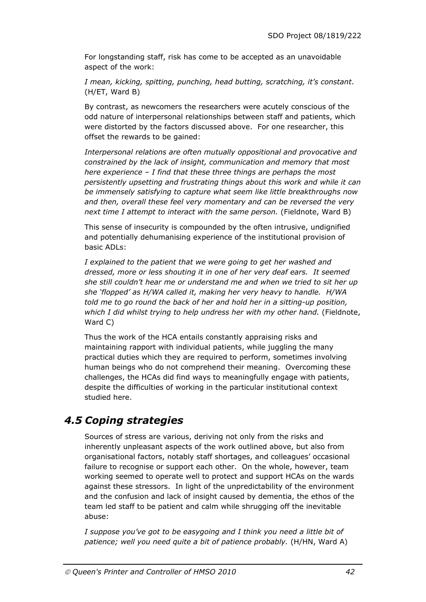For longstanding staff, risk has come to be accepted as an unavoidable aspect of the work:

*I mean, kicking, spitting, punching, head butting, scratching, it's constant*. (H/ET, Ward B)

By contrast, as newcomers the researchers were acutely conscious of the odd nature of interpersonal relationships between staff and patients, which were distorted by the factors discussed above. For one researcher, this offset the rewards to be gained:

*Interpersonal relations are often mutually oppositional and provocative and constrained by the lack of insight, communication and memory that most here experience – I find that these three things are perhaps the most persistently upsetting and frustrating things about this work and while it can be immensely satisfying to capture what seem like little breakthroughs now and then, overall these feel very momentary and can be reversed the very next time I attempt to interact with the same person.* (Fieldnote, Ward B)

This sense of insecurity is compounded by the often intrusive, undignified and potentially dehumanising experience of the institutional provision of basic ADLs:

*I explained to the patient that we were going to get her washed and dressed, more or less shouting it in one of her very deaf ears. It seemed she still couldn't hear me or understand me and when we tried to sit her up she 'flopped' as H/WA called it, making her very heavy to handle. H/WA told me to go round the back of her and hold her in a sitting-up position,*  which I did whilst trying to help undress her with my other hand. (Fieldnote, Ward C)

Thus the work of the HCA entails constantly appraising risks and maintaining rapport with individual patients, while juggling the many practical duties which they are required to perform, sometimes involving human beings who do not comprehend their meaning. Overcoming these challenges, the HCAs did find ways to meaningfully engage with patients, despite the difficulties of working in the particular institutional context studied here.

# *4.5 Coping strategies*

Sources of stress are various, deriving not only from the risks and inherently unpleasant aspects of the work outlined above, but also from organisational factors, notably staff shortages, and colleagues' occasional failure to recognise or support each other. On the whole, however, team working seemed to operate well to protect and support HCAs on the wards against these stressors. In light of the unpredictability of the environment and the confusion and lack of insight caused by dementia, the ethos of the team led staff to be patient and calm while shrugging off the inevitable abuse:

*I suppose you've got to be easygoing and I think you need a little bit of patience; well you need quite a bit of patience probably.* (H/HN, Ward A)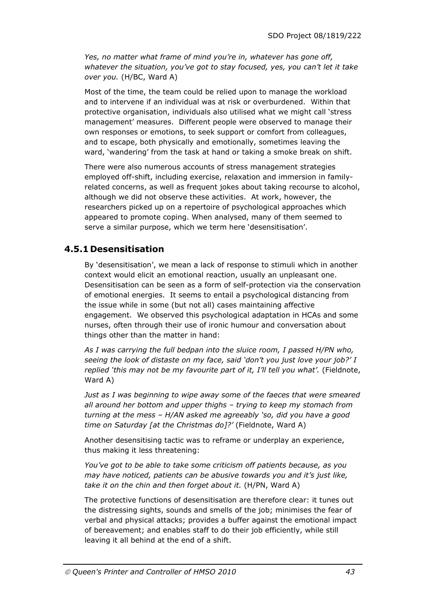*Yes, no matter what frame of mind you're in, whatever has gone off, whatever the situation, you've got to stay focused, yes, you can't let it take over you.* (H/BC, Ward A)

Most of the time, the team could be relied upon to manage the workload and to intervene if an individual was at risk or overburdened. Within that protective organisation, individuals also utilised what we might call 'stress management' measures. Different people were observed to manage their own responses or emotions, to seek support or comfort from colleagues, and to escape, both physically and emotionally, sometimes leaving the ward, 'wandering' from the task at hand or taking a smoke break on shift.

There were also numerous accounts of stress management strategies employed off-shift, including exercise, relaxation and immersion in familyrelated concerns, as well as frequent jokes about taking recourse to alcohol, although we did not observe these activities. At work, however, the researchers picked up on a repertoire of psychological approaches which appeared to promote coping. When analysed, many of them seemed to serve a similar purpose, which we term here 'desensitisation'.

### **4.5.1 Desensitisation**

By 'desensitisation', we mean a lack of response to stimuli which in another context would elicit an emotional reaction, usually an unpleasant one. Desensitisation can be seen as a form of self-protection via the conservation of emotional energies. It seems to entail a psychological distancing from the issue while in some (but not all) cases maintaining affective engagement. We observed this psychological adaptation in HCAs and some nurses, often through their use of ironic humour and conversation about things other than the matter in hand:

*As I was carrying the full bedpan into the sluice room, I passed H/PN who, seeing the look of distaste on my face, said 'don't you just love your job?' I*  replied 'this may not be my favourite part of it, I'll tell you what'. (Fieldnote, Ward A)

*Just as I was beginning to wipe away some of the faeces that were smeared all around her bottom and upper thighs – trying to keep my stomach from turning at the mess – H/AN asked me agreeably 'so, did you have a good time on Saturday [at the Christmas do]?'* (Fieldnote, Ward A)

Another desensitising tactic was to reframe or underplay an experience, thus making it less threatening:

*You've got to be able to take some criticism off patients because, as you may have noticed, patients can be abusive towards you and it's just like, take it on the chin and then forget about it.* (H/PN, Ward A)

The protective functions of desensitisation are therefore clear: it tunes out the distressing sights, sounds and smells of the job; minimises the fear of verbal and physical attacks; provides a buffer against the emotional impact of bereavement; and enables staff to do their job efficiently, while still leaving it all behind at the end of a shift.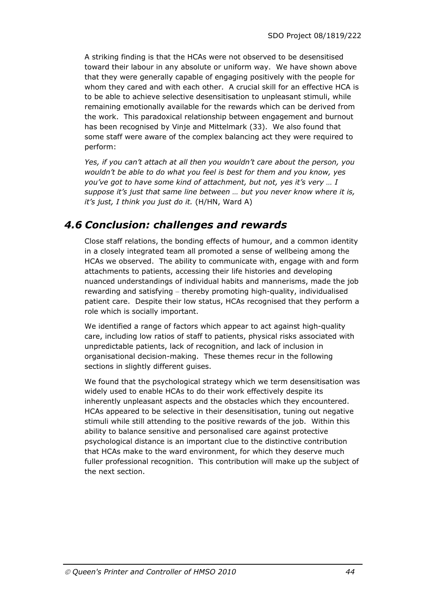A striking finding is that the HCAs were not observed to be desensitised toward their labour in any absolute or uniform way. We have shown above that they were generally capable of engaging positively with the people for whom they cared and with each other. A crucial skill for an effective HCA is to be able to achieve selective desensitisation to unpleasant stimuli, while remaining emotionally available for the rewards which can be derived from the work. This paradoxical relationship between engagement and burnout has been recognised by Vinje and Mittelmark (33). We also found that some staff were aware of the complex balancing act they were required to perform:

*Yes, if you can't attach at all then you wouldn't care about the person, you wouldn't be able to do what you feel is best for them and you know, yes you've got to have some kind of attachment, but not, yes it's very … I suppose it's just that same line between … but you never know where it is, it's just, I think you just do it.* (H/HN, Ward A)

### *4.6 Conclusion: challenges and rewards*

Close staff relations, the bonding effects of humour, and a common identity in a closely integrated team all promoted a sense of wellbeing among the HCAs we observed. The ability to communicate with, engage with and form attachments to patients, accessing their life histories and developing nuanced understandings of individual habits and mannerisms, made the job rewarding and satisfying – thereby promoting high-quality, individualised patient care. Despite their low status, HCAs recognised that they perform a role which is socially important.

We identified a range of factors which appear to act against high-quality care, including low ratios of staff to patients, physical risks associated with unpredictable patients, lack of recognition, and lack of inclusion in organisational decision-making. These themes recur in the following sections in slightly different guises.

We found that the psychological strategy which we term desensitisation was widely used to enable HCAs to do their work effectively despite its inherently unpleasant aspects and the obstacles which they encountered. HCAs appeared to be selective in their desensitisation, tuning out negative stimuli while still attending to the positive rewards of the job. Within this ability to balance sensitive and personalised care against protective psychological distance is an important clue to the distinctive contribution that HCAs make to the ward environment, for which they deserve much fuller professional recognition. This contribution will make up the subject of the next section.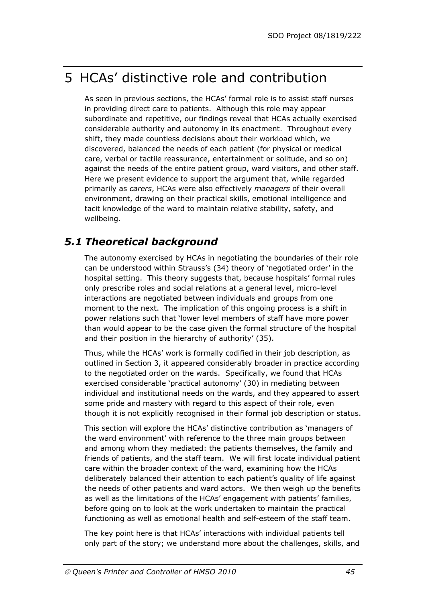# 5 HCAs' distinctive role and contribution

As seen in previous sections, the HCAs' formal role is to assist staff nurses in providing direct care to patients. Although this role may appear subordinate and repetitive, our findings reveal that HCAs actually exercised considerable authority and autonomy in its enactment. Throughout every shift, they made countless decisions about their workload which, we discovered, balanced the needs of each patient (for physical or medical care, verbal or tactile reassurance, entertainment or solitude, and so on) against the needs of the entire patient group, ward visitors, and other staff. Here we present evidence to support the argument that, while regarded primarily as *carers*, HCAs were also effectively *managers* of their overall environment, drawing on their practical skills, emotional intelligence and tacit knowledge of the ward to maintain relative stability, safety, and wellbeing.

## *5.1 Theoretical background*

The autonomy exercised by HCAs in negotiating the boundaries of their role can be understood within Strauss's (34) theory of 'negotiated order' in the hospital setting. This theory suggests that, because hospitals' formal rules only prescribe roles and social relations at a general level, micro-level interactions are negotiated between individuals and groups from one moment to the next. The implication of this ongoing process is a shift in power relations such that 'lower level members of staff have more power than would appear to be the case given the formal structure of the hospital and their position in the hierarchy of authority' (35).

Thus, while the HCAs' work is formally codified in their job description, as outlined in Section 3, it appeared considerably broader in practice according to the negotiated order on the wards. Specifically, we found that HCAs exercised considerable 'practical autonomy' (30) in mediating between individual and institutional needs on the wards, and they appeared to assert some pride and mastery with regard to this aspect of their role, even though it is not explicitly recognised in their formal job description or status.

This section will explore the HCAs' distinctive contribution as 'managers of the ward environment' with reference to the three main groups between and among whom they mediated: the patients themselves, the family and friends of patients, and the staff team. We will first locate individual patient care within the broader context of the ward, examining how the HCAs deliberately balanced their attention to each patient's quality of life against the needs of other patients and ward actors. We then weigh up the benefits as well as the limitations of the HCAs' engagement with patients' families, before going on to look at the work undertaken to maintain the practical functioning as well as emotional health and self-esteem of the staff team.

The key point here is that HCAs' interactions with individual patients tell only part of the story; we understand more about the challenges, skills, and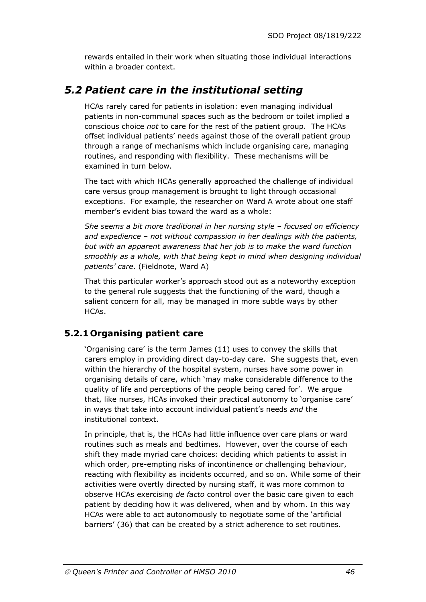rewards entailed in their work when situating those individual interactions within a broader context.

### *5.2 Patient care in the institutional setting*

HCAs rarely cared for patients in isolation: even managing individual patients in non-communal spaces such as the bedroom or toilet implied a conscious choice *not* to care for the rest of the patient group. The HCAs offset individual patients' needs against those of the overall patient group through a range of mechanisms which include organising care, managing routines, and responding with flexibility. These mechanisms will be examined in turn below.

The tact with which HCAs generally approached the challenge of individual care versus group management is brought to light through occasional exceptions. For example, the researcher on Ward A wrote about one staff member's evident bias toward the ward as a whole:

*She seems a bit more traditional in her nursing style – focused on efficiency and expedience – not without compassion in her dealings with the patients, but with an apparent awareness that her job is to make the ward function smoothly as a whole, with that being kept in mind when designing individual patients' care*. (Fieldnote, Ward A)

That this particular worker's approach stood out as a noteworthy exception to the general rule suggests that the functioning of the ward, though a salient concern for all, may be managed in more subtle ways by other HCAs.

### **5.2.1 Organising patient care**

'Organising care' is the term James (11) uses to convey the skills that carers employ in providing direct day-to-day care. She suggests that, even within the hierarchy of the hospital system, nurses have some power in organising details of care, which 'may make considerable difference to the quality of life and perceptions of the people being cared for'. We argue that, like nurses, HCAs invoked their practical autonomy to 'organise care' in ways that take into account individual patient's needs *and* the institutional context.

In principle, that is, the HCAs had little influence over care plans or ward routines such as meals and bedtimes. However, over the course of each shift they made myriad care choices: deciding which patients to assist in which order, pre-empting risks of incontinence or challenging behaviour, reacting with flexibility as incidents occurred, and so on. While some of their activities were overtly directed by nursing staff, it was more common to observe HCAs exercising *de facto* control over the basic care given to each patient by deciding how it was delivered, when and by whom. In this way HCAs were able to act autonomously to negotiate some of the 'artificial barriers' (36) that can be created by a strict adherence to set routines.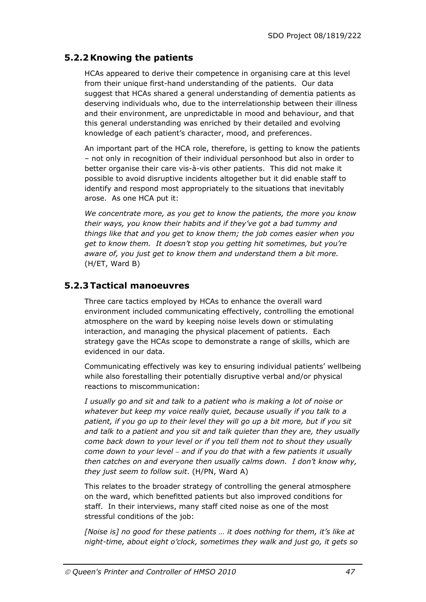### **5.2.2Knowing the patients**

HCAs appeared to derive their competence in organising care at this level from their unique first-hand understanding of the patients. Our data suggest that HCAs shared a general understanding of dementia patients as deserving individuals who, due to the interrelationship between their illness and their environment, are unpredictable in mood and behaviour, and that this general understanding was enriched by their detailed and evolving knowledge of each patient's character, mood, and preferences.

An important part of the HCA role, therefore, is getting to know the patients – not only in recognition of their individual personhood but also in order to better organise their care vis-à-vis other patients. This did not make it possible to avoid disruptive incidents altogether but it did enable staff to identify and respond most appropriately to the situations that inevitably arose. As one HCA put it:

*We concentrate more, as you get to know the patients, the more you know their ways, you know their habits and if they've got a bad tummy and things like that and you get to know them; the job comes easier when you get to know them. It doesn't stop you getting hit sometimes, but you're aware of, you just get to know them and understand them a bit more.*  (H/ET, Ward B)

### **5.2.3 Tactical manoeuvres**

Three care tactics employed by HCAs to enhance the overall ward environment included communicating effectively, controlling the emotional atmosphere on the ward by keeping noise levels down or stimulating interaction, and managing the physical placement of patients. Each strategy gave the HCAs scope to demonstrate a range of skills, which are evidenced in our data.

Communicating effectively was key to ensuring individual patients' wellbeing while also forestalling their potentially disruptive verbal and/or physical reactions to miscommunication:

*I usually go and sit and talk to a patient who is making a lot of noise or whatever but keep my voice really quiet, because usually if you talk to a patient, if you go up to their level they will go up a bit more, but if you sit and talk to a patient and you sit and talk quieter than they are, they usually come back down to your level or if you tell them not to shout they usually come down to your level – and if you do that with a few patients it usually then catches on and everyone then usually calms down. I don't know why, they just seem to follow suit*. (H/PN, Ward A)

This relates to the broader strategy of controlling the general atmosphere on the ward, which benefitted patients but also improved conditions for staff. In their interviews, many staff cited noise as one of the most stressful conditions of the job:

*[Noise is] no good for these patients … it does nothing for them, it's like at night-time, about eight o'clock, sometimes they walk and just go, it gets so*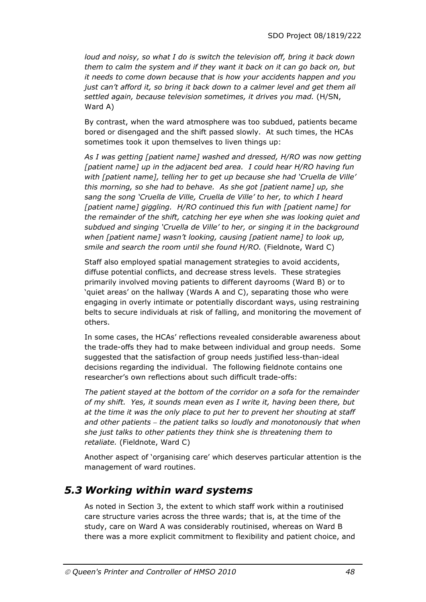*loud and noisy, so what I do is switch the television off, bring it back down them to calm the system and if they want it back on it can go back on, but it needs to come down because that is how your accidents happen and you just can't afford it, so bring it back down to a calmer level and get them all settled again, because television sometimes, it drives you mad.* (H/SN, Ward A)

By contrast, when the ward atmosphere was too subdued, patients became bored or disengaged and the shift passed slowly. At such times, the HCAs sometimes took it upon themselves to liven things up:

*As I was getting [patient name] washed and dressed, H/RO was now getting [patient name] up in the adjacent bed area. I could hear H/RO having fun with [patient name], telling her to get up because she had 'Cruella de Ville' this morning, so she had to behave. As she got [patient name] up, she sang the song 'Cruella de Ville, Cruella de Ville' to her, to which I heard [patient name] giggling. H/RO continued this fun with [patient name] for the remainder of the shift, catching her eye when she was looking quiet and subdued and singing 'Cruella de Ville' to her, or singing it in the background when [patient name] wasn't looking, causing [patient name] to look up, smile and search the room until she found H/RO.* (Fieldnote, Ward C)

Staff also employed spatial management strategies to avoid accidents, diffuse potential conflicts, and decrease stress levels. These strategies primarily involved moving patients to different dayrooms (Ward B) or to 'quiet areas' on the hallway (Wards A and C), separating those who were engaging in overly intimate or potentially discordant ways, using restraining belts to secure individuals at risk of falling, and monitoring the movement of others.

In some cases, the HCAs' reflections revealed considerable awareness about the trade-offs they had to make between individual and group needs. Some suggested that the satisfaction of group needs justified less-than-ideal decisions regarding the individual. The following fieldnote contains one researcher's own reflections about such difficult trade-offs:

*The patient stayed at the bottom of the corridor on a sofa for the remainder of my shift. Yes, it sounds mean even as I write it, having been there, but at the time it was the only place to put her to prevent her shouting at staff and other patients – the patient talks so loudly and monotonously that when she just talks to other patients they think she is threatening them to retaliate.* (Fieldnote, Ward C)

Another aspect of 'organising care' which deserves particular attention is the management of ward routines.

### *5.3 Working within ward systems*

As noted in Section 3, the extent to which staff work within a routinised care structure varies across the three wards; that is, at the time of the study, care on Ward A was considerably routinised, whereas on Ward B there was a more explicit commitment to flexibility and patient choice, and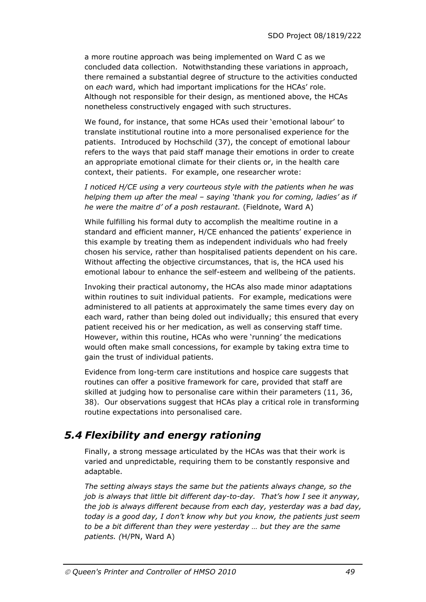a more routine approach was being implemented on Ward C as we concluded data collection. Notwithstanding these variations in approach, there remained a substantial degree of structure to the activities conducted on *each* ward, which had important implications for the HCAs' role. Although not responsible for their design, as mentioned above, the HCAs nonetheless constructively engaged with such structures.

We found, for instance, that some HCAs used their 'emotional labour' to translate institutional routine into a more personalised experience for the patients. Introduced by Hochschild (37), the concept of emotional labour refers to the ways that paid staff manage their emotions in order to create an appropriate emotional climate for their clients or, in the health care context, their patients. For example, one researcher wrote:

*I noticed H/CE using a very courteous style with the patients when he was helping them up after the meal – saying 'thank you for coming, ladies' as if he were the maitre d' of a posh restaurant.* (Fieldnote, Ward A)

While fulfilling his formal duty to accomplish the mealtime routine in a standard and efficient manner, H/CE enhanced the patients' experience in this example by treating them as independent individuals who had freely chosen his service, rather than hospitalised patients dependent on his care. Without affecting the objective circumstances, that is, the HCA used his emotional labour to enhance the self-esteem and wellbeing of the patients.

Invoking their practical autonomy, the HCAs also made minor adaptations within routines to suit individual patients. For example, medications were administered to all patients at approximately the same times every day on each ward, rather than being doled out individually; this ensured that every patient received his or her medication, as well as conserving staff time. However, within this routine, HCAs who were 'running' the medications would often make small concessions, for example by taking extra time to gain the trust of individual patients.

Evidence from long-term care institutions and hospice care suggests that routines can offer a positive framework for care, provided that staff are skilled at judging how to personalise care within their parameters (11, 36, 38). Our observations suggest that HCAs play a critical role in transforming routine expectations into personalised care.

# *5.4 Flexibility and energy rationing*

Finally, a strong message articulated by the HCAs was that their work is varied and unpredictable, requiring them to be constantly responsive and adaptable.

*The setting always stays the same but the patients always change, so the job is always that little bit different day-to-day. That's how I see it anyway, the job is always different because from each day, yesterday was a bad day, today is a good day, I don't know why but you know, the patients just seem to be a bit different than they were yesterday … but they are the same patients. (*H/PN, Ward A)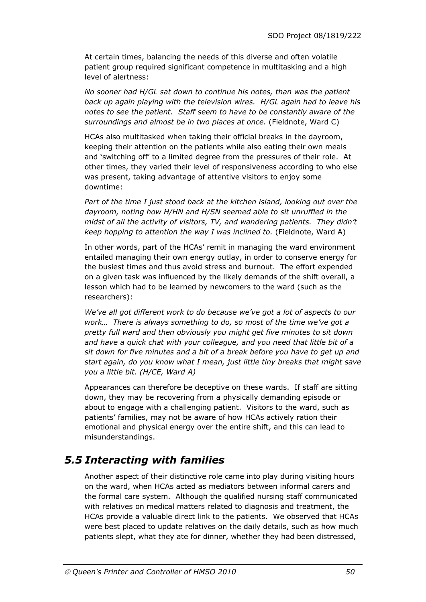At certain times, balancing the needs of this diverse and often volatile patient group required significant competence in multitasking and a high level of alertness:

*No sooner had H/GL sat down to continue his notes, than was the patient back up again playing with the television wires. H/GL again had to leave his notes to see the patient. Staff seem to have to be constantly aware of the surroundings and almost be in two places at once.* (Fieldnote, Ward C)

HCAs also multitasked when taking their official breaks in the dayroom, keeping their attention on the patients while also eating their own meals and 'switching off' to a limited degree from the pressures of their role. At other times, they varied their level of responsiveness according to who else was present, taking advantage of attentive visitors to enjoy some downtime:

*Part of the time I just stood back at the kitchen island, looking out over the dayroom, noting how H/HN and H/SN seemed able to sit unruffled in the midst of all the activity of visitors, TV, and wandering patients. They didn't keep hopping to attention the way I was inclined to.* (Fieldnote, Ward A)

In other words, part of the HCAs' remit in managing the ward environment entailed managing their own energy outlay, in order to conserve energy for the busiest times and thus avoid stress and burnout. The effort expended on a given task was influenced by the likely demands of the shift overall, a lesson which had to be learned by newcomers to the ward (such as the researchers):

*We've all got different work to do because we've got a lot of aspects to our work… There is always something to do, so most of the time we've got a pretty full ward and then obviously you might get five minutes to sit down and have a quick chat with your colleague, and you need that little bit of a sit down for five minutes and a bit of a break before you have to get up and start again, do you know what I mean, just little tiny breaks that might save you a little bit. (H/CE, Ward A)* 

Appearances can therefore be deceptive on these wards. If staff are sitting down, they may be recovering from a physically demanding episode or about to engage with a challenging patient. Visitors to the ward, such as patients' families, may not be aware of how HCAs actively ration their emotional and physical energy over the entire shift, and this can lead to misunderstandings.

# *5.5 Interacting with families*

Another aspect of their distinctive role came into play during visiting hours on the ward, when HCAs acted as mediators between informal carers and the formal care system. Although the qualified nursing staff communicated with relatives on medical matters related to diagnosis and treatment, the HCAs provide a valuable direct link to the patients. We observed that HCAs were best placed to update relatives on the daily details, such as how much patients slept, what they ate for dinner, whether they had been distressed,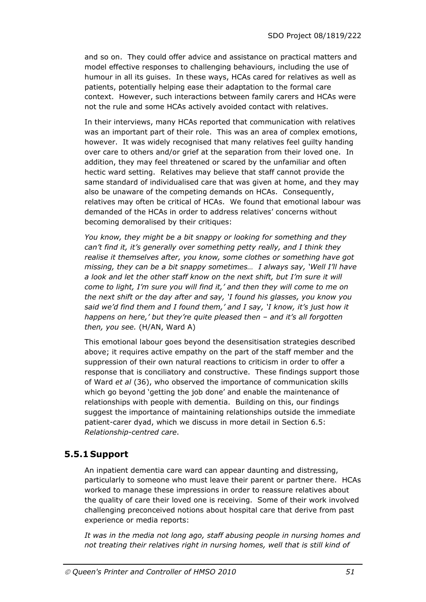and so on. They could offer advice and assistance on practical matters and model effective responses to challenging behaviours, including the use of humour in all its guises. In these ways, HCAs cared for relatives as well as patients, potentially helping ease their adaptation to the formal care context. However, such interactions between family carers and HCAs were not the rule and some HCAs actively avoided contact with relatives.

In their interviews, many HCAs reported that communication with relatives was an important part of their role. This was an area of complex emotions, however. It was widely recognised that many relatives feel guilty handing over care to others and/or grief at the separation from their loved one. In addition, they may feel threatened or scared by the unfamiliar and often hectic ward setting. Relatives may believe that staff cannot provide the same standard of individualised care that was given at home, and they may also be unaware of the competing demands on HCAs. Consequently, relatives may often be critical of HCAs. We found that emotional labour was demanded of the HCAs in order to address relatives' concerns without becoming demoralised by their critiques:

*You know, they might be a bit snappy or looking for something and they can't find it, it's generally over something petty really, and I think they realise it themselves after, you know, some clothes or something have got missing, they can be a bit snappy sometimes… I always say, 'Well I'll have a look and let the other staff know on the next shift, but I'm sure it will come to light, I'm sure you will find it,' and then they will come to me on the next shift or the day after and say, 'I found his glasses, you know you said we'd find them and I found them,' and I say, 'I know, it's just how it happens on here,' but they're quite pleased then – and it's all forgotten then, you see.* (H/AN, Ward A)

This emotional labour goes beyond the desensitisation strategies described above; it requires active empathy on the part of the staff member and the suppression of their own natural reactions to criticism in order to offer a response that is conciliatory and constructive. These findings support those of Ward *et al* (36), who observed the importance of communication skills which go beyond 'getting the job done' and enable the maintenance of relationships with people with dementia. Building on this, our findings suggest the importance of maintaining relationships outside the immediate patient-carer dyad, which we discuss in more detail in Section 6.5: *Relationship-centred care*.

### **5.5.1 Support**

An inpatient dementia care ward can appear daunting and distressing, particularly to someone who must leave their parent or partner there. HCAs worked to manage these impressions in order to reassure relatives about the quality of care their loved one is receiving. Some of their work involved challenging preconceived notions about hospital care that derive from past experience or media reports:

*It was in the media not long ago, staff abusing people in nursing homes and not treating their relatives right in nursing homes, well that is still kind of*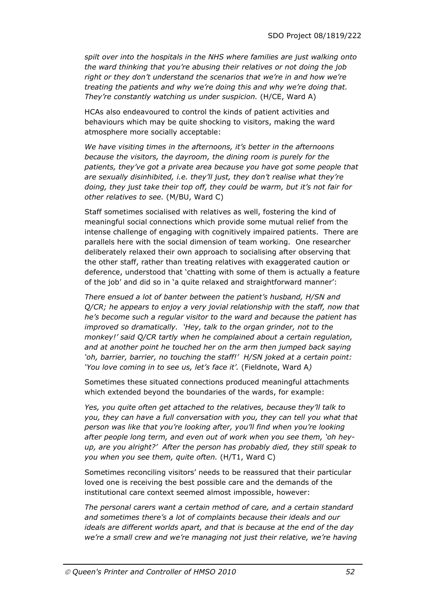*spilt over into the hospitals in the NHS where families are just walking onto the ward thinking that you're abusing their relatives or not doing the job right or they don't understand the scenarios that we're in and how we're treating the patients and why we're doing this and why we're doing that. They're constantly watching us under suspicion.* (H/CE, Ward A)

HCAs also endeavoured to control the kinds of patient activities and behaviours which may be quite shocking to visitors, making the ward atmosphere more socially acceptable:

*We have visiting times in the afternoons, it's better in the afternoons because the visitors, the dayroom, the dining room is purely for the patients, they've got a private area because you have got some people that are sexually disinhibited, i.e. they'll just, they don't realise what they're doing, they just take their top off, they could be warm, but it's not fair for other relatives to see.* (M/BU, Ward C)

Staff sometimes socialised with relatives as well, fostering the kind of meaningful social connections which provide some mutual relief from the intense challenge of engaging with cognitively impaired patients. There are parallels here with the social dimension of team working. One researcher deliberately relaxed their own approach to socialising after observing that the other staff, rather than treating relatives with exaggerated caution or deference, understood that 'chatting with some of them is actually a feature of the job' and did so in 'a quite relaxed and straightforward manner':

*There ensued a lot of banter between the patient's husband, H/SN and Q/CR; he appears to enjoy a very jovial relationship with the staff, now that he's become such a regular visitor to the ward and because the patient has improved so dramatically. 'Hey, talk to the organ grinder, not to the monkey!' said Q/CR tartly when he complained about a certain regulation, and at another point he touched her on the arm then jumped back saying 'oh, barrier, barrier, no touching the staff!' H/SN joked at a certain point: 'You love coming in to see us, let's face it'.* (Fieldnote, Ward A*)* 

Sometimes these situated connections produced meaningful attachments which extended beyond the boundaries of the wards, for example:

*Yes, you quite often get attached to the relatives, because they'll talk to you, they can have a full conversation with you, they can tell you what that person was like that you're looking after, you'll find when you're looking after people long term, and even out of work when you see them, 'oh heyup, are you alright?' After the person has probably died, they still speak to you when you see them, quite often.* (H/T1, Ward C)

Sometimes reconciling visitors' needs to be reassured that their particular loved one is receiving the best possible care and the demands of the institutional care context seemed almost impossible, however:

*The personal carers want a certain method of care, and a certain standard and sometimes there's a lot of complaints because their ideals and our ideals are different worlds apart, and that is because at the end of the day we're a small crew and we're managing not just their relative, we're having*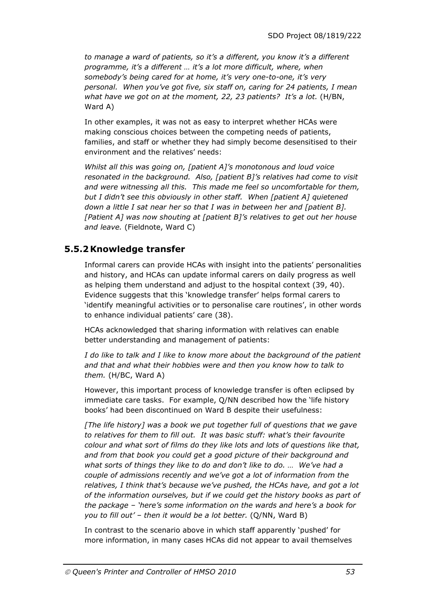*to manage a ward of patients, so it's a different, you know it's a different programme, it's a different … it's a lot more difficult, where, when somebody's being cared for at home, it's very one-to-one, it's very personal. When you've got five, six staff on, caring for 24 patients, I mean what have we got on at the moment, 22, 23 patients? It's a lot.* (H/BN, Ward A)

In other examples, it was not as easy to interpret whether HCAs were making conscious choices between the competing needs of patients, families, and staff or whether they had simply become desensitised to their environment and the relatives' needs:

*Whilst all this was going on, [patient A]'s monotonous and loud voice resonated in the background. Also, [patient B]'s relatives had come to visit and were witnessing all this. This made me feel so uncomfortable for them, but I didn't see this obviously in other staff. When [patient A] quietened down a little I sat near her so that I was in between her and [patient B]. [Patient A] was now shouting at [patient B]'s relatives to get out her house and leave.* (Fieldnote, Ward C)

### **5.5.2Knowledge transfer**

Informal carers can provide HCAs with insight into the patients' personalities and history, and HCAs can update informal carers on daily progress as well as helping them understand and adjust to the hospital context (39, 40). Evidence suggests that this 'knowledge transfer' helps formal carers to 'identify meaningful activities or to personalise care routines', in other words to enhance individual patients' care (38).

HCAs acknowledged that sharing information with relatives can enable better understanding and management of patients:

*I do like to talk and I like to know more about the background of the patient and that and what their hobbies were and then you know how to talk to them.* (H/BC, Ward A)

However, this important process of knowledge transfer is often eclipsed by immediate care tasks. For example, Q/NN described how the 'life history books' had been discontinued on Ward B despite their usefulness:

*[The life history] was a book we put together full of questions that we gave to relatives for them to fill out. It was basic stuff: what's their favourite colour and what sort of films do they like lots and lots of questions like that, and from that book you could get a good picture of their background and what sorts of things they like to do and don't like to do. … We've had a couple of admissions recently and we've got a lot of information from the relatives, I think that's because we've pushed, the HCAs have, and got a lot of the information ourselves, but if we could get the history books as part of the package – 'here's some information on the wards and here's a book for you to fill out' – then it would be a lot better.* (Q/NN, Ward B)

In contrast to the scenario above in which staff apparently 'pushed' for more information, in many cases HCAs did not appear to avail themselves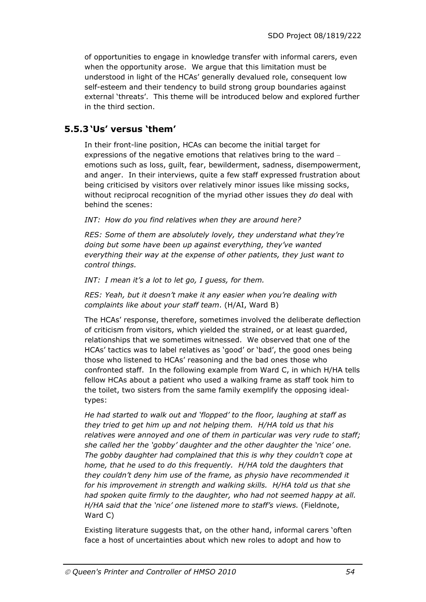of opportunities to engage in knowledge transfer with informal carers, even when the opportunity arose. We argue that this limitation must be understood in light of the HCAs' generally devalued role, consequent low self-esteem and their tendency to build strong group boundaries against external 'threats'. This theme will be introduced below and explored further in the third section.

### **5.5.3 'Us' versus 'them'**

In their front-line position, HCAs can become the initial target for expressions of the negative emotions that relatives bring to the ward – emotions such as loss, guilt, fear, bewilderment, sadness, disempowerment, and anger. In their interviews, quite a few staff expressed frustration about being criticised by visitors over relatively minor issues like missing socks, without reciprocal recognition of the myriad other issues they *do* deal with behind the scenes:

*INT: How do you find relatives when they are around here?* 

*RES: Some of them are absolutely lovely, they understand what they're doing but some have been up against everything, they've wanted everything their way at the expense of other patients, they just want to control things.* 

*INT: I mean it's a lot to let go, I guess, for them.* 

*RES: Yeah, but it doesn't make it any easier when you're dealing with complaints like about your staff team*. (H/AI, Ward B)

The HCAs' response, therefore, sometimes involved the deliberate deflection of criticism from visitors, which yielded the strained, or at least guarded, relationships that we sometimes witnessed. We observed that one of the HCAs' tactics was to label relatives as 'good' or 'bad', the good ones being those who listened to HCAs' reasoning and the bad ones those who confronted staff. In the following example from Ward C, in which H/HA tells fellow HCAs about a patient who used a walking frame as staff took him to the toilet, two sisters from the same family exemplify the opposing idealtypes:

*He had started to walk out and 'flopped' to the floor, laughing at staff as they tried to get him up and not helping them. H/HA told us that his relatives were annoyed and one of them in particular was very rude to staff; she called her the 'gobby' daughter and the other daughter the 'nice' one. The gobby daughter had complained that this is why they couldn't cope at home, that he used to do this frequently. H/HA told the daughters that they couldn't deny him use of the frame, as physio have recommended it for his improvement in strength and walking skills. H/HA told us that she had spoken quite firmly to the daughter, who had not seemed happy at all. H/HA said that the 'nice' one listened more to staff's views.* (Fieldnote, Ward C)

Existing literature suggests that, on the other hand, informal carers 'often face a host of uncertainties about which new roles to adopt and how to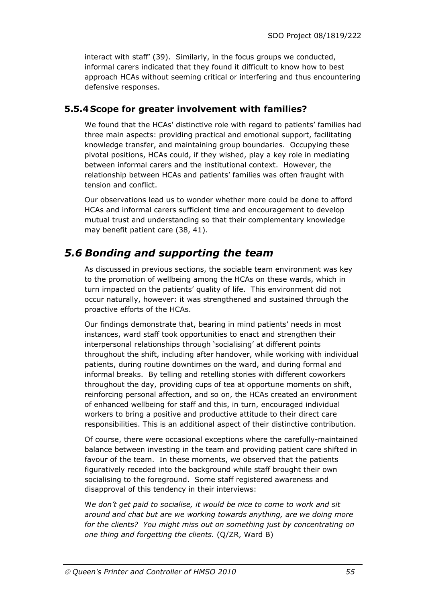interact with staff' (39). Similarly, in the focus groups we conducted, informal carers indicated that they found it difficult to know how to best approach HCAs without seeming critical or interfering and thus encountering defensive responses.

### **5.5.4 Scope for greater involvement with families?**

We found that the HCAs' distinctive role with regard to patients' families had three main aspects: providing practical and emotional support, facilitating knowledge transfer, and maintaining group boundaries. Occupying these pivotal positions, HCAs could, if they wished, play a key role in mediating between informal carers and the institutional context. However, the relationship between HCAs and patients' families was often fraught with tension and conflict.

Our observations lead us to wonder whether more could be done to afford HCAs and informal carers sufficient time and encouragement to develop mutual trust and understanding so that their complementary knowledge may benefit patient care (38, 41).

### *5.6 Bonding and supporting the team*

As discussed in previous sections, the sociable team environment was key to the promotion of wellbeing among the HCAs on these wards, which in turn impacted on the patients' quality of life. This environment did not occur naturally, however: it was strengthened and sustained through the proactive efforts of the HCAs.

Our findings demonstrate that, bearing in mind patients' needs in most instances, ward staff took opportunities to enact and strengthen their interpersonal relationships through 'socialising' at different points throughout the shift, including after handover, while working with individual patients, during routine downtimes on the ward, and during formal and informal breaks. By telling and retelling stories with different coworkers throughout the day, providing cups of tea at opportune moments on shift, reinforcing personal affection, and so on, the HCAs created an environment of enhanced wellbeing for staff and this, in turn, encouraged individual workers to bring a positive and productive attitude to their direct care responsibilities. This is an additional aspect of their distinctive contribution.

Of course, there were occasional exceptions where the carefully-maintained balance between investing in the team and providing patient care shifted in favour of the team. In these moments, we observed that the patients figuratively receded into the background while staff brought their own socialising to the foreground. Some staff registered awareness and disapproval of this tendency in their interviews:

W*e don't get paid to socialise, it would be nice to come to work and sit around and chat but are we working towards anything, are we doing more for the clients? You might miss out on something just by concentrating on one thing and forgetting the clients.* (Q/ZR, Ward B)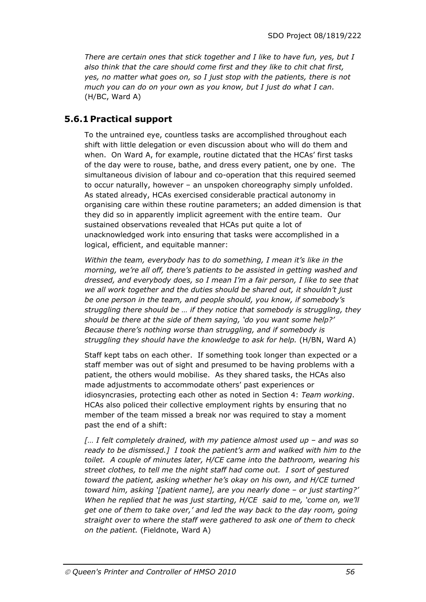*There are certain ones that stick together and I like to have fun, yes, but I also think that the care should come first and they like to chit chat first, yes, no matter what goes on, so I just stop with the patients, there is not much you can do on your own as you know, but I just do what I can*. (H/BC, Ward A)

### **5.6.1 Practical support**

To the untrained eye, countless tasks are accomplished throughout each shift with little delegation or even discussion about who will do them and when. On Ward A, for example, routine dictated that the HCAs' first tasks of the day were to rouse, bathe, and dress every patient, one by one. The simultaneous division of labour and co-operation that this required seemed to occur naturally, however – an unspoken choreography simply unfolded. As stated already, HCAs exercised considerable practical autonomy in organising care within these routine parameters; an added dimension is that they did so in apparently implicit agreement with the entire team. Our sustained observations revealed that HCAs put quite a lot of unacknowledged work into ensuring that tasks were accomplished in a logical, efficient, and equitable manner:

*Within the team, everybody has to do something, I mean it's like in the morning, we're all off, there's patients to be assisted in getting washed and dressed, and everybody does, so I mean I'm a fair person, I like to see that we all work together and the duties should be shared out, it shouldn't just be one person in the team, and people should, you know, if somebody's struggling there should be … if they notice that somebody is struggling, they should be there at the side of them saying, 'do you want some help?' Because there's nothing worse than struggling, and if somebody is struggling they should have the knowledge to ask for help.* (H/BN, Ward A)

Staff kept tabs on each other. If something took longer than expected or a staff member was out of sight and presumed to be having problems with a patient, the others would mobilise. As they shared tasks, the HCAs also made adjustments to accommodate others' past experiences or idiosyncrasies, protecting each other as noted in Section 4: *Team working*. HCAs also policed their collective employment rights by ensuring that no member of the team missed a break nor was required to stay a moment past the end of a shift:

*[… I felt completely drained, with my patience almost used up – and was so ready to be dismissed.] I took the patient's arm and walked with him to the toilet. A couple of minutes later, H/CE came into the bathroom, wearing his street clothes, to tell me the night staff had come out. I sort of gestured toward the patient, asking whether he's okay on his own, and H/CE turned toward him, asking '[patient name], are you nearly done – or just starting?' When he replied that he was just starting, H/CE said to me, 'come on, we'll get one of them to take over,' and led the way back to the day room, going straight over to where the staff were gathered to ask one of them to check on the patient.* (Fieldnote, Ward A)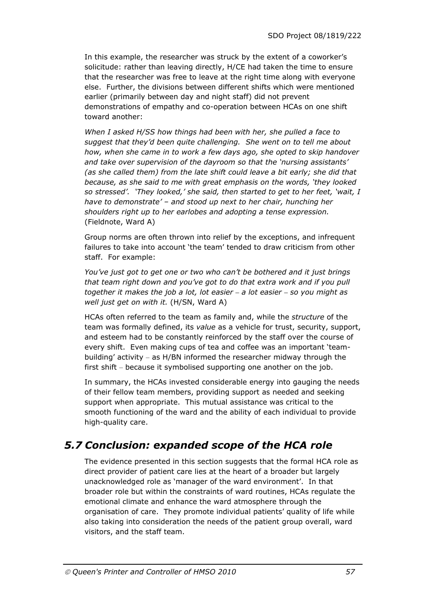In this example, the researcher was struck by the extent of a coworker's solicitude: rather than leaving directly, H/CE had taken the time to ensure that the researcher was free to leave at the right time along with everyone else. Further, the divisions between different shifts which were mentioned earlier (primarily between day and night staff) did not prevent demonstrations of empathy and co-operation between HCAs on one shift toward another:

*When I asked H/SS how things had been with her, she pulled a face to suggest that they'd been quite challenging. She went on to tell me about how, when she came in to work a few days ago, she opted to skip handover and take over supervision of the dayroom so that the 'nursing assistants' (as she called them) from the late shift could leave a bit early; she did that because, as she said to me with great emphasis on the words, 'they looked so stressed'. 'They looked,' she said, then started to get to her feet, 'wait, I have to demonstrate' – and stood up next to her chair, hunching her shoulders right up to her earlobes and adopting a tense expression.* (Fieldnote, Ward A)

Group norms are often thrown into relief by the exceptions, and infrequent failures to take into account 'the team' tended to draw criticism from other staff. For example:

*You've just got to get one or two who can't be bothered and it just brings that team right down and you've got to do that extra work and if you pull together it makes the job a lot, lot easier – a lot easier – so you might as well just get on with it.* (H/SN, Ward A)

HCAs often referred to the team as family and, while the *structure* of the team was formally defined, its *value* as a vehicle for trust, security, support, and esteem had to be constantly reinforced by the staff over the course of every shift. Even making cups of tea and coffee was an important 'teambuilding' activity – as H/BN informed the researcher midway through the first shift – because it symbolised supporting one another on the job.

In summary, the HCAs invested considerable energy into gauging the needs of their fellow team members, providing support as needed and seeking support when appropriate. This mutual assistance was critical to the smooth functioning of the ward and the ability of each individual to provide high-quality care.

# *5.7 Conclusion: expanded scope of the HCA role*

The evidence presented in this section suggests that the formal HCA role as direct provider of patient care lies at the heart of a broader but largely unacknowledged role as 'manager of the ward environment'. In that broader role but within the constraints of ward routines, HCAs regulate the emotional climate and enhance the ward atmosphere through the organisation of care. They promote individual patients' quality of life while also taking into consideration the needs of the patient group overall, ward visitors, and the staff team.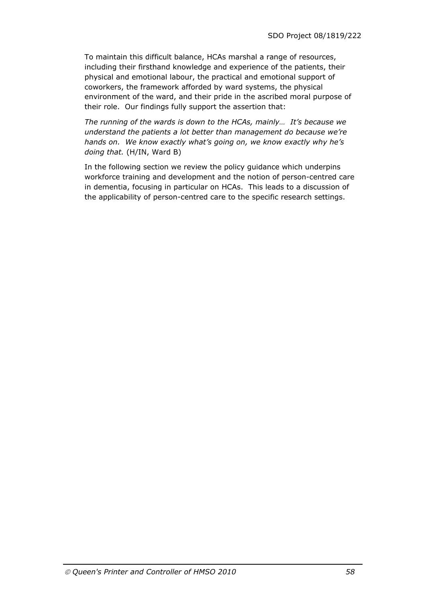To maintain this difficult balance, HCAs marshal a range of resources, including their firsthand knowledge and experience of the patients, their physical and emotional labour, the practical and emotional support of coworkers, the framework afforded by ward systems, the physical environment of the ward, and their pride in the ascribed moral purpose of their role. Our findings fully support the assertion that:

*The running of the wards is down to the HCAs, mainly… It's because we understand the patients a lot better than management do because we're hands on. We know exactly what's going on, we know exactly why he's doing that.* (H/IN, Ward B)

In the following section we review the policy guidance which underpins workforce training and development and the notion of person-centred care in dementia, focusing in particular on HCAs. This leads to a discussion of the applicability of person-centred care to the specific research settings.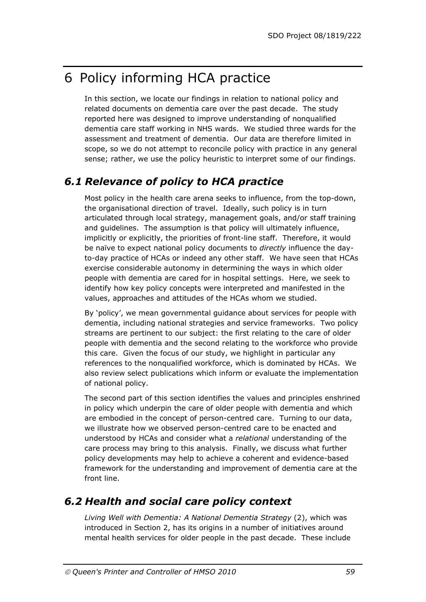# 6 Policy informing HCA practice

In this section, we locate our findings in relation to national policy and related documents on dementia care over the past decade. The study reported here was designed to improve understanding of nonqualified dementia care staff working in NHS wards. We studied three wards for the assessment and treatment of dementia. Our data are therefore limited in scope, so we do not attempt to reconcile policy with practice in any general sense; rather, we use the policy heuristic to interpret some of our findings.

## *6.1 Relevance of policy to HCA practice*

Most policy in the health care arena seeks to influence, from the top-down, the organisational direction of travel. Ideally, such policy is in turn articulated through local strategy, management goals, and/or staff training and guidelines. The assumption is that policy will ultimately influence, implicitly or explicitly, the priorities of front-line staff. Therefore, it would be naïve to expect national policy documents to *directly* influence the dayto-day practice of HCAs or indeed any other staff. We have seen that HCAs exercise considerable autonomy in determining the ways in which older people with dementia are cared for in hospital settings. Here, we seek to identify how key policy concepts were interpreted and manifested in the values, approaches and attitudes of the HCAs whom we studied.

By 'policy', we mean governmental guidance about services for people with dementia, including national strategies and service frameworks. Two policy streams are pertinent to our subject: the first relating to the care of older people with dementia and the second relating to the workforce who provide this care. Given the focus of our study, we highlight in particular any references to the nonqualified workforce, which is dominated by HCAs. We also review select publications which inform or evaluate the implementation of national policy.

The second part of this section identifies the values and principles enshrined in policy which underpin the care of older people with dementia and which are embodied in the concept of person-centred care. Turning to our data, we illustrate how we observed person-centred care to be enacted and understood by HCAs and consider what a *relational* understanding of the care process may bring to this analysis. Finally, we discuss what further policy developments may help to achieve a coherent and evidence-based framework for the understanding and improvement of dementia care at the front line.

# *6.2 Health and social care policy context*

*Living Well with Dementia: A National Dementia Strategy* (2), which was introduced in Section 2, has its origins in a number of initiatives around mental health services for older people in the past decade. These include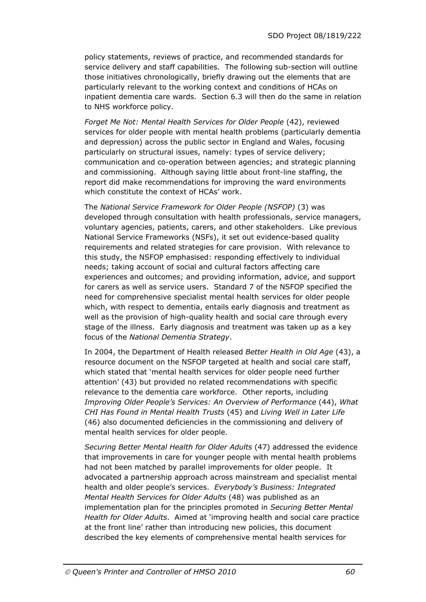policy statements, reviews of practice, and recommended standards for service delivery and staff capabilities. The following sub-section will outline those initiatives chronologically, briefly drawing out the elements that are particularly relevant to the working context and conditions of HCAs on inpatient dementia care wards. Section 6.3 will then do the same in relation to NHS workforce policy.

*Forget Me Not: Mental Health Services for Older People* (42), reviewed services for older people with mental health problems (particularly dementia and depression) across the public sector in England and Wales, focusing particularly on structural issues, namely: types of service delivery; communication and co-operation between agencies; and strategic planning and commissioning. Although saying little about front-line staffing, the report did make recommendations for improving the ward environments which constitute the context of HCAs' work.

The *National Service Framework for Older People (NSFOP)* (3) was developed through consultation with health professionals, service managers, voluntary agencies, patients, carers, and other stakeholders. Like previous National Service Frameworks (NSFs), it set out evidence-based quality requirements and related strategies for care provision. With relevance to this study, the NSFOP emphasised: responding effectively to individual needs; taking account of social and cultural factors affecting care experiences and outcomes; and providing information, advice, and support for carers as well as service users. Standard 7 of the NSFOP specified the need for comprehensive specialist mental health services for older people which, with respect to dementia, entails early diagnosis and treatment as well as the provision of high-quality health and social care through every stage of the illness. Early diagnosis and treatment was taken up as a key focus of the *National Dementia Strategy*.

In 2004, the Department of Health released *Better Health in Old Age* (43), a resource document on the NSFOP targeted at health and social care staff, which stated that 'mental health services for older people need further attention' (43) but provided no related recommendations with specific relevance to the dementia care workforce. Other reports, including *Improving Older People's Services: An Overview of Performance* (44), *What CHI Has Found in Mental Health Trusts* (45) and *Living Well in Later Life* (46) also documented deficiencies in the commissioning and delivery of mental health services for older people.

*Securing Better Mental Health for Older Adults* (47) addressed the evidence that improvements in care for younger people with mental health problems had not been matched by parallel improvements for older people. It advocated a partnership approach across mainstream and specialist mental health and older people's services. *Everybody's Business: Integrated Mental Health Services for Older Adults* (48) was published as an implementation plan for the principles promoted in *Securing Better Mental Health for Older Adults*. Aimed at 'improving health and social care practice at the front line' rather than introducing new policies, this document described the key elements of comprehensive mental health services for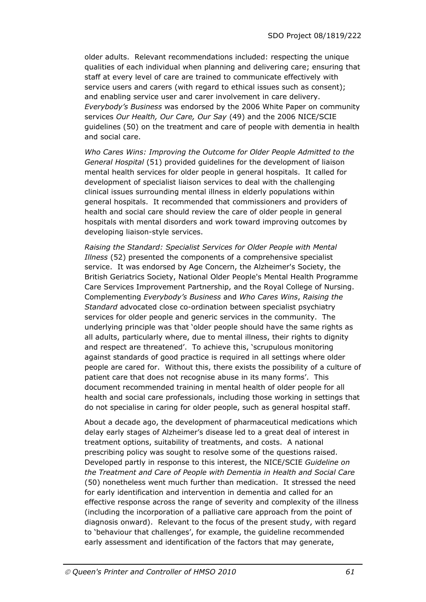older adults. Relevant recommendations included: respecting the unique qualities of each individual when planning and delivering care; ensuring that staff at every level of care are trained to communicate effectively with service users and carers (with regard to ethical issues such as consent); and enabling service user and carer involvement in care delivery. *Everybody's Business* was endorsed by the 2006 White Paper on community services *Our Health, Our Care, Our Say* (49) and the 2006 NICE/SCIE guidelines (50) on the treatment and care of people with dementia in health and social care.

*Who Cares Wins: Improving the Outcome for Older People Admitted to the General Hospital* (51) provided guidelines for the development of liaison mental health services for older people in general hospitals. It called for development of specialist liaison services to deal with the challenging clinical issues surrounding mental illness in elderly populations within general hospitals. It recommended that commissioners and providers of health and social care should review the care of older people in general hospitals with mental disorders and work toward improving outcomes by developing liaison-style services.

*Raising the Standard: Specialist Services for Older People with Mental Illness* (52) presented the components of a comprehensive specialist service. It was endorsed by Age Concern, the Alzheimer's Society, the British Geriatrics Society, National Older People's Mental Health Programme Care Services Improvement Partnership, and the Royal College of Nursing. Complementing *Everybody's Business* and *Who Cares Wins*, *Raising the Standard* advocated close co-ordination between specialist psychiatry services for older people and generic services in the community. The underlying principle was that 'older people should have the same rights as all adults, particularly where, due to mental illness, their rights to dignity and respect are threatened'. To achieve this, 'scrupulous monitoring against standards of good practice is required in all settings where older people are cared for. Without this, there exists the possibility of a culture of patient care that does not recognise abuse in its many forms'. This document recommended training in mental health of older people for all health and social care professionals, including those working in settings that do not specialise in caring for older people, such as general hospital staff.

About a decade ago, the development of pharmaceutical medications which delay early stages of Alzheimer's disease led to a great deal of interest in treatment options, suitability of treatments, and costs. A national prescribing policy was sought to resolve some of the questions raised. Developed partly in response to this interest, the NICE/SCIE *Guideline on the Treatment and Care of People with Dementia in Health and Social Care* (50) nonetheless went much further than medication. It stressed the need for early identification and intervention in dementia and called for an effective response across the range of severity and complexity of the illness (including the incorporation of a palliative care approach from the point of diagnosis onward). Relevant to the focus of the present study, with regard to 'behaviour that challenges', for example, the guideline recommended early assessment and identification of the factors that may generate,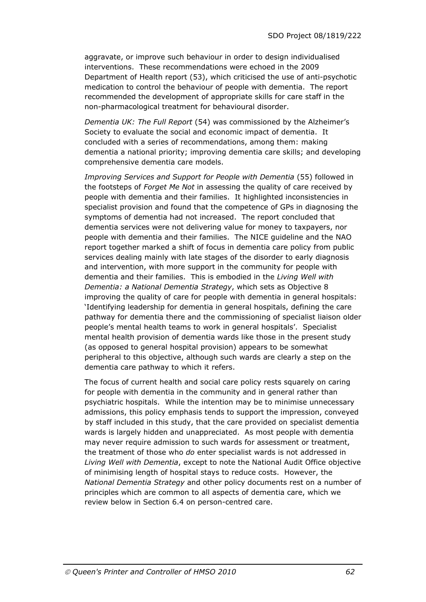aggravate, or improve such behaviour in order to design individualised interventions. These recommendations were echoed in the 2009 Department of Health report (53), which criticised the use of anti-psychotic medication to control the behaviour of people with dementia. The report recommended the development of appropriate skills for care staff in the non-pharmacological treatment for behavioural disorder.

*Dementia UK: The Full Report* (54) was commissioned by the Alzheimer's Society to evaluate the social and economic impact of dementia. It concluded with a series of recommendations, among them: making dementia a national priority; improving dementia care skills; and developing comprehensive dementia care models.

*Improving Services and Support for People with Dementia* (55) followed in the footsteps of *Forget Me Not* in assessing the quality of care received by people with dementia and their families. It highlighted inconsistencies in specialist provision and found that the competence of GPs in diagnosing the symptoms of dementia had not increased. The report concluded that dementia services were not delivering value for money to taxpayers, nor people with dementia and their families. The NICE guideline and the NAO report together marked a shift of focus in dementia care policy from public services dealing mainly with late stages of the disorder to early diagnosis and intervention, with more support in the community for people with dementia and their families. This is embodied in the *Living Well with Dementia: a National Dementia Strategy*, which sets as Objective 8 improving the quality of care for people with dementia in general hospitals: 'Identifying leadership for dementia in general hospitals, defining the care pathway for dementia there and the commissioning of specialist liaison older people's mental health teams to work in general hospitals'. Specialist mental health provision of dementia wards like those in the present study (as opposed to general hospital provision) appears to be somewhat peripheral to this objective, although such wards are clearly a step on the dementia care pathway to which it refers.

The focus of current health and social care policy rests squarely on caring for people with dementia in the community and in general rather than psychiatric hospitals. While the intention may be to minimise unnecessary admissions, this policy emphasis tends to support the impression, conveyed by staff included in this study, that the care provided on specialist dementia wards is largely hidden and unappreciated. As most people with dementia may never require admission to such wards for assessment or treatment, the treatment of those who *do* enter specialist wards is not addressed in *Living Well with Dementia*, except to note the National Audit Office objective of minimising length of hospital stays to reduce costs. However, the *National Dementia Strategy* and other policy documents rest on a number of principles which are common to all aspects of dementia care, which we review below in Section 6.4 on person-centred care.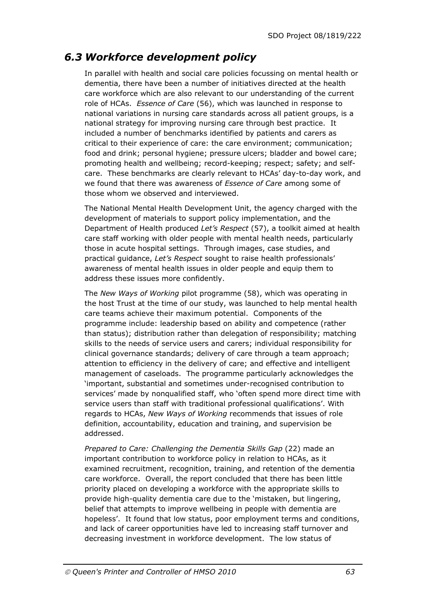## *6.3 Workforce development policy*

In parallel with health and social care policies focussing on mental health or dementia, there have been a number of initiatives directed at the health care workforce which are also relevant to our understanding of the current role of HCAs. *Essence of Care* (56), which was launched in response to national variations in nursing care standards across all patient groups, is a national strategy for improving nursing care through best practice. It included a number of benchmarks identified by patients and carers as critical to their experience of care: the care environment; communication; food and drink; personal hygiene; pressure ulcers; bladder and bowel care; promoting health and wellbeing; record-keeping; respect; safety; and selfcare. These benchmarks are clearly relevant to HCAs' day-to-day work, and we found that there was awareness of *Essence of Care* among some of those whom we observed and interviewed.

The National Mental Health Development Unit, the agency charged with the development of materials to support policy implementation, and the Department of Health produced *Let's Respect* (57), a toolkit aimed at health care staff working with older people with mental health needs, particularly those in acute hospital settings. Through images, case studies, and practical guidance, *Let's Respect* sought to raise health professionals' awareness of mental health issues in older people and equip them to address these issues more confidently.

The *New Ways of Working* pilot programme (58), which was operating in the host Trust at the time of our study, was launched to help mental health care teams achieve their maximum potential. Components of the programme include: leadership based on ability and competence (rather than status); distribution rather than delegation of responsibility; matching skills to the needs of service users and carers; individual responsibility for clinical governance standards; delivery of care through a team approach; attention to efficiency in the delivery of care; and effective and intelligent management of caseloads. The programme particularly acknowledges the 'important, substantial and sometimes under-recognised contribution to services' made by nonqualified staff, who 'often spend more direct time with service users than staff with traditional professional qualifications'. With regards to HCAs, *New Ways of Working* recommends that issues of role definition, accountability, education and training, and supervision be addressed.

*Prepared to Care: Challenging the Dementia Skills Gap* (22) made an important contribution to workforce policy in relation to HCAs, as it examined recruitment, recognition, training, and retention of the dementia care workforce. Overall, the report concluded that there has been little priority placed on developing a workforce with the appropriate skills to provide high-quality dementia care due to the 'mistaken, but lingering, belief that attempts to improve wellbeing in people with dementia are hopeless'. It found that low status, poor employment terms and conditions, and lack of career opportunities have led to increasing staff turnover and decreasing investment in workforce development. The low status of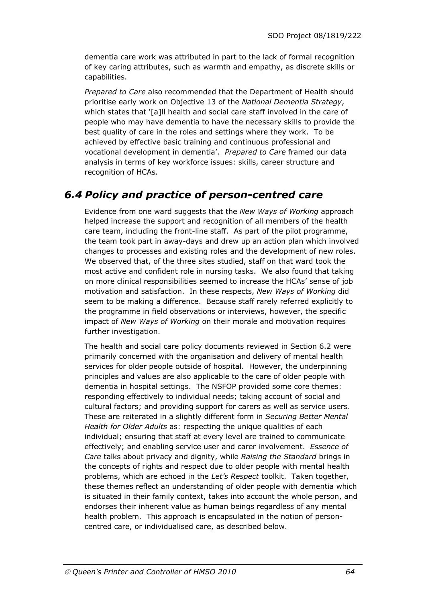dementia care work was attributed in part to the lack of formal recognition of key caring attributes, such as warmth and empathy, as discrete skills or capabilities.

*Prepared to Care* also recommended that the Department of Health should prioritise early work on Objective 13 of the *National Dementia Strategy*, which states that '[a]ll health and social care staff involved in the care of people who may have dementia to have the necessary skills to provide the best quality of care in the roles and settings where they work. To be achieved by effective basic training and continuous professional and vocational development in dementia'. *Prepared to Care* framed our data analysis in terms of key workforce issues: skills, career structure and recognition of HCAs.

### *6.4 Policy and practice of person-centred care*

Evidence from one ward suggests that the *New Ways of Working* approach helped increase the support and recognition of all members of the health care team, including the front-line staff. As part of the pilot programme, the team took part in away-days and drew up an action plan which involved changes to processes and existing roles and the development of new roles. We observed that, of the three sites studied, staff on that ward took the most active and confident role in nursing tasks. We also found that taking on more clinical responsibilities seemed to increase the HCAs' sense of job motivation and satisfaction. In these respects, *New Ways of Working* did seem to be making a difference. Because staff rarely referred explicitly to the programme in field observations or interviews, however, the specific impact of *New Ways of Working* on their morale and motivation requires further investigation.

The health and social care policy documents reviewed in Section 6.2 were primarily concerned with the organisation and delivery of mental health services for older people outside of hospital. However, the underpinning principles and values are also applicable to the care of older people with dementia in hospital settings. The NSFOP provided some core themes: responding effectively to individual needs; taking account of social and cultural factors; and providing support for carers as well as service users. These are reiterated in a slightly different form in *Securing Better Mental Health for Older Adults* as: respecting the unique qualities of each individual; ensuring that staff at every level are trained to communicate effectively; and enabling service user and carer involvement. *Essence of Care* talks about privacy and dignity, while *Raising the Standard* brings in the concepts of rights and respect due to older people with mental health problems, which are echoed in the *Let's Respect* toolkit. Taken together, these themes reflect an understanding of older people with dementia which is situated in their family context, takes into account the whole person, and endorses their inherent value as human beings regardless of any mental health problem. This approach is encapsulated in the notion of personcentred care, or individualised care, as described below.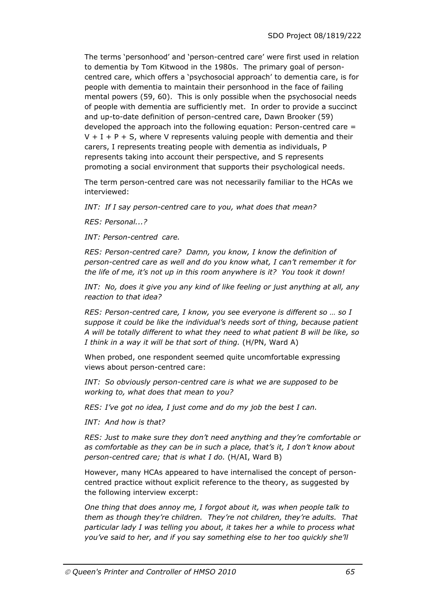The terms 'personhood' and 'person-centred care' were first used in relation to dementia by Tom Kitwood in the 1980s. The primary goal of personcentred care, which offers a 'psychosocial approach' to dementia care, is for people with dementia to maintain their personhood in the face of failing mental powers (59, 60). This is only possible when the psychosocial needs of people with dementia are sufficiently met. In order to provide a succinct and up-to-date definition of person-centred care, Dawn Brooker (59) developed the approach into the following equation: Person-centred care =  $V + I + P + S$ , where V represents valuing people with dementia and their carers, I represents treating people with dementia as individuals, P represents taking into account their perspective, and S represents promoting a social environment that supports their psychological needs.

The term person-centred care was not necessarily familiar to the HCAs we interviewed:

*INT: If I say person-centred care to you, what does that mean?* 

*RES: Personal...?* 

*INT: Person-centred care.* 

*RES: Person-centred care? Damn, you know, I know the definition of person-centred care as well and do you know what, I can't remember it for the life of me, it's not up in this room anywhere is it? You took it down!* 

*INT: No, does it give you any kind of like feeling or just anything at all, any reaction to that idea?* 

*RES: Person-centred care, I know, you see everyone is different so … so I suppose it could be like the individual's needs sort of thing, because patient A will be totally different to what they need to what patient B will be like, so I think in a way it will be that sort of thing.* (H/PN, Ward A)

When probed, one respondent seemed quite uncomfortable expressing views about person-centred care:

*INT: So obviously person-centred care is what we are supposed to be working to, what does that mean to you?* 

*RES: I've got no idea, I just come and do my job the best I can.* 

*INT: And how is that?* 

*RES: Just to make sure they don't need anything and they're comfortable or as comfortable as they can be in such a place, that's it, I don't know about person-centred care; that is what I do.* (H/AI, Ward B)

However, many HCAs appeared to have internalised the concept of personcentred practice without explicit reference to the theory, as suggested by the following interview excerpt:

*One thing that does annoy me, I forgot about it, was when people talk to them as though they're children. They're not children, they're adults. That particular lady I was telling you about, it takes her a while to process what you've said to her, and if you say something else to her too quickly she'll*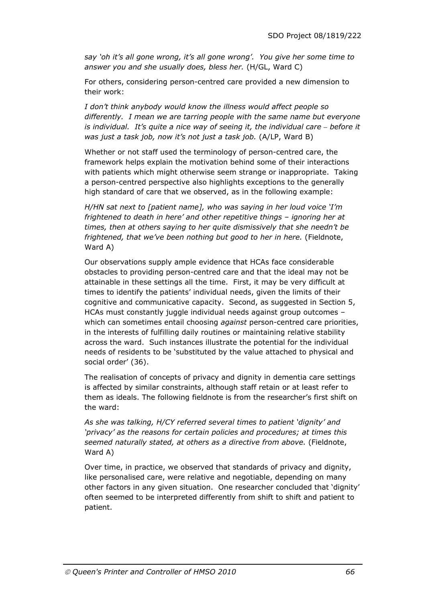*say 'oh it's all gone wrong, it's all gone wrong'. You give her some time to answer you and she usually does, bless her.* (H/GL, Ward C)

For others, considering person-centred care provided a new dimension to their work:

*I don't think anybody would know the illness would affect people so differently. I mean we are tarring people with the same name but everyone is individual. It's quite a nice way of seeing it, the individual care – before it was just a task job, now it's not just a task job.* (A/LP, Ward B)

Whether or not staff used the terminology of person-centred care, the framework helps explain the motivation behind some of their interactions with patients which might otherwise seem strange or inappropriate. Taking a person-centred perspective also highlights exceptions to the generally high standard of care that we observed, as in the following example:

*H/HN sat next to [patient name], who was saying in her loud voice 'I'm frightened to death in here' and other repetitive things – ignoring her at times, then at others saying to her quite dismissively that she needn't be frightened, that we've been nothing but good to her in here.* (Fieldnote, Ward A)

Our observations supply ample evidence that HCAs face considerable obstacles to providing person-centred care and that the ideal may not be attainable in these settings all the time. First, it may be very difficult at times to identify the patients' individual needs, given the limits of their cognitive and communicative capacity. Second, as suggested in Section 5, HCAs must constantly juggle individual needs against group outcomes – which can sometimes entail choosing *against* person-centred care priorities, in the interests of fulfilling daily routines or maintaining relative stability across the ward. Such instances illustrate the potential for the individual needs of residents to be 'substituted by the value attached to physical and social order' (36).

The realisation of concepts of privacy and dignity in dementia care settings is affected by similar constraints, although staff retain or at least refer to them as ideals. The following fieldnote is from the researcher's first shift on the ward:

*As she was talking, H/CY referred several times to patient 'dignity' and 'privacy' as the reasons for certain policies and procedures; at times this seemed naturally stated, at others as a directive from above.* (Fieldnote, Ward A)

Over time, in practice, we observed that standards of privacy and dignity, like personalised care, were relative and negotiable, depending on many other factors in any given situation. One researcher concluded that 'dignity' often seemed to be interpreted differently from shift to shift and patient to patient.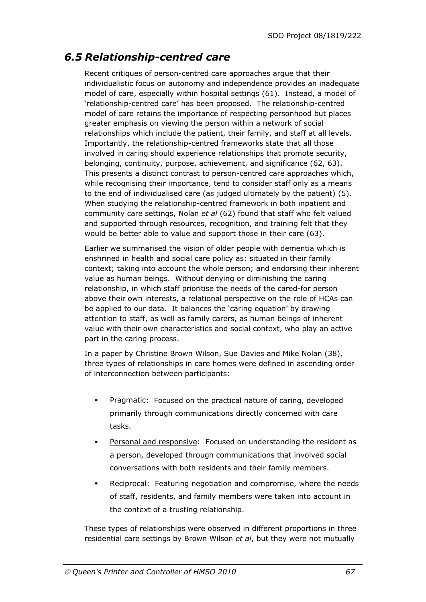## *6.5 Relationship-centred care*

Recent critiques of person-centred care approaches argue that their individualistic focus on autonomy and independence provides an inadequate model of care, especially within hospital settings (61). Instead, a model of 'relationship-centred care' has been proposed. The relationship-centred model of care retains the importance of respecting personhood but places greater emphasis on viewing the person within a network of social relationships which include the patient, their family, and staff at all levels. Importantly, the relationship-centred frameworks state that all those involved in caring should experience relationships that promote security, belonging, continuity, purpose, achievement, and significance (62, 63). This presents a distinct contrast to person-centred care approaches which, while recognising their importance, tend to consider staff only as a means to the end of individualised care (as judged ultimately by the patient) (5). When studying the relationship-centred framework in both inpatient and community care settings, Nolan *et al* (62) found that staff who felt valued and supported through resources, recognition, and training felt that they would be better able to value and support those in their care (63).

Earlier we summarised the vision of older people with dementia which is enshrined in health and social care policy as: situated in their family context; taking into account the whole person; and endorsing their inherent value as human beings. Without denying or diminishing the caring relationship, in which staff prioritise the needs of the cared-for person above their own interests, a relational perspective on the role of HCAs can be applied to our data. It balances the 'caring equation' by drawing attention to staff, as well as family carers, as human beings of inherent value with their own characteristics and social context, who play an active part in the caring process.

In a paper by Christine Brown Wilson, Sue Davies and Mike Nolan (38), three types of relationships in care homes were defined in ascending order of interconnection between participants:

- Pragmatic: Focused on the practical nature of caring, developed primarily through communications directly concerned with care tasks.
- Personal and responsive: Focused on understanding the resident as a person, developed through communications that involved social conversations with both residents and their family members.
- Reciprocal: Featuring negotiation and compromise, where the needs of staff, residents, and family members were taken into account in the context of a trusting relationship.

These types of relationships were observed in different proportions in three residential care settings by Brown Wilson *et al*, but they were not mutually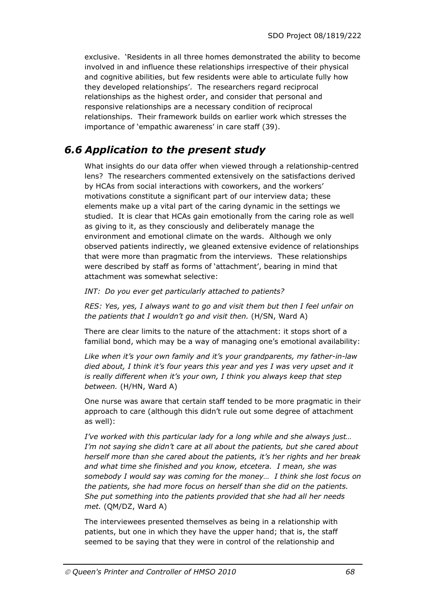exclusive. 'Residents in all three homes demonstrated the ability to become involved in and influence these relationships irrespective of their physical and cognitive abilities, but few residents were able to articulate fully how they developed relationships'. The researchers regard reciprocal relationships as the highest order, and consider that personal and responsive relationships are a necessary condition of reciprocal relationships. Their framework builds on earlier work which stresses the importance of 'empathic awareness' in care staff (39).

# *6.6 Application to the present study*

What insights do our data offer when viewed through a relationship-centred lens? The researchers commented extensively on the satisfactions derived by HCAs from social interactions with coworkers, and the workers' motivations constitute a significant part of our interview data; these elements make up a vital part of the caring dynamic in the settings we studied. It is clear that HCAs gain emotionally from the caring role as well as giving to it, as they consciously and deliberately manage the environment and emotional climate on the wards. Although we only observed patients indirectly, we gleaned extensive evidence of relationships that were more than pragmatic from the interviews. These relationships were described by staff as forms of 'attachment', bearing in mind that attachment was somewhat selective:

#### *INT: Do you ever get particularly attached to patients?*

*RES: Yes, yes, I always want to go and visit them but then I feel unfair on the patients that I wouldn't go and visit then.* (H/SN, Ward A)

There are clear limits to the nature of the attachment: it stops short of a familial bond, which may be a way of managing one's emotional availability:

*Like when it's your own family and it's your grandparents, my father-in-law died about, I think it's four years this year and yes I was very upset and it is really different when it's your own, I think you always keep that step between.* (H/HN, Ward A)

One nurse was aware that certain staff tended to be more pragmatic in their approach to care (although this didn't rule out some degree of attachment as well):

*I've worked with this particular lady for a long while and she always just… I'm not saying she didn't care at all about the patients, but she cared about herself more than she cared about the patients, it's her rights and her break and what time she finished and you know, etcetera. I mean, she was somebody I would say was coming for the money… I think she lost focus on the patients, she had more focus on herself than she did on the patients. She put something into the patients provided that she had all her needs met.* (QM/DZ, Ward A)

The interviewees presented themselves as being in a relationship with patients, but one in which they have the upper hand; that is, the staff seemed to be saying that they were in control of the relationship and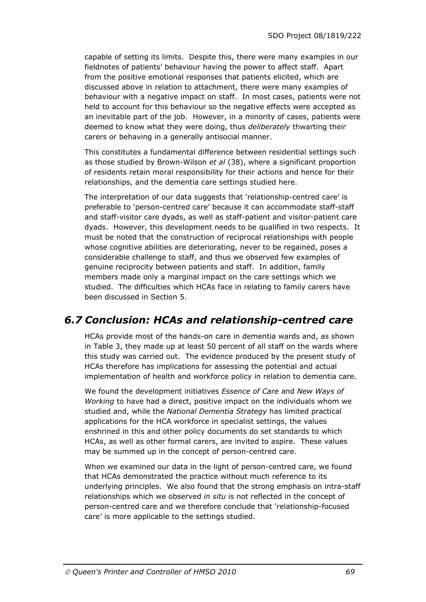capable of setting its limits. Despite this, there were many examples in our fieldnotes of patients' behaviour having the power to affect staff. Apart from the positive emotional responses that patients elicited, which are discussed above in relation to attachment, there were many examples of behaviour with a negative impact on staff. In most cases, patients were not held to account for this behaviour so the negative effects were accepted as an inevitable part of the job. However, in a minority of cases, patients were deemed to know what they were doing, thus *deliberately* thwarting their carers or behaving in a generally antisocial manner.

This constitutes a fundamental difference between residential settings such as those studied by Brown-Wilson *et al* (38), where a significant proportion of residents retain moral responsibility for their actions and hence for their relationships, and the dementia care settings studied here.

The interpretation of our data suggests that 'relationship-centred care' is preferable to 'person-centred care' because it can accommodate staff-staff and staff-visitor care dyads, as well as staff-patient and visitor-patient care dyads. However, this development needs to be qualified in two respects. It must be noted that the construction of reciprocal relationships with people whose cognitive abilities are deteriorating, never to be regained, poses a considerable challenge to staff, and thus we observed few examples of genuine reciprocity between patients and staff. In addition, family members made only a marginal impact on the care settings which we studied. The difficulties which HCAs face in relating to family carers have been discussed in Section 5.

### *6.7 Conclusion: HCAs and relationship-centred care*

HCAs provide most of the hands-on care in dementia wards and, as shown in Table 3, they made up at least 50 percent of all staff on the wards where this study was carried out. The evidence produced by the present study of HCAs therefore has implications for assessing the potential and actual implementation of health and workforce policy in relation to dementia care.

We found the development initiatives *Essence of Care* and *New Ways of Working* to have had a direct, positive impact on the individuals whom we studied and, while the *National Dementia Strategy* has limited practical applications for the HCA workforce in specialist settings, the values enshrined in this and other policy documents do set standards to which HCAs, as well as other formal carers, are invited to aspire. These values may be summed up in the concept of person-centred care.

When we examined our data in the light of person-centred care, we found that HCAs demonstrated the practice without much reference to its underlying principles. We also found that the strong emphasis on intra-staff relationships which we observed *in situ* is not reflected in the concept of person-centred care and we therefore conclude that 'relationship-focused care' is more applicable to the settings studied.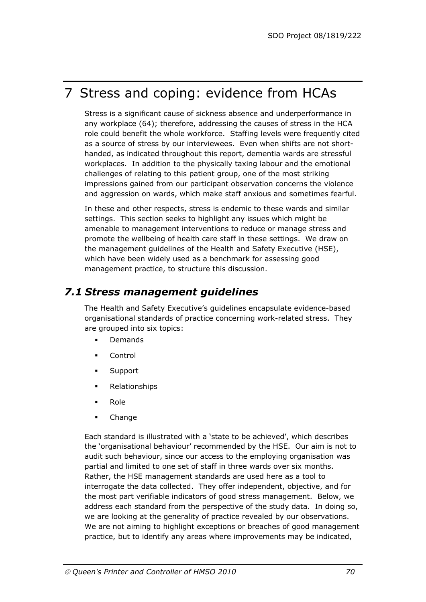# 7 Stress and coping: evidence from HCAs

Stress is a significant cause of sickness absence and underperformance in any workplace (64); therefore, addressing the causes of stress in the HCA role could benefit the whole workforce. Staffing levels were frequently cited as a source of stress by our interviewees. Even when shifts are not shorthanded, as indicated throughout this report, dementia wards are stressful workplaces. In addition to the physically taxing labour and the emotional challenges of relating to this patient group, one of the most striking impressions gained from our participant observation concerns the violence and aggression on wards, which make staff anxious and sometimes fearful.

In these and other respects, stress is endemic to these wards and similar settings. This section seeks to highlight any issues which might be amenable to management interventions to reduce or manage stress and promote the wellbeing of health care staff in these settings. We draw on the management guidelines of the Health and Safety Executive (HSE), which have been widely used as a benchmark for assessing good management practice, to structure this discussion.

### *7.1 Stress management guidelines*

The Health and Safety Executive's guidelines encapsulate evidence-based organisational standards of practice concerning work-related stress. They are grouped into six topics:

- **Demands**
- Control
- **Support**
- Relationships
- **Role**
- Change

Each standard is illustrated with a 'state to be achieved', which describes the 'organisational behaviour' recommended by the HSE. Our aim is not to audit such behaviour, since our access to the employing organisation was partial and limited to one set of staff in three wards over six months. Rather, the HSE management standards are used here as a tool to interrogate the data collected. They offer independent, objective, and for the most part verifiable indicators of good stress management. Below, we address each standard from the perspective of the study data. In doing so, we are looking at the generality of practice revealed by our observations. We are not aiming to highlight exceptions or breaches of good management practice, but to identify any areas where improvements may be indicated,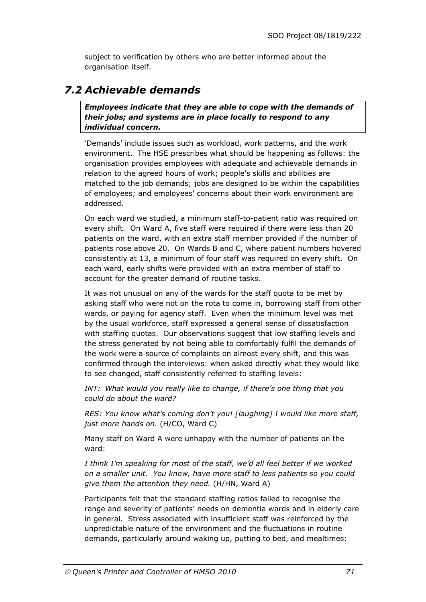subject to verification by others who are better informed about the organisation itself.

### *7.2 Achievable demands*

*Employees indicate that they are able to cope with the demands of their jobs; and systems are in place locally to respond to any individual concern.*

'Demands' include issues such as workload, work patterns, and the work environment. The HSE prescribes what should be happening as follows: the organisation provides employees with adequate and achievable demands in relation to the agreed hours of work; people's skills and abilities are matched to the job demands; jobs are designed to be within the capabilities of employees; and employees' concerns about their work environment are addressed.

On each ward we studied, a minimum staff-to-patient ratio was required on every shift. On Ward A, five staff were required if there were less than 20 patients on the ward, with an extra staff member provided if the number of patients rose above 20. On Wards B and C, where patient numbers hovered consistently at 13, a minimum of four staff was required on every shift. On each ward, early shifts were provided with an extra member of staff to account for the greater demand of routine tasks.

It was not unusual on any of the wards for the staff quota to be met by asking staff who were not on the rota to come in, borrowing staff from other wards, or paying for agency staff. Even when the minimum level was met by the usual workforce, staff expressed a general sense of dissatisfaction with staffing quotas. Our observations suggest that low staffing levels and the stress generated by not being able to comfortably fulfil the demands of the work were a source of complaints on almost every shift, and this was confirmed through the interviews: when asked directly what they would like to see changed, staff consistently referred to staffing levels:

*INT: What would you really like to change, if there's one thing that you could do about the ward?* 

*RES: You know what's coming don't you! [laughing] I would like more staff, just more hands on.* (H/CO, Ward C)

Many staff on Ward A were unhappy with the number of patients on the ward:

*I think I'm speaking for most of the staff, we'd all feel better if we worked on a smaller unit. You know, have more staff to less patients so you could give them the attention they need.* (H/HN, Ward A)

Participants felt that the standard staffing ratios failed to recognise the range and severity of patients' needs on dementia wards and in elderly care in general. Stress associated with insufficient staff was reinforced by the unpredictable nature of the environment and the fluctuations in routine demands, particularly around waking up, putting to bed, and mealtimes: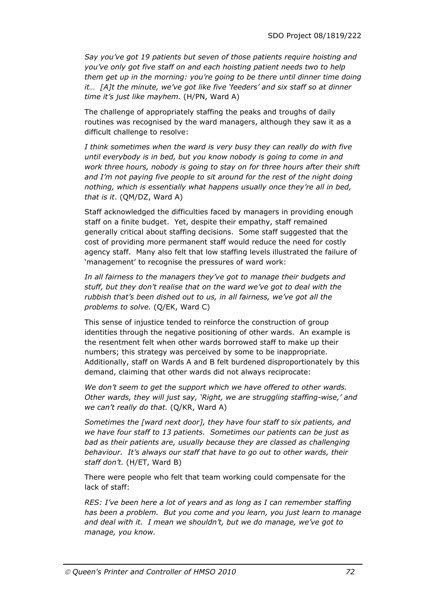*Say you've got 19 patients but seven of those patients require hoisting and you've only got five staff on and each hoisting patient needs two to help them get up in the morning: you're going to be there until dinner time doing it… [A]t the minute, we've got like five 'feeders' and six staff so at dinner time it's just like mayhem.* (H/PN, Ward A)

The challenge of appropriately staffing the peaks and troughs of daily routines was recognised by the ward managers, although they saw it as a difficult challenge to resolve:

*I think sometimes when the ward is very busy they can really do with five until everybody is in bed, but you know nobody is going to come in and work three hours, nobody is going to stay on for three hours after their shift*  and I'm not paying five people to sit around for the rest of the night doing *nothing, which is essentially what happens usually once they're all in bed, that is it*. (QM/DZ, Ward A)

Staff acknowledged the difficulties faced by managers in providing enough staff on a finite budget. Yet, despite their empathy, staff remained generally critical about staffing decisions. Some staff suggested that the cost of providing more permanent staff would reduce the need for costly agency staff. Many also felt that low staffing levels illustrated the failure of 'management' to recognise the pressures of ward work:

*In all fairness to the managers they've got to manage their budgets and stuff, but they don't realise that on the ward we've got to deal with the rubbish that's been dished out to us, in all fairness, we've got all the problems to solve.* (Q/EK, Ward C)

This sense of injustice tended to reinforce the construction of group identities through the negative positioning of other wards. An example is the resentment felt when other wards borrowed staff to make up their numbers; this strategy was perceived by some to be inappropriate. Additionally, staff on Wards A and B felt burdened disproportionately by this demand, claiming that other wards did not always reciprocate:

*We don't seem to get the support which we have offered to other wards. Other wards, they will just say, 'Right, we are struggling staffing-wise,' and we can't really do that.* (Q/KR, Ward A)

*Sometimes the [ward next door], they have four staff to six patients, and we have four staff to 13 patients. Sometimes our patients can be just as*  bad as their patients are, usually because they are classed as challenging *behaviour. It's always our staff that have to go out to other wards, their staff don't.* (H/ET, Ward B)

There were people who felt that team working could compensate for the lack of staff:

*RES: I've been here a lot of years and as long as I can remember staffing has been a problem. But you come and you learn, you just learn to manage and deal with it. I mean we shouldn't, but we do manage, we've got to manage, you know.*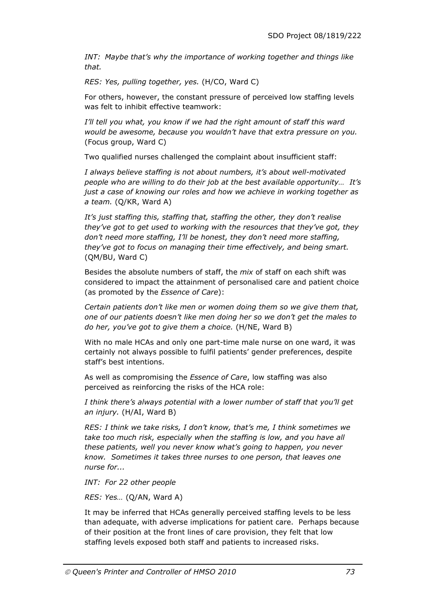*INT: Maybe that's why the importance of working together and things like that.* 

*RES: Yes, pulling together, yes.* (H/CO, Ward C)

For others, however, the constant pressure of perceived low staffing levels was felt to inhibit effective teamwork:

*I'll tell you what, you know if we had the right amount of staff this ward would be awesome, because you wouldn't have that extra pressure on you.*  (Focus group, Ward C)

Two qualified nurses challenged the complaint about insufficient staff:

*I always believe staffing is not about numbers, it's about well-motivated people who are willing to do their job at the best available opportunity… It's just a case of knowing our roles and how we achieve in working together as a team.* (Q/KR, Ward A)

*It's just staffing this, staffing that, staffing the other, they don't realise they've got to get used to working with the resources that they've got, they don't need more staffing, I'll be honest, they don't need more staffing, they've got to focus on managing their time effectively, and being smart.* (QM/BU, Ward C)

Besides the absolute numbers of staff, the *mix* of staff on each shift was considered to impact the attainment of personalised care and patient choice (as promoted by the *Essence of Care*):

*Certain patients don't like men or women doing them so we give them that, one of our patients doesn't like men doing her so we don't get the males to do her, you've got to give them a choice.* (H/NE, Ward B)

With no male HCAs and only one part-time male nurse on one ward, it was certainly not always possible to fulfil patients' gender preferences, despite staff's best intentions.

As well as compromising the *Essence of Care*, low staffing was also perceived as reinforcing the risks of the HCA role:

*I think there's always potential with a lower number of staff that you'll get an injury.* (H/AI, Ward B)

*RES: I think we take risks, I don't know, that's me, I think sometimes we take too much risk, especially when the staffing is low, and you have all these patients, well you never know what's going to happen, you never know. Sometimes it takes three nurses to one person, that leaves one nurse for...* 

*INT: For 22 other people* 

*RES: Yes…* (Q/AN, Ward A)

It may be inferred that HCAs generally perceived staffing levels to be less than adequate, with adverse implications for patient care. Perhaps because of their position at the front lines of care provision, they felt that low staffing levels exposed both staff and patients to increased risks.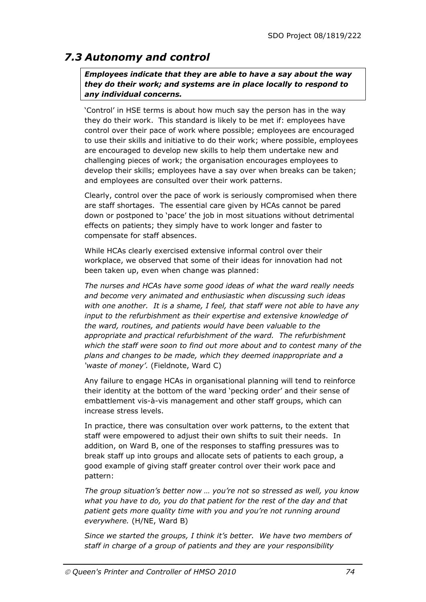# *7.3 Autonomy and control*

*Employees indicate that they are able to have a say about the way they do their work; and systems are in place locally to respond to any individual concerns.*

'Control' in HSE terms is about how much say the person has in the way they do their work. This standard is likely to be met if: employees have control over their pace of work where possible; employees are encouraged to use their skills and initiative to do their work; where possible, employees are encouraged to develop new skills to help them undertake new and challenging pieces of work; the organisation encourages employees to develop their skills; employees have a say over when breaks can be taken; and employees are consulted over their work patterns.

Clearly, control over the pace of work is seriously compromised when there are staff shortages. The essential care given by HCAs cannot be pared down or postponed to 'pace' the job in most situations without detrimental effects on patients; they simply have to work longer and faster to compensate for staff absences.

While HCAs clearly exercised extensive informal control over their workplace, we observed that some of their ideas for innovation had not been taken up, even when change was planned:

*The nurses and HCAs have some good ideas of what the ward really needs and become very animated and enthusiastic when discussing such ideas with one another. It is a shame, I feel, that staff were not able to have any input to the refurbishment as their expertise and extensive knowledge of the ward, routines, and patients would have been valuable to the appropriate and practical refurbishment of the ward. The refurbishment which the staff were soon to find out more about and to contest many of the plans and changes to be made, which they deemed inappropriate and a 'waste of money'.* (Fieldnote, Ward C)

Any failure to engage HCAs in organisational planning will tend to reinforce their identity at the bottom of the ward 'pecking order' and their sense of embattlement vis-à-vis management and other staff groups, which can increase stress levels.

In practice, there was consultation over work patterns, to the extent that staff were empowered to adjust their own shifts to suit their needs. In addition, on Ward B, one of the responses to staffing pressures was to break staff up into groups and allocate sets of patients to each group, a good example of giving staff greater control over their work pace and pattern:

*The group situation's better now … you're not so stressed as well, you know what you have to do, you do that patient for the rest of the day and that patient gets more quality time with you and you're not running around everywhere.* (H/NE, Ward B)

*Since we started the groups, I think it's better. We have two members of staff in charge of a group of patients and they are your responsibility*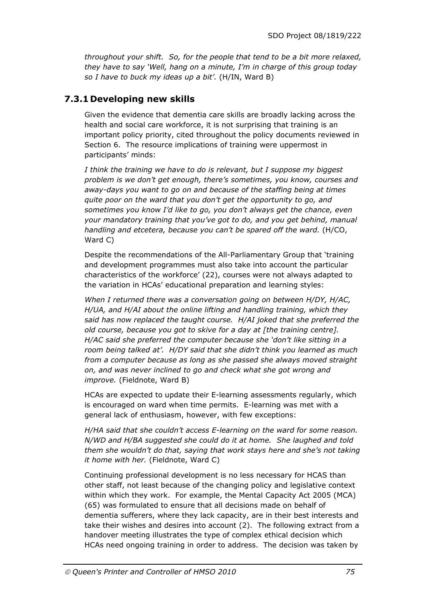*throughout your shift. So, for the people that tend to be a bit more relaxed, they have to say 'Well, hang on a minute, I'm in charge of this group today so I have to buck my ideas up a bit'.* (H/IN, Ward B)

## **7.3.1 Developing new skills**

Given the evidence that dementia care skills are broadly lacking across the health and social care workforce, it is not surprising that training is an important policy priority, cited throughout the policy documents reviewed in Section 6. The resource implications of training were uppermost in participants' minds:

*I think the training we have to do is relevant, but I suppose my biggest problem is we don't get enough, there's sometimes, you know, courses and away-days you want to go on and because of the staffing being at times quite poor on the ward that you don't get the opportunity to go, and sometimes you know I'd like to go, you don't always get the chance, even your mandatory training that you've got to do, and you get behind, manual handling and etcetera, because you can't be spared off the ward.* (H/CO, Ward C)

Despite the recommendations of the All-Parliamentary Group that 'training and development programmes must also take into account the particular characteristics of the workforce' (22), courses were not always adapted to the variation in HCAs' educational preparation and learning styles:

*When I returned there was a conversation going on between H/DY, H/AC, H/UA, and H/AI about the online lifting and handling training, which they said has now replaced the taught course. H/AI joked that she preferred the old course, because you got to skive for a day at [the training centre]. H/AC said she preferred the computer because she 'don't like sitting in a room being talked at'. H/DY said that she didn't think you learned as much from a computer because as long as she passed she always moved straight on, and was never inclined to go and check what she got wrong and improve.* (Fieldnote, Ward B)

HCAs are expected to update their E-learning assessments regularly, which is encouraged on ward when time permits. E-learning was met with a general lack of enthusiasm, however, with few exceptions:

*H/HA said that she couldn't access E-learning on the ward for some reason. N/WD and H/BA suggested she could do it at home. She laughed and told them she wouldn't do that, saying that work stays here and she's not taking it home with her.* (Fieldnote, Ward C)

Continuing professional development is no less necessary for HCAS than other staff, not least because of the changing policy and legislative context within which they work. For example, the Mental Capacity Act 2005 (MCA) (65) was formulated to ensure that all decisions made on behalf of dementia sufferers, where they lack capacity, are in their best interests and take their wishes and desires into account (2). The following extract from a handover meeting illustrates the type of complex ethical decision which HCAs need ongoing training in order to address. The decision was taken by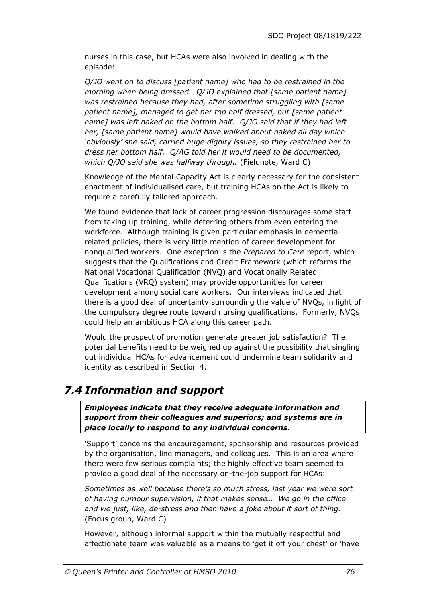nurses in this case, but HCAs were also involved in dealing with the episode:

*Q/JO went on to discuss [patient name] who had to be restrained in the morning when being dressed. Q/JO explained that [same patient name] was restrained because they had, after sometime struggling with [same patient name], managed to get her top half dressed, but [same patient name] was left naked on the bottom half. Q/JO said that if they had left her, [same patient name] would have walked about naked all day which 'obviously' she said, carried huge dignity issues, so they restrained her to dress her bottom half. Q/AG told her it would need to be documented, which Q/JO said she was halfway through.* (Fieldnote, Ward C)

Knowledge of the Mental Capacity Act is clearly necessary for the consistent enactment of individualised care, but training HCAs on the Act is likely to require a carefully tailored approach.

We found evidence that lack of career progression discourages some staff from taking up training, while deterring others from even entering the workforce. Although training is given particular emphasis in dementiarelated policies, there is very little mention of career development for nonqualified workers. One exception is the *Prepared to Care* report, which suggests that the Qualifications and Credit Framework (which reforms the National Vocational Qualification (NVQ) and Vocationally Related Qualifications (VRQ) system) may provide opportunities for career development among social care workers. Our interviews indicated that there is a good deal of uncertainty surrounding the value of NVQs, in light of the compulsory degree route toward nursing qualifications. Formerly, NVQs could help an ambitious HCA along this career path.

Would the prospect of promotion generate greater job satisfaction? The potential benefits need to be weighed up against the possibility that singling out individual HCAs for advancement could undermine team solidarity and identity as described in Section 4.

# *7.4 Information and support*

*Employees indicate that they receive adequate information and support from their colleagues and superiors; and systems are in place locally to respond to any individual concerns.*

'Support' concerns the encouragement, sponsorship and resources provided by the organisation, line managers, and colleagues. This is an area where there were few serious complaints; the highly effective team seemed to provide a good deal of the necessary on-the-job support for HCAs:

*Sometimes as well because there's so much stress, last year we were sort of having humour supervision, if that makes sense… We go in the office and we just, like, de-stress and then have a joke about it sort of thing.* (Focus group, Ward C)

However, although informal support within the mutually respectful and affectionate team was valuable as a means to 'get it off your chest' or 'have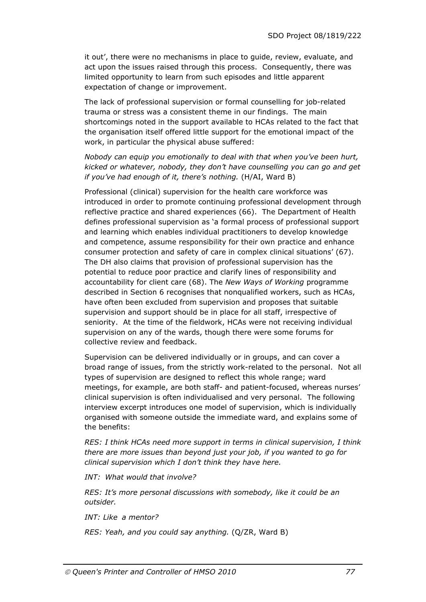it out', there were no mechanisms in place to guide, review, evaluate, and act upon the issues raised through this process. Consequently, there was limited opportunity to learn from such episodes and little apparent expectation of change or improvement.

The lack of professional supervision or formal counselling for job-related trauma or stress was a consistent theme in our findings. The main shortcomings noted in the support available to HCAs related to the fact that the organisation itself offered little support for the emotional impact of the work, in particular the physical abuse suffered:

*Nobody can equip you emotionally to deal with that when you've been hurt, kicked or whatever, nobody, they don't have counselling you can go and get if you've had enough of it, there's nothing.* (H/AI, Ward B)

Professional (clinical) supervision for the health care workforce was introduced in order to promote continuing professional development through reflective practice and shared experiences (66). The Department of Health defines professional supervision as 'a formal process of professional support and learning which enables individual practitioners to develop knowledge and competence, assume responsibility for their own practice and enhance consumer protection and safety of care in complex clinical situations' (67). The DH also claims that provision of professional supervision has the potential to reduce poor practice and clarify lines of responsibility and accountability for client care (68). The *New Ways of Working* programme described in Section 6 recognises that nonqualified workers, such as HCAs, have often been excluded from supervision and proposes that suitable supervision and support should be in place for all staff, irrespective of seniority. At the time of the fieldwork, HCAs were not receiving individual supervision on any of the wards, though there were some forums for collective review and feedback.

Supervision can be delivered individually or in groups, and can cover a broad range of issues, from the strictly work-related to the personal. Not all types of supervision are designed to reflect this whole range; ward meetings, for example, are both staff- and patient-focused, whereas nurses' clinical supervision is often individualised and very personal. The following interview excerpt introduces one model of supervision, which is individually organised with someone outside the immediate ward, and explains some of the benefits:

*RES: I think HCAs need more support in terms in clinical supervision, I think there are more issues than beyond just your job, if you wanted to go for clinical supervision which I don't think they have here.* 

*INT: What would that involve?* 

*RES: It's more personal discussions with somebody, like it could be an outsider.* 

*INT: Like a mentor?* 

*RES: Yeah, and you could say anything.* (Q/ZR, Ward B)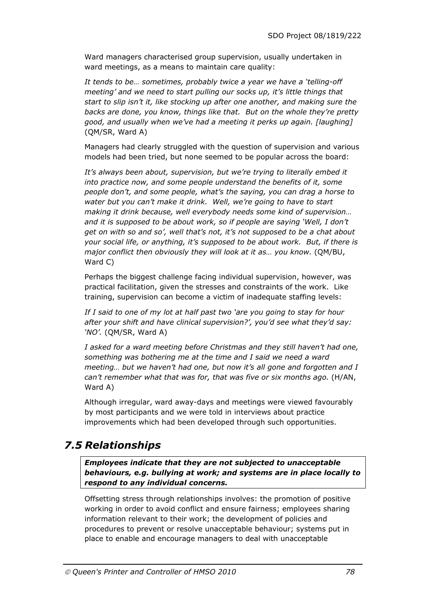Ward managers characterised group supervision, usually undertaken in ward meetings, as a means to maintain care quality:

*It tends to be… sometimes, probably twice a year we have a 'telling-off meeting' and we need to start pulling our socks up, it's little things that start to slip isn't it, like stocking up after one another, and making sure the backs are done, you know, things like that. But on the whole they're pretty good, and usually when we've had a meeting it perks up again. [laughing]* (QM/SR, Ward A)

Managers had clearly struggled with the question of supervision and various models had been tried, but none seemed to be popular across the board:

*It's always been about, supervision, but we're trying to literally embed it into practice now, and some people understand the benefits of it, some people don't, and some people, what's the saying, you can drag a horse to water but you can't make it drink. Well, we're going to have to start making it drink because, well everybody needs some kind of supervision… and it is supposed to be about work, so if people are saying 'Well, I don't get on with so and so', well that's not, it's not supposed to be a chat about your social life, or anything, it's supposed to be about work. But, if there is major conflict then obviously they will look at it as… you know.* (QM/BU, Ward C)

Perhaps the biggest challenge facing individual supervision, however, was practical facilitation, given the stresses and constraints of the work. Like training, supervision can become a victim of inadequate staffing levels:

*If I said to one of my lot at half past two 'are you going to stay for hour after your shift and have clinical supervision?', you'd see what they'd say: 'NO'.* (QM/SR, Ward A)

*I asked for a ward meeting before Christmas and they still haven't had one, something was bothering me at the time and I said we need a ward meeting… but we haven't had one, but now it's all gone and forgotten and I can't remember what that was for, that was five or six months ago.* (H/AN, Ward A)

Although irregular, ward away-days and meetings were viewed favourably by most participants and we were told in interviews about practice improvements which had been developed through such opportunities.

# *7.5 Relationships*

*Employees indicate that they are not subjected to unacceptable behaviours, e.g. bullying at work; and systems are in place locally to respond to any individual concerns.*

Offsetting stress through relationships involves: the promotion of positive working in order to avoid conflict and ensure fairness; employees sharing information relevant to their work; the development of policies and procedures to prevent or resolve unacceptable behaviour; systems put in place to enable and encourage managers to deal with unacceptable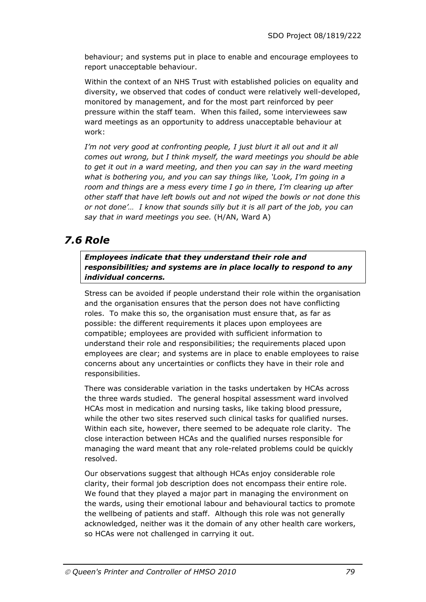behaviour; and systems put in place to enable and encourage employees to report unacceptable behaviour.

Within the context of an NHS Trust with established policies on equality and diversity, we observed that codes of conduct were relatively well-developed, monitored by management, and for the most part reinforced by peer pressure within the staff team. When this failed, some interviewees saw ward meetings as an opportunity to address unacceptable behaviour at work:

*I'm not very good at confronting people, I just blurt it all out and it all comes out wrong, but I think myself, the ward meetings you should be able to get it out in a ward meeting, and then you can say in the ward meeting what is bothering you, and you can say things like, 'Look, I'm going in a room and things are a mess every time I go in there, I'm clearing up after other staff that have left bowls out and not wiped the bowls or not done this or not done'… I know that sounds silly but it is all part of the job, you can say that in ward meetings you see.* (H/AN, Ward A)

# *7.6 Role*

*Employees indicate that they understand their role and responsibilities; and systems are in place locally to respond to any individual concerns.*

Stress can be avoided if people understand their role within the organisation and the organisation ensures that the person does not have conflicting roles. To make this so, the organisation must ensure that, as far as possible: the different requirements it places upon employees are compatible; employees are provided with sufficient information to understand their role and responsibilities; the requirements placed upon employees are clear; and systems are in place to enable employees to raise concerns about any uncertainties or conflicts they have in their role and responsibilities.

There was considerable variation in the tasks undertaken by HCAs across the three wards studied. The general hospital assessment ward involved HCAs most in medication and nursing tasks, like taking blood pressure, while the other two sites reserved such clinical tasks for qualified nurses. Within each site, however, there seemed to be adequate role clarity. The close interaction between HCAs and the qualified nurses responsible for managing the ward meant that any role-related problems could be quickly resolved.

Our observations suggest that although HCAs enjoy considerable role clarity, their formal job description does not encompass their entire role. We found that they played a major part in managing the environment on the wards, using their emotional labour and behavioural tactics to promote the wellbeing of patients and staff. Although this role was not generally acknowledged, neither was it the domain of any other health care workers, so HCAs were not challenged in carrying it out.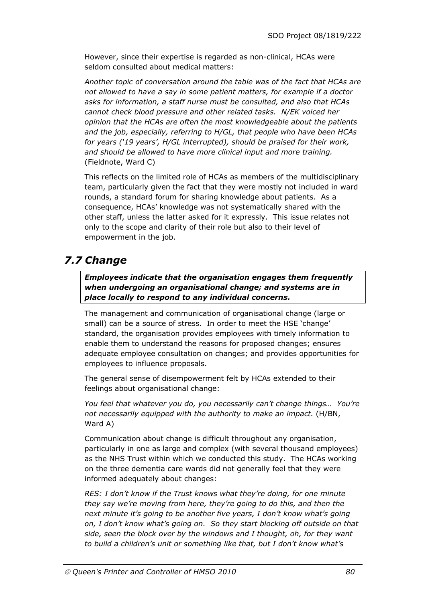However, since their expertise is regarded as non-clinical, HCAs were seldom consulted about medical matters:

*Another topic of conversation around the table was of the fact that HCAs are not allowed to have a say in some patient matters, for example if a doctor asks for information, a staff nurse must be consulted, and also that HCAs cannot check blood pressure and other related tasks. N/EK voiced her opinion that the HCAs are often the most knowledgeable about the patients and the job, especially, referring to H/GL, that people who have been HCAs for years ('19 years', H/GL interrupted), should be praised for their work, and should be allowed to have more clinical input and more training.*  (Fieldnote, Ward C)

This reflects on the limited role of HCAs as members of the multidisciplinary team, particularly given the fact that they were mostly not included in ward rounds, a standard forum for sharing knowledge about patients. As a consequence, HCAs' knowledge was not systematically shared with the other staff, unless the latter asked for it expressly. This issue relates not only to the scope and clarity of their role but also to their level of empowerment in the job.

# *7.7 Change*

*Employees indicate that the organisation engages them frequently when undergoing an organisational change; and systems are in place locally to respond to any individual concerns.*

The management and communication of organisational change (large or small) can be a source of stress. In order to meet the HSE 'change' standard, the organisation provides employees with timely information to enable them to understand the reasons for proposed changes; ensures adequate employee consultation on changes; and provides opportunities for employees to influence proposals.

The general sense of disempowerment felt by HCAs extended to their feelings about organisational change:

*You feel that whatever you do, you necessarily can't change things… You're not necessarily equipped with the authority to make an impact.* (H/BN, Ward A)

Communication about change is difficult throughout any organisation, particularly in one as large and complex (with several thousand employees) as the NHS Trust within which we conducted this study. The HCAs working on the three dementia care wards did not generally feel that they were informed adequately about changes:

*RES: I don't know if the Trust knows what they're doing, for one minute they say we're moving from here, they're going to do this, and then the next minute it's going to be another five years, I don't know what's going on, I don't know what's going on. So they start blocking off outside on that side, seen the block over by the windows and I thought, oh, for they want to build a children's unit or something like that, but I don't know what's*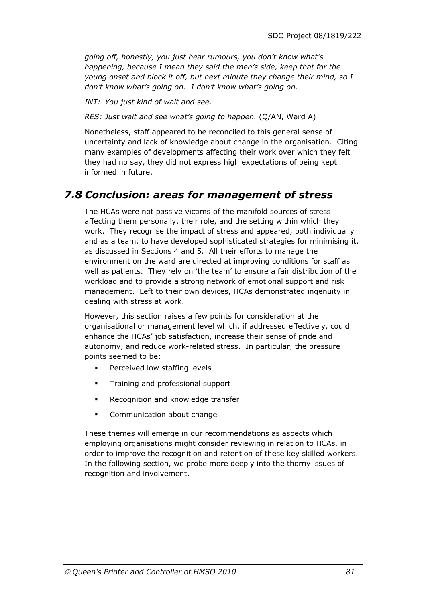*going off, honestly, you just hear rumours, you don't know what's happening, because I mean they said the men's side, keep that for the young onset and block it off, but next minute they change their mind, so I don't know what's going on. I don't know what's going on.* 

*INT: You just kind of wait and see.* 

*RES: Just wait and see what's going to happen.* (Q/AN, Ward A)

Nonetheless, staff appeared to be reconciled to this general sense of uncertainty and lack of knowledge about change in the organisation. Citing many examples of developments affecting their work over which they felt they had no say, they did not express high expectations of being kept informed in future.

# *7.8 Conclusion: areas for management of stress*

The HCAs were not passive victims of the manifold sources of stress affecting them personally, their role, and the setting within which they work. They recognise the impact of stress and appeared, both individually and as a team, to have developed sophisticated strategies for minimising it, as discussed in Sections 4 and 5. All their efforts to manage the environment on the ward are directed at improving conditions for staff as well as patients. They rely on 'the team' to ensure a fair distribution of the workload and to provide a strong network of emotional support and risk management. Left to their own devices, HCAs demonstrated ingenuity in dealing with stress at work.

However, this section raises a few points for consideration at the organisational or management level which, if addressed effectively, could enhance the HCAs' job satisfaction, increase their sense of pride and autonomy, and reduce work-related stress. In particular, the pressure points seemed to be:

- **Perceived low staffing levels**
- **Training and professional support**
- Recognition and knowledge transfer
- **•** Communication about change

These themes will emerge in our recommendations as aspects which employing organisations might consider reviewing in relation to HCAs, in order to improve the recognition and retention of these key skilled workers. In the following section, we probe more deeply into the thorny issues of recognition and involvement.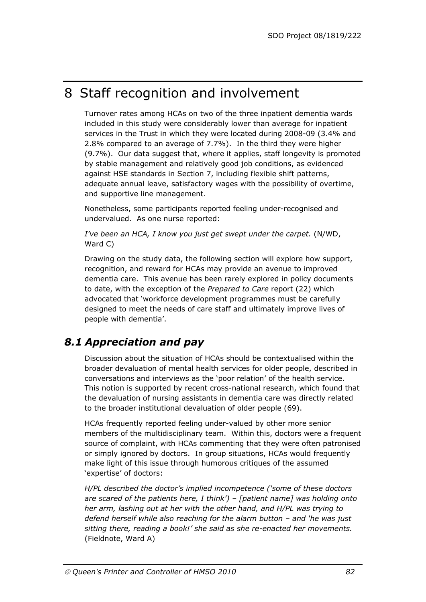# 8 Staff recognition and involvement

Turnover rates among HCAs on two of the three inpatient dementia wards included in this study were considerably lower than average for inpatient services in the Trust in which they were located during 2008-09 (3.4% and 2.8% compared to an average of 7.7%). In the third they were higher (9.7%). Our data suggest that, where it applies, staff longevity is promoted by stable management and relatively good job conditions, as evidenced against HSE standards in Section 7, including flexible shift patterns, adequate annual leave, satisfactory wages with the possibility of overtime, and supportive line management.

Nonetheless, some participants reported feeling under-recognised and undervalued. As one nurse reported:

*I've been an HCA, I know you just get swept under the carpet.* (N/WD, Ward C)

Drawing on the study data, the following section will explore how support, recognition, and reward for HCAs may provide an avenue to improved dementia care. This avenue has been rarely explored in policy documents to date, with the exception of the *Prepared to Care* report (22) which advocated that 'workforce development programmes must be carefully designed to meet the needs of care staff and ultimately improve lives of people with dementia'.

# *8.1 Appreciation and pay*

Discussion about the situation of HCAs should be contextualised within the broader devaluation of mental health services for older people, described in conversations and interviews as the 'poor relation' of the health service. This notion is supported by recent cross-national research, which found that the devaluation of nursing assistants in dementia care was directly related to the broader institutional devaluation of older people (69).

HCAs frequently reported feeling under-valued by other more senior members of the multidisciplinary team. Within this, doctors were a frequent source of complaint, with HCAs commenting that they were often patronised or simply ignored by doctors. In group situations, HCAs would frequently make light of this issue through humorous critiques of the assumed 'expertise' of doctors:

*H/PL described the doctor's implied incompetence ('some of these doctors are scared of the patients here, I think') – [patient name] was holding onto her arm, lashing out at her with the other hand, and H/PL was trying to defend herself while also reaching for the alarm button – and 'he was just sitting there, reading a book!' she said as she re-enacted her movements.*  (Fieldnote, Ward A)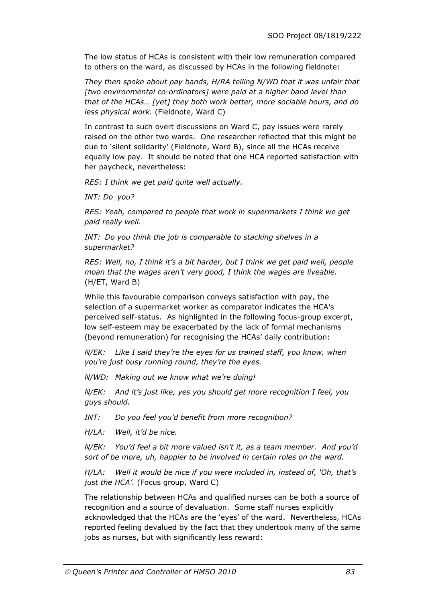The low status of HCAs is consistent with their low remuneration compared to others on the ward, as discussed by HCAs in the following fieldnote:

*They then spoke about pay bands, H/RA telling N/WD that it was unfair that [two environmental co-ordinators] were paid at a higher band level than that of the HCAs… [yet] they both work better, more sociable hours, and do less physical work.* (Fieldnote, Ward C)

In contrast to such overt discussions on Ward C, pay issues were rarely raised on the other two wards. One researcher reflected that this might be due to 'silent solidarity' (Fieldnote, Ward B), since all the HCAs receive equally low pay. It should be noted that one HCA reported satisfaction with her paycheck, nevertheless:

*RES: I think we get paid quite well actually.* 

*INT: Do you?* 

*RES: Yeah, compared to people that work in supermarkets I think we get paid really well.* 

*INT: Do you think the job is comparable to stacking shelves in a supermarket?* 

*RES: Well, no, I think it's a bit harder, but I think we get paid well, people moan that the wages aren't very good, I think the wages are liveable.* (H/ET, Ward B)

While this favourable comparison conveys satisfaction with pay, the selection of a supermarket worker as comparator indicates the HCA's perceived self-status. As highlighted in the following focus-group excerpt, low self-esteem may be exacerbated by the lack of formal mechanisms (beyond remuneration) for recognising the HCAs' daily contribution:

*N/EK: Like I said they're the eyes for us trained staff, you know, when you're just busy running round, they're the eyes.* 

*N/WD: Making out we know what we're doing!* 

*N/EK: And it's just like, yes you should get more recognition I feel, you guys should.* 

*INT: Do you feel you'd benefit from more recognition?* 

*H/LA: Well, it'd be nice.* 

*N/EK: You'd feel a bit more valued isn't it, as a team member. And you'd sort of be more, uh, happier to be involved in certain roles on the ward.* 

*H/LA: Well it would be nice if you were included in, instead of, 'Oh, that's just the HCA'.* (Focus group, Ward C)

The relationship between HCAs and qualified nurses can be both a source of recognition and a source of devaluation. Some staff nurses explicitly acknowledged that the HCAs are the 'eyes' of the ward. Nevertheless, HCAs reported feeling devalued by the fact that they undertook many of the same jobs as nurses, but with significantly less reward: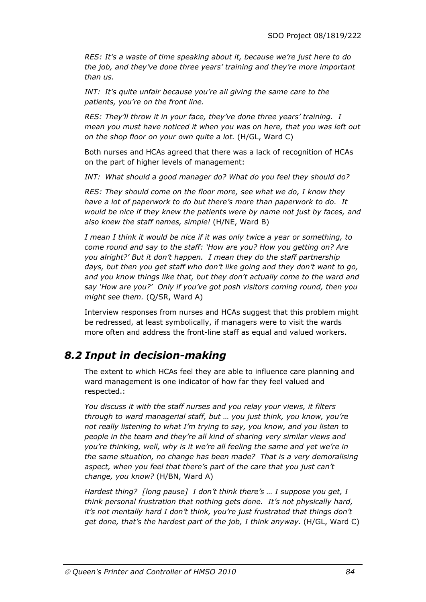*RES: It's a waste of time speaking about it, because we're just here to do the job, and they've done three years' training and they're more important than us.* 

*INT: It's quite unfair because you're all giving the same care to the patients, you're on the front line.* 

*RES: They'll throw it in your face, they've done three years' training. I mean you must have noticed it when you was on here, that you was left out on the shop floor on your own quite a lot.* (H/GL, Ward C)

Both nurses and HCAs agreed that there was a lack of recognition of HCAs on the part of higher levels of management:

*INT: What should a good manager do? What do you feel they should do?* 

*RES: They should come on the floor more, see what we do, I know they have a lot of paperwork to do but there's more than paperwork to do. It would be nice if they knew the patients were by name not just by faces, and also knew the staff names, simple!* (H/NE, Ward B)

*I mean I think it would be nice if it was only twice a year or something, to come round and say to the staff: 'How are you? How you getting on? Are you alright?' But it don't happen. I mean they do the staff partnership days, but then you get staff who don't like going and they don't want to go, and you know things like that, but they don't actually come to the ward and say 'How are you?' Only if you've got posh visitors coming round, then you might see them.* (Q/SR, Ward A)

Interview responses from nurses and HCAs suggest that this problem might be redressed, at least symbolically, if managers were to visit the wards more often and address the front-line staff as equal and valued workers.

## *8.2 Input in decision-making*

The extent to which HCAs feel they are able to influence care planning and ward management is one indicator of how far they feel valued and respected.:

*You discuss it with the staff nurses and you relay your views, it filters through to ward managerial staff, but … you just think, you know, you're not really listening to what I'm trying to say, you know, and you listen to people in the team and they're all kind of sharing very similar views and you're thinking, well, why is it we're all feeling the same and yet we're in the same situation, no change has been made? That is a very demoralising*  aspect, when you feel that there's part of the care that you just can't *change, you know?* (H/BN, Ward A)

*Hardest thing? [long pause] I don't think there's … I suppose you get, I think personal frustration that nothing gets done. It's not physically hard, it's not mentally hard I don't think, you're just frustrated that things don't get done, that's the hardest part of the job, I think anyway.* (H/GL, Ward C)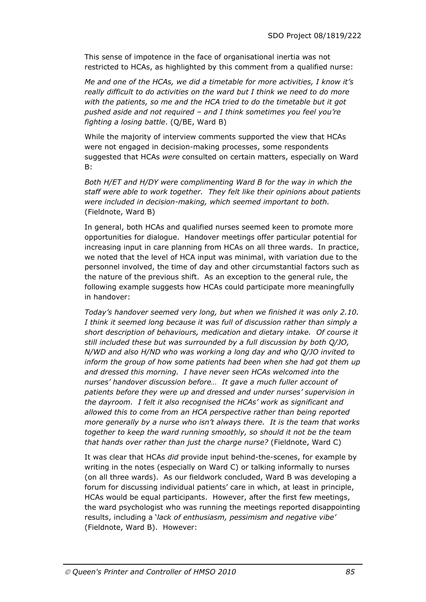This sense of impotence in the face of organisational inertia was not restricted to HCAs, as highlighted by this comment from a qualified nurse:

*Me and one of the HCAs, we did a timetable for more activities, I know it's really difficult to do activities on the ward but I think we need to do more with the patients, so me and the HCA tried to do the timetable but it got pushed aside and not required – and I think sometimes you feel you're fighting a losing battle*. (Q/BE, Ward B)

While the majority of interview comments supported the view that HCAs were not engaged in decision-making processes, some respondents suggested that HCAs *were* consulted on certain matters, especially on Ward B:

*Both H/ET and H/DY were complimenting Ward B for the way in which the staff were able to work together. They felt like their opinions about patients were included in decision-making, which seemed important to both.*  (Fieldnote, Ward B)

In general, both HCAs and qualified nurses seemed keen to promote more opportunities for dialogue. Handover meetings offer particular potential for increasing input in care planning from HCAs on all three wards. In practice, we noted that the level of HCA input was minimal, with variation due to the personnel involved, the time of day and other circumstantial factors such as the nature of the previous shift. As an exception to the general rule, the following example suggests how HCAs could participate more meaningfully in handover:

*Today's handover seemed very long, but when we finished it was only 2.10. I think it seemed long because it was full of discussion rather than simply a short description of behaviours, medication and dietary intake. Of course it still included these but was surrounded by a full discussion by both Q/JO, N/WD and also H/ND who was working a long day and who Q/JO invited to inform the group of how some patients had been when she had got them up and dressed this morning. I have never seen HCAs welcomed into the nurses' handover discussion before… It gave a much fuller account of patients before they were up and dressed and under nurses' supervision in the dayroom. I felt it also recognised the HCAs' work as significant and allowed this to come from an HCA perspective rather than being reported more generally by a nurse who isn't always there. It is the team that works together to keep the ward running smoothly, so should it not be the team that hands over rather than just the charge nurse?* (Fieldnote, Ward C)

It was clear that HCAs *did* provide input behind-the-scenes, for example by writing in the notes (especially on Ward C) or talking informally to nurses (on all three wards). As our fieldwork concluded, Ward B was developing a forum for discussing individual patients' care in which, at least in principle, HCAs would be equal participants. However, after the first few meetings, the ward psychologist who was running the meetings reported disappointing results, including a '*lack of enthusiasm, pessimism and negative vibe'*  (Fieldnote, Ward B). However: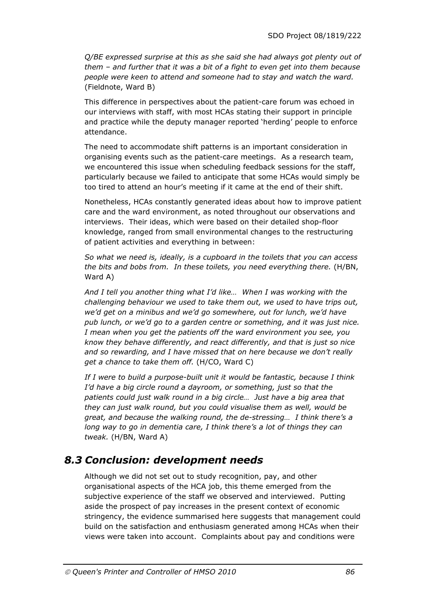*Q/BE expressed surprise at this as she said she had always got plenty out of them – and further that it was a bit of a fight to even get into them because people were keen to attend and someone had to stay and watch the ward.*  (Fieldnote, Ward B)

This difference in perspectives about the patient-care forum was echoed in our interviews with staff, with most HCAs stating their support in principle and practice while the deputy manager reported 'herding' people to enforce attendance.

The need to accommodate shift patterns is an important consideration in organising events such as the patient-care meetings. As a research team, we encountered this issue when scheduling feedback sessions for the staff, particularly because we failed to anticipate that some HCAs would simply be too tired to attend an hour's meeting if it came at the end of their shift.

Nonetheless, HCAs constantly generated ideas about how to improve patient care and the ward environment, as noted throughout our observations and interviews. Their ideas, which were based on their detailed shop-floor knowledge, ranged from small environmental changes to the restructuring of patient activities and everything in between:

*So what we need is, ideally, is a cupboard in the toilets that you can access the bits and bobs from. In these toilets, you need everything there.* (H/BN, Ward A)

*And I tell you another thing what I'd like… When I was working with the challenging behaviour we used to take them out, we used to have trips out, we'd get on a minibus and we'd go somewhere, out for lunch, we'd have pub lunch, or we'd go to a garden centre or something, and it was just nice. I mean when you get the patients off the ward environment you see, you know they behave differently, and react differently, and that is just so nice and so rewarding, and I have missed that on here because we don't really get a chance to take them off.* (H/CO, Ward C)

*If I were to build a purpose-built unit it would be fantastic, because I think I'd have a big circle round a dayroom, or something, just so that the patients could just walk round in a big circle… Just have a big area that they can just walk round, but you could visualise them as well, would be great, and because the walking round, the de-stressing… I think there's a long way to go in dementia care, I think there's a lot of things they can tweak.* (H/BN, Ward A)

# *8.3 Conclusion: development needs*

Although we did not set out to study recognition, pay, and other organisational aspects of the HCA job, this theme emerged from the subjective experience of the staff we observed and interviewed. Putting aside the prospect of pay increases in the present context of economic stringency, the evidence summarised here suggests that management could build on the satisfaction and enthusiasm generated among HCAs when their views were taken into account. Complaints about pay and conditions were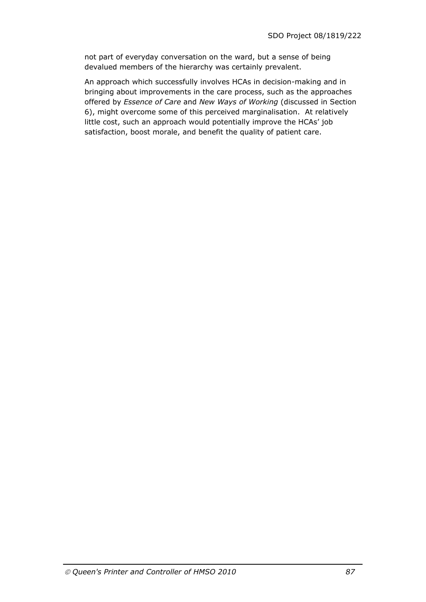not part of everyday conversation on the ward, but a sense of being devalued members of the hierarchy was certainly prevalent.

An approach which successfully involves HCAs in decision-making and in bringing about improvements in the care process, such as the approaches offered by *Essence of Care* and *New Ways of Working* (discussed in Section 6), might overcome some of this perceived marginalisation. At relatively little cost, such an approach would potentially improve the HCAs' job satisfaction, boost morale, and benefit the quality of patient care.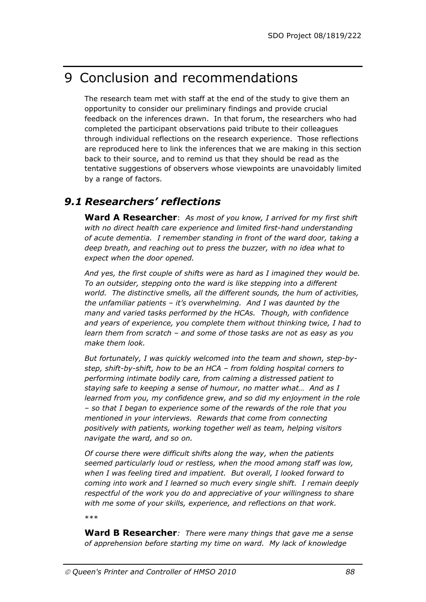# 9 Conclusion and recommendations

The research team met with staff at the end of the study to give them an opportunity to consider our preliminary findings and provide crucial feedback on the inferences drawn. In that forum, the researchers who had completed the participant observations paid tribute to their colleagues through individual reflections on the research experience. Those reflections are reproduced here to link the inferences that we are making in this section back to their source, and to remind us that they should be read as the tentative suggestions of observers whose viewpoints are unavoidably limited by a range of factors.

# *9.1 Researchers' reflections*

**Ward A Researcher**: *As most of you know, I arrived for my first shift with no direct health care experience and limited first-hand understanding of acute dementia. I remember standing in front of the ward door, taking a deep breath, and reaching out to press the buzzer, with no idea what to expect when the door opened.* 

*And yes, the first couple of shifts were as hard as I imagined they would be. To an outsider, stepping onto the ward is like stepping into a different world. The distinctive smells, all the different sounds, the hum of activities, the unfamiliar patients – it's overwhelming. And I was daunted by the many and varied tasks performed by the HCAs. Though, with confidence and years of experience, you complete them without thinking twice, I had to learn them from scratch – and some of those tasks are not as easy as you make them look.* 

*But fortunately, I was quickly welcomed into the team and shown, step-bystep, shift-by-shift, how to be an HCA – from folding hospital corners to performing intimate bodily care, from calming a distressed patient to staying safe to keeping a sense of humour, no matter what… And as I learned from you, my confidence grew, and so did my enjoyment in the role – so that I began to experience some of the rewards of the role that you mentioned in your interviews. Rewards that come from connecting positively with patients, working together well as team, helping visitors navigate the ward, and so on.* 

*Of course there were difficult shifts along the way, when the patients seemed particularly loud or restless, when the mood among staff was low, when I was feeling tired and impatient. But overall, I looked forward to coming into work and I learned so much every single shift. I remain deeply respectful of the work you do and appreciative of your willingness to share with me some of your skills, experience, and reflections on that work.* 

\*\*\*

**Ward B Researcher***: There were many things that gave me a sense of apprehension before starting my time on ward. My lack of knowledge*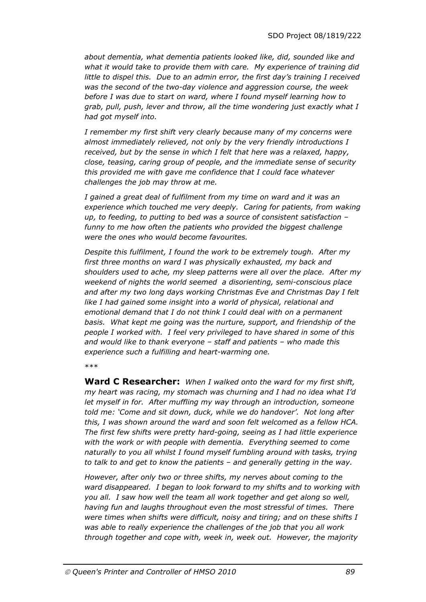*about dementia, what dementia patients looked like, did, sounded like and what it would take to provide them with care. My experience of training did little to dispel this. Due to an admin error, the first day's training I received was the second of the two-day violence and aggression course, the week before I was due to start on ward, where I found myself learning how to grab, pull, push, lever and throw, all the time wondering just exactly what I had got myself into.* 

*I remember my first shift very clearly because many of my concerns were almost immediately relieved, not only by the very friendly introductions I received, but by the sense in which I felt that here was a relaxed, happy, close, teasing, caring group of people, and the immediate sense of security this provided me with gave me confidence that I could face whatever challenges the job may throw at me.* 

*I gained a great deal of fulfilment from my time on ward and it was an experience which touched me very deeply. Caring for patients, from waking up, to feeding, to putting to bed was a source of consistent satisfaction – funny to me how often the patients who provided the biggest challenge were the ones who would become favourites.* 

*Despite this fulfilment, I found the work to be extremely tough. After my first three months on ward I was physically exhausted, my back and shoulders used to ache, my sleep patterns were all over the place. After my weekend of nights the world seemed a disorienting, semi-conscious place and after my two long days working Christmas Eve and Christmas Day I felt like I had gained some insight into a world of physical, relational and emotional demand that I do not think I could deal with on a permanent basis. What kept me going was the nurture, support, and friendship of the people I worked with. I feel very privileged to have shared in some of this and would like to thank everyone – staff and patients – who made this experience such a fulfilling and heart-warming one.* 

\*\*\*

**Ward C Researcher:** *When I walked onto the ward for my first shift, my heart was racing, my stomach was churning and I had no idea what I'd let myself in for. After muffling my way through an introduction, someone told me: 'Come and sit down, duck, while we do handover'. Not long after this, I was shown around the ward and soon felt welcomed as a fellow HCA. The first few shifts were pretty hard-going, seeing as I had little experience with the work or with people with dementia. Everything seemed to come naturally to you all whilst I found myself fumbling around with tasks, trying to talk to and get to know the patients – and generally getting in the way.* 

*However, after only two or three shifts, my nerves about coming to the ward disappeared. I began to look forward to my shifts and to working with you all. I saw how well the team all work together and get along so well, having fun and laughs throughout even the most stressful of times. There were times when shifts were difficult, noisy and tiring; and on these shifts I was able to really experience the challenges of the job that you all work through together and cope with, week in, week out. However, the majority*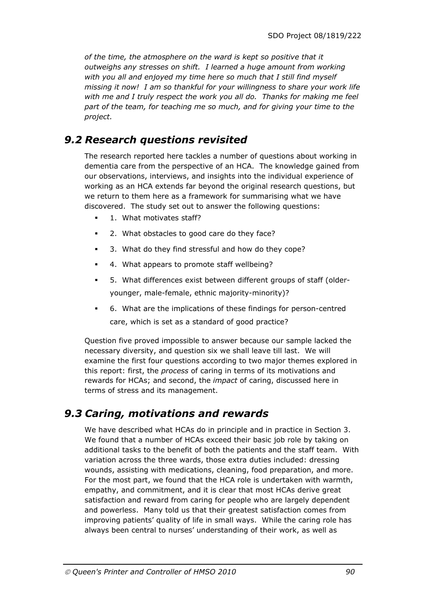*of the time, the atmosphere on the ward is kept so positive that it outweighs any stresses on shift. I learned a huge amount from working with you all and enjoyed my time here so much that I still find myself missing it now! I am so thankful for your willingness to share your work life with me and I truly respect the work you all do. Thanks for making me feel part of the team, for teaching me so much, and for giving your time to the project.* 

## *9.2 Research questions revisited*

The research reported here tackles a number of questions about working in dementia care from the perspective of an HCA. The knowledge gained from our observations, interviews, and insights into the individual experience of working as an HCA extends far beyond the original research questions, but we return to them here as a framework for summarising what we have discovered. The study set out to answer the following questions:

- 1. What motivates staff?
- 2. What obstacles to good care do they face?
- 3. What do they find stressful and how do they cope?
- 4. What appears to promote staff wellbeing?
- 5. What differences exist between different groups of staff (olderyounger, male-female, ethnic majority-minority)?
- 6. What are the implications of these findings for person-centred care, which is set as a standard of good practice?

Question five proved impossible to answer because our sample lacked the necessary diversity, and question six we shall leave till last. We will examine the first four questions according to two major themes explored in this report: first, the *process* of caring in terms of its motivations and rewards for HCAs; and second, the *impact* of caring, discussed here in terms of stress and its management.

# *9.3 Caring, motivations and rewards*

We have described what HCAs do in principle and in practice in Section 3. We found that a number of HCAs exceed their basic job role by taking on additional tasks to the benefit of both the patients and the staff team. With variation across the three wards, those extra duties included: dressing wounds, assisting with medications, cleaning, food preparation, and more. For the most part, we found that the HCA role is undertaken with warmth, empathy, and commitment, and it is clear that most HCAs derive great satisfaction and reward from caring for people who are largely dependent and powerless. Many told us that their greatest satisfaction comes from improving patients' quality of life in small ways. While the caring role has always been central to nurses' understanding of their work, as well as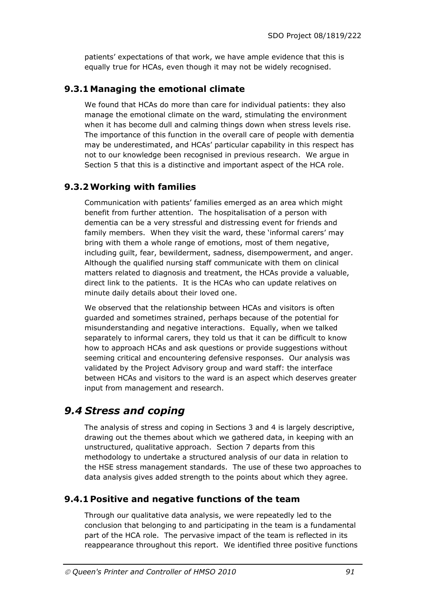patients' expectations of that work, we have ample evidence that this is equally true for HCAs, even though it may not be widely recognised.

### **9.3.1Managing the emotional climate**

We found that HCAs do more than care for individual patients: they also manage the emotional climate on the ward, stimulating the environment when it has become dull and calming things down when stress levels rise. The importance of this function in the overall care of people with dementia may be underestimated, and HCAs' particular capability in this respect has not to our knowledge been recognised in previous research. We argue in Section 5 that this is a distinctive and important aspect of the HCA role.

## **9.3.2Working with families**

Communication with patients' families emerged as an area which might benefit from further attention. The hospitalisation of a person with dementia can be a very stressful and distressing event for friends and family members. When they visit the ward, these 'informal carers' may bring with them a whole range of emotions, most of them negative, including guilt, fear, bewilderment, sadness, disempowerment, and anger. Although the qualified nursing staff communicate with them on clinical matters related to diagnosis and treatment, the HCAs provide a valuable, direct link to the patients. It is the HCAs who can update relatives on minute daily details about their loved one.

We observed that the relationship between HCAs and visitors is often guarded and sometimes strained, perhaps because of the potential for misunderstanding and negative interactions. Equally, when we talked separately to informal carers, they told us that it can be difficult to know how to approach HCAs and ask questions or provide suggestions without seeming critical and encountering defensive responses. Our analysis was validated by the Project Advisory group and ward staff: the interface between HCAs and visitors to the ward is an aspect which deserves greater input from management and research.

# *9.4 Stress and coping*

The analysis of stress and coping in Sections 3 and 4 is largely descriptive, drawing out the themes about which we gathered data, in keeping with an unstructured, qualitative approach. Section 7 departs from this methodology to undertake a structured analysis of our data in relation to the HSE stress management standards. The use of these two approaches to data analysis gives added strength to the points about which they agree.

### **9.4.1 Positive and negative functions of the team**

Through our qualitative data analysis, we were repeatedly led to the conclusion that belonging to and participating in the team is a fundamental part of the HCA role. The pervasive impact of the team is reflected in its reappearance throughout this report. We identified three positive functions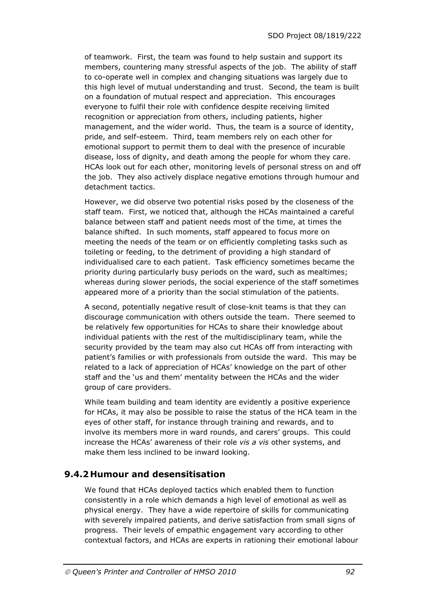of teamwork. First, the team was found to help sustain and support its members, countering many stressful aspects of the job. The ability of staff to co-operate well in complex and changing situations was largely due to this high level of mutual understanding and trust. Second, the team is built on a foundation of mutual respect and appreciation. This encourages everyone to fulfil their role with confidence despite receiving limited recognition or appreciation from others, including patients, higher management, and the wider world. Thus, the team is a source of identity, pride, and self-esteem. Third, team members rely on each other for emotional support to permit them to deal with the presence of incurable disease, loss of dignity, and death among the people for whom they care. HCAs look out for each other, monitoring levels of personal stress on and off the job. They also actively displace negative emotions through humour and detachment tactics.

However, we did observe two potential risks posed by the closeness of the staff team. First, we noticed that, although the HCAs maintained a careful balance between staff and patient needs most of the time, at times the balance shifted. In such moments, staff appeared to focus more on meeting the needs of the team or on efficiently completing tasks such as toileting or feeding, to the detriment of providing a high standard of individualised care to each patient. Task efficiency sometimes became the priority during particularly busy periods on the ward, such as mealtimes; whereas during slower periods, the social experience of the staff sometimes appeared more of a priority than the social stimulation of the patients.

A second, potentially negative result of close-knit teams is that they can discourage communication with others outside the team. There seemed to be relatively few opportunities for HCAs to share their knowledge about individual patients with the rest of the multidisciplinary team, while the security provided by the team may also cut HCAs off from interacting with patient's families or with professionals from outside the ward. This may be related to a lack of appreciation of HCAs' knowledge on the part of other staff and the 'us and them' mentality between the HCAs and the wider group of care providers.

While team building and team identity are evidently a positive experience for HCAs, it may also be possible to raise the status of the HCA team in the eyes of other staff, for instance through training and rewards, and to involve its members more in ward rounds, and carers' groups. This could increase the HCAs' awareness of their role *vis a vis* other systems, and make them less inclined to be inward looking.

### **9.4.2 Humour and desensitisation**

We found that HCAs deployed tactics which enabled them to function consistently in a role which demands a high level of emotional as well as physical energy. They have a wide repertoire of skills for communicating with severely impaired patients, and derive satisfaction from small signs of progress. Their levels of empathic engagement vary according to other contextual factors, and HCAs are experts in rationing their emotional labour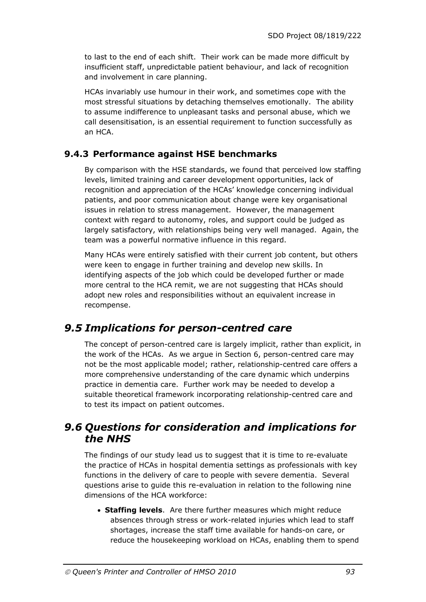to last to the end of each shift. Their work can be made more difficult by insufficient staff, unpredictable patient behaviour, and lack of recognition and involvement in care planning.

HCAs invariably use humour in their work, and sometimes cope with the most stressful situations by detaching themselves emotionally. The ability to assume indifference to unpleasant tasks and personal abuse, which we call desensitisation, is an essential requirement to function successfully as an HCA.

## **9.4.3 Performance against HSE benchmarks**

By comparison with the HSE standards, we found that perceived low staffing levels, limited training and career development opportunities, lack of recognition and appreciation of the HCAs' knowledge concerning individual patients, and poor communication about change were key organisational issues in relation to stress management. However, the management context with regard to autonomy, roles, and support could be judged as largely satisfactory, with relationships being very well managed. Again, the team was a powerful normative influence in this regard.

Many HCAs were entirely satisfied with their current job content, but others were keen to engage in further training and develop new skills. In identifying aspects of the job which could be developed further or made more central to the HCA remit, we are not suggesting that HCAs should adopt new roles and responsibilities without an equivalent increase in recompense.

# *9.5 Implications for person-centred care*

The concept of person-centred care is largely implicit, rather than explicit, in the work of the HCAs. As we argue in Section 6, person-centred care may not be the most applicable model; rather, relationship-centred care offers a more comprehensive understanding of the care dynamic which underpins practice in dementia care. Further work may be needed to develop a suitable theoretical framework incorporating relationship-centred care and to test its impact on patient outcomes.

## *9.6 Questions for consideration and implications for the NHS*

The findings of our study lead us to suggest that it is time to re-evaluate the practice of HCAs in hospital dementia settings as professionals with key functions in the delivery of care to people with severe dementia. Several questions arise to guide this re-evaluation in relation to the following nine dimensions of the HCA workforce:

 **Staffing levels**. Are there further measures which might reduce absences through stress or work-related injuries which lead to staff shortages, increase the staff time available for hands-on care, or reduce the housekeeping workload on HCAs, enabling them to spend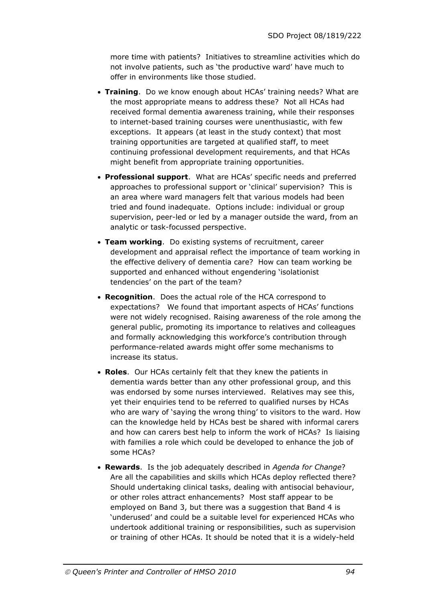more time with patients? Initiatives to streamline activities which do not involve patients, such as 'the productive ward' have much to offer in environments like those studied.

- **Training**. Do we know enough about HCAs' training needs? What are the most appropriate means to address these? Not all HCAs had received formal dementia awareness training, while their responses to internet-based training courses were unenthusiastic, with few exceptions. It appears (at least in the study context) that most training opportunities are targeted at qualified staff, to meet continuing professional development requirements, and that HCAs might benefit from appropriate training opportunities.
- **Professional support**. What are HCAs' specific needs and preferred approaches to professional support or 'clinical' supervision? This is an area where ward managers felt that various models had been tried and found inadequate. Options include: individual or group supervision, peer-led or led by a manager outside the ward, from an analytic or task-focussed perspective.
- **Team working**. Do existing systems of recruitment, career development and appraisal reflect the importance of team working in the effective delivery of dementia care? How can team working be supported and enhanced without engendering 'isolationist tendencies' on the part of the team?
- **Recognition**. Does the actual role of the HCA correspond to expectations? We found that important aspects of HCAs' functions were not widely recognised. Raising awareness of the role among the general public, promoting its importance to relatives and colleagues and formally acknowledging this workforce's contribution through performance-related awards might offer some mechanisms to increase its status.
- **Roles**. Our HCAs certainly felt that they knew the patients in dementia wards better than any other professional group, and this was endorsed by some nurses interviewed. Relatives may see this, yet their enquiries tend to be referred to qualified nurses by HCAs who are wary of 'saying the wrong thing' to visitors to the ward. How can the knowledge held by HCAs best be shared with informal carers and how can carers best help to inform the work of HCAs? Is liaising with families a role which could be developed to enhance the job of some HCAs?
- **Rewards**. Is the job adequately described in *Agenda for Change*? Are all the capabilities and skills which HCAs deploy reflected there? Should undertaking clinical tasks, dealing with antisocial behaviour, or other roles attract enhancements? Most staff appear to be employed on Band 3, but there was a suggestion that Band 4 is 'underused' and could be a suitable level for experienced HCAs who undertook additional training or responsibilities, such as supervision or training of other HCAs. It should be noted that it is a widely-held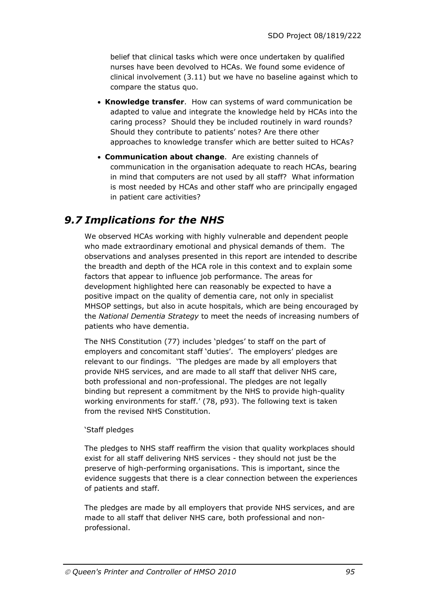belief that clinical tasks which were once undertaken by qualified nurses have been devolved to HCAs. We found some evidence of clinical involvement (3.11) but we have no baseline against which to compare the status quo.

- **Knowledge transfer**. How can systems of ward communication be adapted to value and integrate the knowledge held by HCAs into the caring process? Should they be included routinely in ward rounds? Should they contribute to patients' notes? Are there other approaches to knowledge transfer which are better suited to HCAs?
- **Communication about change**. Are existing channels of communication in the organisation adequate to reach HCAs, bearing in mind that computers are not used by all staff? What information is most needed by HCAs and other staff who are principally engaged in patient care activities?

# *9.7 Implications for the NHS*

We observed HCAs working with highly vulnerable and dependent people who made extraordinary emotional and physical demands of them. The observations and analyses presented in this report are intended to describe the breadth and depth of the HCA role in this context and to explain some factors that appear to influence job performance. The areas for development highlighted here can reasonably be expected to have a positive impact on the quality of dementia care, not only in specialist MHSOP settings, but also in acute hospitals, which are being encouraged by the *National Dementia Strategy* to meet the needs of increasing numbers of patients who have dementia.

The NHS Constitution (77) includes 'pledges' to staff on the part of employers and concomitant staff 'duties'. The employers' pledges are relevant to our findings. 'The pledges are made by all employers that provide NHS services, and are made to all staff that deliver NHS care, both professional and non-professional. The pledges are not legally binding but represent a commitment by the NHS to provide high-quality working environments for staff.' (78, p93). The following text is taken from the revised NHS Constitution.

#### 'Staff pledges

The pledges to NHS staff reaffirm the vision that quality workplaces should exist for all staff delivering NHS services - they should not just be the preserve of high-performing organisations. This is important, since the evidence suggests that there is a clear connection between the experiences of patients and staff.

The pledges are made by all employers that provide NHS services, and are made to all staff that deliver NHS care, both professional and nonprofessional.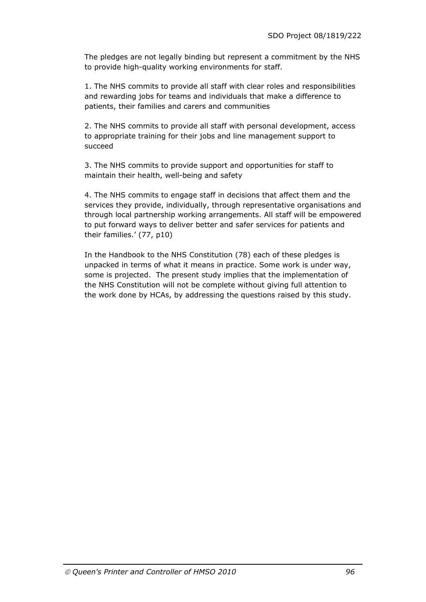The pledges are not legally binding but represent a commitment by the NHS to provide high-quality working environments for staff.

1. The NHS commits to provide all staff with clear roles and responsibilities and rewarding jobs for teams and individuals that make a difference to patients, their families and carers and communities

2. The NHS commits to provide all staff with personal development, access to appropriate training for their jobs and line management support to succeed

3. The NHS commits to provide support and opportunities for staff to maintain their health, well-being and safety

4. The NHS commits to engage staff in decisions that affect them and the services they provide, individually, through representative organisations and through local partnership working arrangements. All staff will be empowered to put forward ways to deliver better and safer services for patients and their families.' (77, p10)

In the Handbook to the NHS Constitution (78) each of these pledges is unpacked in terms of what it means in practice. Some work is under way, some is projected. The present study implies that the implementation of the NHS Constitution will not be complete without giving full attention to the work done by HCAs, by addressing the questions raised by this study.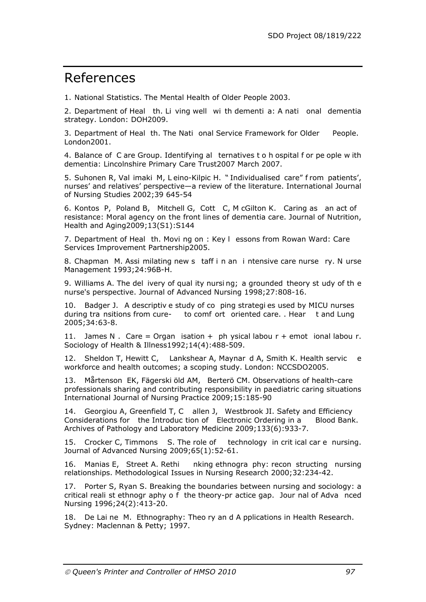# References

1. National Statistics. The Mental Health of Older People 2003.

2. Department of Heal th. Li ving well wi th dementi a: A nati onal dementia strategy. London: DOH2009.

3. Department of Heal th. The Nati onal Service Framework for Older People. London2001.

4. Balance of C are Group. Identifying al ternatives t o h ospital f or pe ople w ith dementia: Lincolnshire Primary Care Trust2007 March 2007.

5. Suhonen R, Val imaki M, L eino-Kilpic H. " Individualised care" f rom patients', nurses' and relatives' perspective—a review of the literature. International Journal of Nursing Studies 2002;39 645-54

6. Kontos P, Poland B, Mitchell G, Cott C, M cGilton K. Caring as an act of resistance: Moral agency on the front lines of dementia care. Journal of Nutrition, Health and Aging2009;13(S1):S144

7. Department of Heal th. Movi ng on : Key l essons from Rowan Ward: Care Services Improvement Partnership2005.

8. Chapman M. Assi milating new s taff i n an i ntensive care nurse ry. N urse Management 1993;24:96B-H.

9. Williams A. The del ivery of qual ity nursi ng; a grounded theory st udy of th e nurse's perspective. Journal of Advanced Nursing 1998;27:808-16.

10. Badger J. A descriptiv e study of co ping strategi es used by MICU nurses during tra nsitions from cure- to comf ort oriented care. . Hear t and Lung 2005;34:63-8.

11. James N. Care = Organ isation + ph ysical labou  $r +$  emot ional labou r. Sociology of Health & Illness1992;14(4):488-509.

12. Sheldon T, Hewitt C, Lankshear A, Maynar d A, Smith K. Health servic e workforce and health outcomes; a scoping study. London: NCCSDO2005.

13. Mårtenson EK, Fägerski öld AM, Berterö CM. Observations of health-care professionals sharing and contributing responsibility in paediatric caring situations International Journal of Nursing Practice 2009;15:185-90

14. Georgiou A, Greenfield T, C allen J, Westbrook JI. Safety and Efficiency Considerations for the Introduc tion of Electronic Ordering in a Blood Bank. Archives of Pathology and Laboratory Medicine 2009;133(6):933-7.

15. Crocker C, Timmons S. The role of technology in crit ical car e nursing. Journal of Advanced Nursing 2009;65(1):52-61.

16. Manias E, Street A. Rethi nking ethnogra phy: recon structing nursing relationships. Methodological Issues in Nursing Research 2000;32:234-42.

17. Porter S, Ryan S. Breaking the boundaries between nursing and sociology: a critical reali st ethnogr aphy o f the theory-pr actice gap. Jour nal of Adva nced Nursing 1996;24(2):413-20.

18. De Lai ne M. Ethnography: Theo ry an d A pplications in Health Research. Sydney: Maclennan & Petty; 1997.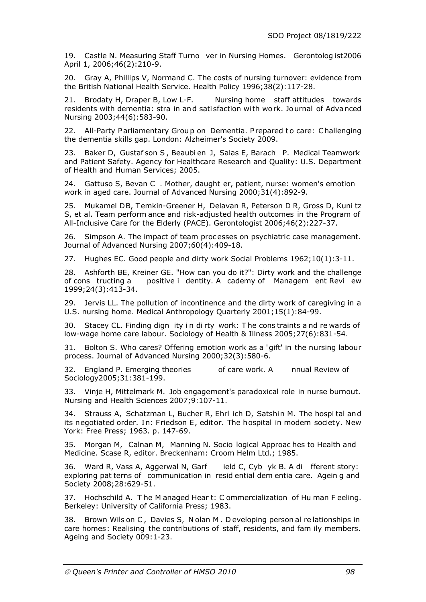19. Castle N. Measuring Staff Turno ver in Nursing Homes. Gerontolog ist2006 April 1, 2006;46(2):210-9.

20. Gray A, Phillips V, Normand C. The costs of nursing turnover: evidence from the British National Health Service. Health Policy 1996;38(2):117-28.

21. Brodaty H, Draper B, Low L-F. Nursing home staff attitudes towards residents with dementia: stra in an d sati sfaction wi th wo rk. Jo urnal of Adva nced Nursing 2003;44(6):583-90.

22. All-Party Parliamentary Group on Dementia. Prepared to care: Challenging the dementia skills gap. London: Alzheimer's Society 2009.

23. Baker D, Gustaf son S , Beaubi en J, Salas E, Barach P. Medical Teamwork and Patient Safety. Agency for Healthcare Research and Quality: U.S. Department of Health and Human Services; 2005.

24. Gattuso S, Bevan C . Mother, daught er, patient, nurse: women's emotion work in aged care. Journal of Advanced Nursing 2000;31(4):892-9.

25. Mukamel DB, Temkin-Greener H, Delavan R, Peterson D R, Gross D, Kuni tz S, et al. Team perform ance and risk-adjusted health outcomes in the Program of All-Inclusive Care for the Elderly (PACE). Gerontologist 2006;46(2):227-37.

26. Simpson A. The impact of team proc esses on psychiatric case management. Journal of Advanced Nursing 2007;60(4):409-18.

27. Hughes EC. Good people and dirty work Social Problems 1962;10(1):3-11.

28. Ashforth BE, Kreiner GE. "How can you do it?": Dirty work and the challenge of cons tructing a positive i dentity. A cademy of Managem ent Revi ew 1999;24(3):413-34.

29. Jervis LL. The pollution of incontinence and the dirty work of caregiving in a U.S. nursing home. Medical Anthropology Quarterly 2001;15(1):84-99.

30. Stacey CL. Finding dign ity i n di rty work: T he cons traints a nd re wards of low-wage home care labour. Sociology of Health & Illness 2005;27(6):831-54.

31. Bolton S. Who cares? Offering emotion work as a 'gift' in the nursing labour process. Journal of Advanced Nursing 2000;32(3):580-6.

32. England P. Emerging theories of care work. A nnual Review of Sociology2005;31:381-199.

33. Vinje H, Mittelmark M. Job engagement's paradoxical role in nurse burnout. Nursing and Health Sciences 2007;9:107-11.

34. Strauss A, Schatzman L, Bucher R, Ehrl ich D, Satshin M. The hospi tal an d its negotiated order. In: Friedson E, editor. The hospital in modem society. New York: Free Press; 1963. p. 147-69.

35. Morgan M, Calnan M, Manning N. Socio logical Approac hes to Health and Medicine. Scase R, editor. Breckenham: Croom Helm Ltd.; 1985.

36. Ward R, Vass A, Aggerwal N, Garf ield C, Cyb yk B. A di fferent story: exploring pat terns of communication in resid ential dem entia care. Agein g and Society 2008;28:629-51.

37. Hochschild A. T he M anaged Hear t: C ommercialization of Hu man F eeling. Berkeley: University of California Press; 1983.

38. Brown Wils on C , Davies S, N olan M . D eveloping person al re lationships in care homes: Realising the contributions of staff, residents, and fam ily members. Ageing and Society 009:1-23.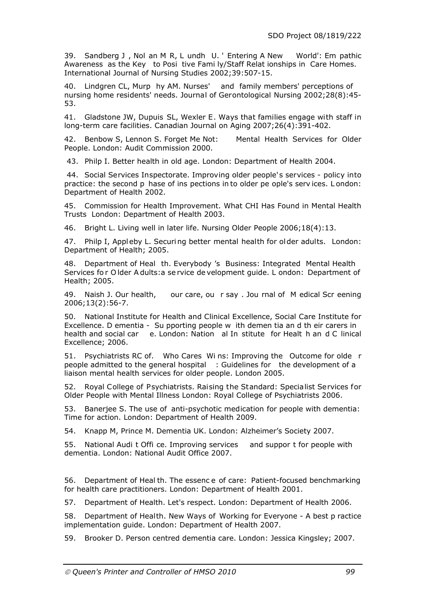39. Sandberg J , Nol an M R, L undh U. ' Entering A New World': Em pathic Awareness as the Key to Posi tive Fami ly/Staff Relat ionships in Care Homes. International Journal of Nursing Studies 2002;39:507-15.

40. Lindgren CL, Murp hy AM. Nurses' and family members' perceptions of nursing home residents' needs. Journal of Gerontological Nursing 2002;28(8):45- 53.

41. Gladstone JW, Dupuis SL, Wexler E. Ways that families engage with staff in long-term care facilities. Canadian Journal on Aging 2007;26(4):391-402.

42. Benbow S, Lennon S. Forget Me Not: Mental Health Services for Older People. London: Audit Commission 2000.

43. Philp I. Better health in old age. London: Department of Health 2004.

44. Social Services Inspectorate. Improving older people's services - policy into practice: the second p hase of ins pections in to older pe ople's serv ices. L ondon: Department of Health 2002.

45. Commission for Health Improvement. What CHI Has Found in Mental Health Trusts London: Department of Health 2003.

46. Bright L. Living well in later life. Nursing Older People 2006;18(4):13.

47. Philp I, Appleby L. Securing better mental health for older adults. London: Department of Health; 2005.

48. Department of Heal th. Everybody 's Business: Integrated Mental Health Services fo r O lder A dults:a se rvice de velopment guide. L ondon: Department of Health; 2005.

49. Naish J. Our health, our care, ou r say . Jou rnal of M edical Scr eening 2006;13(2):56-7.

50. National Institute for Health and Clinical Excellence, Social Care Institute for Excellence. D ementia - Su pporting people w ith demen tia an d th eir carers in health and social car e. London: Nation al In stitute for Healt h an d C linical Excellence; 2006.

51. Psychiatrists RC of. Who Cares Wi ns: Improving the Outcome for olde r people admitted to the general hospital : Guidelines for the development of a liaison mental health services for older people. London 2005.

52. Royal College of Psychiatrists. Raising the Standard: Specialist Services for Older People with Mental Illness London: Royal College of Psychiatrists 2006.

53. Banerjee S. The use of anti-psychotic medication for people with dementia: Time for action. London: Department of Health 2009.

54. Knapp M, Prince M. Dementia UK. London: Alzheimer's Society 2007.

55. National Audi t Offi ce. Improving services and suppor t for people with dementia. London: National Audit Office 2007.

56. Department of Heal th. The essenc e of care: Patient-focused benchmarking for health care practitioners. London: Department of Health 2001.

57. Department of Health. Let's respect. London: Department of Health 2006.

58. Department of Health. New Ways of Working for Everyone - A best p ractice implementation guide. London: Department of Health 2007.

59. Brooker D. Person centred dementia care. London: Jessica Kingsley; 2007.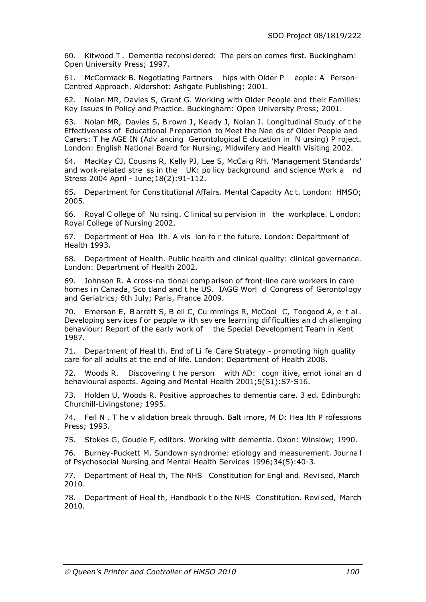60. Kitwood T . Dementia reconsi dered: The pers on comes first. Buckingham: Open University Press; 1997.

61. McCormack B. Negotiating Partners hips with Older P eople: A Person-Centred Approach. Aldershot: Ashgate Publishing; 2001.

62. Nolan MR, Davies S, Grant G. Working with Older People and their Families: Key Issues in Policy and Practice. Buckingham: Open University Press; 2001.

63. Nolan MR, Davies S, B rown J, Keady J, Nolan J. Longitudinal Study of the Effectiveness of Educational P reparation to Meet the Nee ds of Older People and Carers: T he AGE IN (Adv ancing Gerontological E ducation in N ursing) P roject. London: English National Board for Nursing, Midwifery and Health Visiting 2002.

64. MacKay CJ, Cousins R, Kelly PJ, Lee S, McCaig RH. 'Management Standards' and work-related stre ss in the UK: po licy background and science Work a nd Stress 2004 April - June;18(2):91-112.

65. Department for Cons titutional Affairs. Mental Capacity Ac t. London: HMSO; 2005.

66. Royal C ollege of Nu rsing. C linical su pervision in the workplace. L ondon: Royal College of Nursing 2002.

67. Department of Hea lth. A vis ion fo r the future. London: Department of Health 1993.

68. Department of Health. Public health and clinical quality: clinical governance. London: Department of Health 2002.

69. Johnson R. A cross-na tional comp arison of front-line care workers in care homes in Canada, Sco tland and t he US. IAGG Worl d Congress of Gerontol ogy and Geriatrics; 6th July; Paris, France 2009.

70. Emerson E, B arrett S, B ell C, Cu mmings R, McCool C, Toogood A, e t al . Developing serv ices f or people w ith sev ere learn ing dif ficulties an d ch allenging behaviour: Report of the early work of the Special Development Team in Kent 1987.

71. Department of Heal th. End of Li fe Care Strategy - promoting high quality care for all adults at the end of life. London: Department of Health 2008.

72. Woods R. Discovering t he person with AD: cogn itive, emot ional an d behavioural aspects. Ageing and Mental Health 2001;5(S1):S7-S16.

73. Holden U, Woods R. Positive approaches to dementia care. 3 ed. Edinburgh: Churchill-Livingstone; 1995.

74. Feil N . T he v alidation break through. Balt imore, M D: Hea lth P rofessions Press; 1993.

75. Stokes G, Goudie F, editors. Working with dementia. Oxon: Winslow; 1990.

76. Burney-Puckett M. Sundown syndrome: etiology and measurement. Journa l of Psychosocial Nursing and Mental Health Services 1996;34(5):40-3.

77. Department of Heal th, The NHS Constitution for Engl and. Revi sed, March 2010.

78. Department of Heal th, Handbook t o the NHS Constitution. Revi sed, March 2010.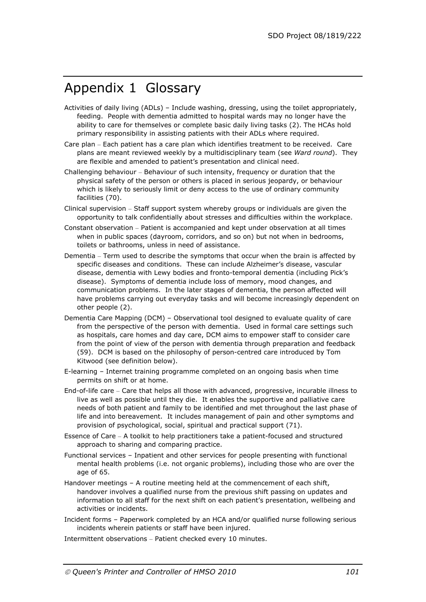# Appendix 1 Glossary

- Activities of daily living (ADLs) Include washing, dressing, using the toilet appropriately, feeding. People with dementia admitted to hospital wards may no longer have the ability to care for themselves or complete basic daily living tasks (2). The HCAs hold primary responsibility in assisting patients with their ADLs where required.
- Care plan Each patient has a care plan which identifies treatment to be received. Care plans are meant reviewed weekly by a multidisciplinary team (see *Ward round*). They are flexible and amended to patient's presentation and clinical need.
- Challenging behaviour Behaviour of such intensity, frequency or duration that the physical safety of the person or others is placed in serious jeopardy, or behaviour which is likely to seriously limit or deny access to the use of ordinary community facilities (70).
- Clinical supervision Staff support system whereby groups or individuals are given the opportunity to talk confidentially about stresses and difficulties within the workplace.
- Constant observation Patient is accompanied and kept under observation at all times when in public spaces (dayroom, corridors, and so on) but not when in bedrooms, toilets or bathrooms, unless in need of assistance.
- Dementia Term used to describe the symptoms that occur when the brain is affected by specific diseases and conditions. These can include Alzheimer's disease, vascular disease, dementia with Lewy bodies and fronto-temporal dementia (including Pick's disease). Symptoms of dementia include loss of memory, mood changes, and communication problems. In the later stages of dementia, the person affected will have problems carrying out everyday tasks and will become increasingly dependent on other people (2).
- Dementia Care Mapping (DCM) Observational tool designed to evaluate quality of care from the perspective of the person with dementia. Used in formal care settings such as hospitals, care homes and day care, DCM aims to empower staff to consider care from the point of view of the person with dementia through preparation and feedback (59). DCM is based on the philosophy of person-centred care introduced by Tom Kitwood (see definition below).
- E-learning Internet training programme completed on an ongoing basis when time permits on shift or at home.
- End-of-life care Care that helps all those with advanced, progressive, incurable illness to live as well as possible until they die. It enables the supportive and palliative care needs of both patient and family to be identified and met throughout the last phase of life and into bereavement. It includes management of pain and other symptoms and provision of psychological, social, spiritual and practical support (71).
- Essence of Care A toolkit to help practitioners take a patient-focused and structured approach to sharing and comparing practice.
- Functional services Inpatient and other services for people presenting with functional mental health problems (i.e. not organic problems), including those who are over the age of 65.
- Handover meetings A routine meeting held at the commencement of each shift, handover involves a qualified nurse from the previous shift passing on updates and information to all staff for the next shift on each patient's presentation, wellbeing and activities or incidents.
- Incident forms Paperwork completed by an HCA and/or qualified nurse following serious incidents wherein patients or staff have been injured.

Intermittent observations – Patient checked every 10 minutes.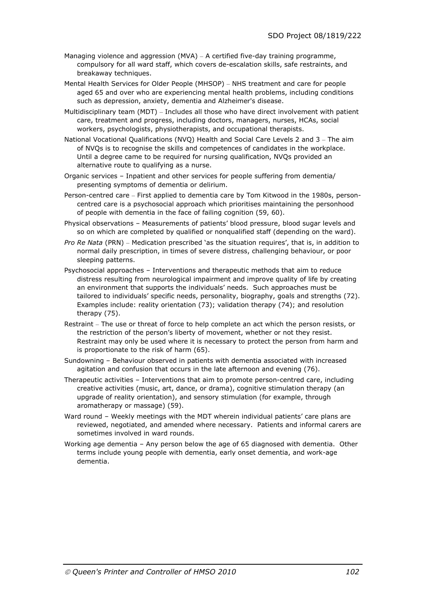- Managing violence and aggression (MVA) A certified five-day training programme, compulsory for all ward staff, which covers de-escalation skills, safe restraints, and breakaway techniques.
- Mental Health Services for Older People (MHSOP) NHS treatment and care for people aged 65 and over who are experiencing mental health problems, including conditions such as depression, anxiety, dementia and Alzheimer's disease.
- Multidisciplinary team (MDT) Includes all those who have direct involvement with patient care, treatment and progress, including doctors, managers, nurses, HCAs, social workers, psychologists, physiotherapists, and occupational therapists.
- National Vocational Qualifications (NVQ) Health and Social Care Levels 2 and 3 The aim of NVQs is to recognise the skills and competences of candidates in the workplace. Until a degree came to be required for nursing qualification, NVQs provided an alternative route to qualifying as a nurse.
- Organic services Inpatient and other services for people suffering from dementia/ presenting symptoms of dementia or delirium.
- Person-centred care First applied to dementia care by Tom Kitwood in the 1980s, personcentred care is a psychosocial approach which prioritises maintaining the personhood of people with dementia in the face of failing cognition (59, 60).
- Physical observations Measurements of patients' blood pressure, blood sugar levels and so on which are completed by qualified or nonqualified staff (depending on the ward).
- *Pro Re Nata* (PRN) Medication prescribed 'as the situation requires', that is, in addition to normal daily prescription, in times of severe distress, challenging behaviour, or poor sleeping patterns.
- Psychosocial approaches Interventions and therapeutic methods that aim to reduce distress resulting from neurological impairment and improve quality of life by creating an environment that supports the individuals' needs. Such approaches must be tailored to individuals' specific needs, personality, biography, goals and strengths (72). Examples include: reality orientation (73); validation therapy (74); and resolution therapy (75).
- Restraint The use or threat of force to help complete an act which the person resists, or the restriction of the person's liberty of movement, whether or not they resist. Restraint may only be used where it is necessary to protect the person from harm and is proportionate to the risk of harm (65).
- Sundowning Behaviour observed in patients with dementia associated with increased agitation and confusion that occurs in the late afternoon and evening (76).
- Therapeutic activities Interventions that aim to promote person-centred care, including creative activities (music, art, dance, or drama), cognitive stimulation therapy (an upgrade of reality orientation), and sensory stimulation (for example, through aromatherapy or massage) (59).
- Ward round Weekly meetings with the MDT wherein individual patients' care plans are reviewed, negotiated, and amended where necessary. Patients and informal carers are sometimes involved in ward rounds.
- Working age dementia Any person below the age of 65 diagnosed with dementia. Other terms include young people with dementia, early onset dementia, and work-age dementia.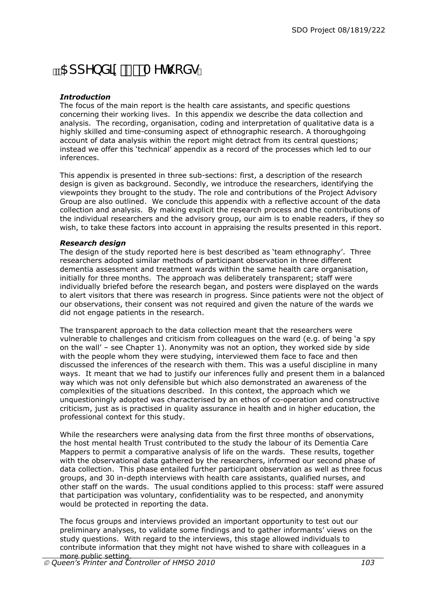# **b** SddYbX]I & A Yh cXg

### *Introduction*

The focus of the main report is the health care assistants, and specific questions concerning their working lives. In this appendix we describe the data collection and analysis. The recording, organisation, coding and interpretation of qualitative data is a highly skilled and time-consuming aspect of ethnographic research. A thoroughgoing account of data analysis within the report might detract from its central questions; instead we offer this 'technical' appendix as a record of the processes which led to our inferences.

This appendix is presented in three sub-sections: first, a description of the research design is given as background. Secondly, we introduce the researchers, identifying the viewpoints they brought to the study. The role and contributions of the Project Advisory Group are also outlined. We conclude this appendix with a reflective account of the data collection and analysis. By making explicit the research process and the contributions of the individual researchers and the advisory group, our aim is to enable readers, if they so wish, to take these factors into account in appraising the results presented in this report.

#### *Research design*

The design of the study reported here is best described as 'team ethnography'. Three researchers adopted similar methods of participant observation in three different dementia assessment and treatment wards within the same health care organisation, initially for three months. The approach was deliberately transparent; staff were individually briefed before the research began, and posters were displayed on the wards to alert visitors that there was research in progress. Since patients were not the object of our observations, their consent was not required and given the nature of the wards we did not engage patients in the research.

The transparent approach to the data collection meant that the researchers were vulnerable to challenges and criticism from colleagues on the ward (e.g. of being 'a spy on the wall' – see Chapter 1). Anonymity was not an option, they worked side by side with the people whom they were studying, interviewed them face to face and then discussed the inferences of the research with them. This was a useful discipline in many ways. It meant that we had to justify our inferences fully and present them in a balanced way which was not only defensible but which also demonstrated an awareness of the complexities of the situations described. In this context, the approach which we unquestioningly adopted was characterised by an ethos of co-operation and constructive criticism, just as is practised in quality assurance in health and in higher education, the professional context for this study.

While the researchers were analysing data from the first three months of observations, the host mental health Trust contributed to the study the labour of its Dementia Care Mappers to permit a comparative analysis of life on the wards. These results, together with the observational data gathered by the researchers, informed our second phase of data collection. This phase entailed further participant observation as well as three focus groups, and 30 in-depth interviews with health care assistants, qualified nurses, and other staff on the wards. The usual conditions applied to this process: staff were assured that participation was voluntary, confidentiality was to be respected, and anonymity would be protected in reporting the data.

The focus groups and interviews provided an important opportunity to test out our preliminary analyses, to validate some findings and to gather informants' views on the study questions. With regard to the interviews, this stage allowed individuals to contribute information that they might not have wished to share with colleagues in a more public setting.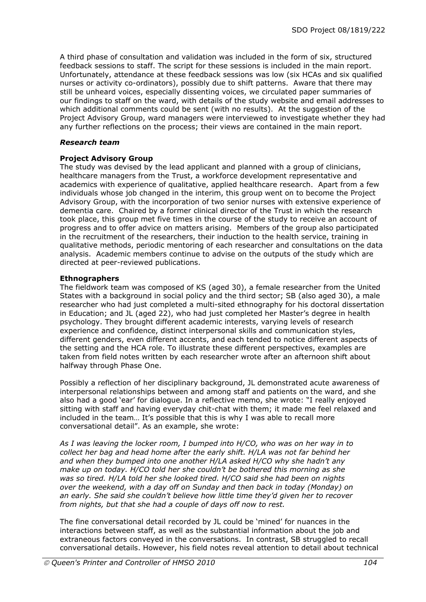A third phase of consultation and validation was included in the form of six, structured feedback sessions to staff. The script for these sessions is included in the main report. Unfortunately, attendance at these feedback sessions was low (six HCAs and six qualified nurses or activity co-ordinators), possibly due to shift patterns. Aware that there may still be unheard voices, especially dissenting voices, we circulated paper summaries of our findings to staff on the ward, with details of the study website and email addresses to which additional comments could be sent (with no results). At the suggestion of the Project Advisory Group, ward managers were interviewed to investigate whether they had any further reflections on the process; their views are contained in the main report.

#### *Research team*

### **Project Advisory Group**

The study was devised by the lead applicant and planned with a group of clinicians, healthcare managers from the Trust, a workforce development representative and academics with experience of qualitative, applied healthcare research. Apart from a few individuals whose job changed in the interim, this group went on to become the Project Advisory Group, with the incorporation of two senior nurses with extensive experience of dementia care. Chaired by a former clinical director of the Trust in which the research took place, this group met five times in the course of the study to receive an account of progress and to offer advice on matters arising. Members of the group also participated in the recruitment of the researchers, their induction to the health service, training in qualitative methods, periodic mentoring of each researcher and consultations on the data analysis. Academic members continue to advise on the outputs of the study which are directed at peer-reviewed publications.

### **Ethnographers**

The fieldwork team was composed of KS (aged 30), a female researcher from the United States with a background in social policy and the third sector; SB (also aged 30), a male researcher who had just completed a multi-sited ethnography for his doctoral dissertation in Education; and JL (aged 22), who had just completed her Master's degree in health psychology. They brought different academic interests, varying levels of research experience and confidence, distinct interpersonal skills and communication styles, different genders, even different accents, and each tended to notice different aspects of the setting and the HCA role. To illustrate these different perspectives, examples are taken from field notes written by each researcher wrote after an afternoon shift about halfway through Phase One.

Possibly a reflection of her disciplinary background, JL demonstrated acute awareness of interpersonal relationships between and among staff and patients on the ward, and she also had a good 'ear' for dialogue. In a reflective memo, she wrote: "I really enjoyed sitting with staff and having everyday chit-chat with them; it made me feel relaxed and included in the team… It's possible that this is why I was able to recall more conversational detail". As an example, she wrote:

*As I was leaving the locker room, I bumped into H/CO, who was on her way in to collect her bag and head home after the early shift. H/LA was not far behind her and when they bumped into one another H/LA asked H/CO why she hadn't any make up on today. H/CO told her she couldn't be bothered this morning as she was so tired. H/LA told her she looked tired. H/CO said she had been on nights over the weekend, with a day off on Sunday and then back in today (Monday) on an early. She said she couldn't believe how little time they'd given her to recover from nights, but that she had a couple of days off now to rest.* 

The fine conversational detail recorded by JL could be 'mined' for nuances in the interactions between staff, as well as the substantial information about the job and extraneous factors conveyed in the conversations. In contrast, SB struggled to recall conversational details. However, his field notes reveal attention to detail about technical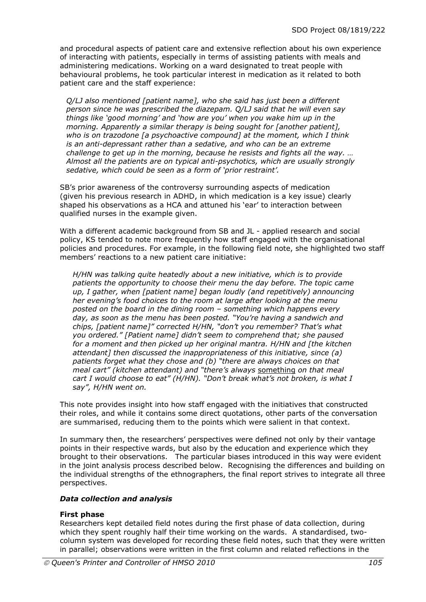and procedural aspects of patient care and extensive reflection about his own experience of interacting with patients, especially in terms of assisting patients with meals and administering medications. Working on a ward designated to treat people with behavioural problems, he took particular interest in medication as it related to both patient care and the staff experience:

*Q/LJ also mentioned [patient name], who she said has just been a different person since he was prescribed the diazepam. Q/LJ said that he will even say things like 'good morning' and 'how are you' when you wake him up in the morning. Apparently a similar therapy is being sought for [another patient], who is on trazodone [a psychoactive compound] at the moment, which I think is an anti-depressant rather than a sedative, and who can be an extreme challenge to get up in the morning, because he resists and fights all the way. … Almost all the patients are on typical anti-psychotics, which are usually strongly sedative, which could be seen as a form of 'prior restraint'.* 

SB's prior awareness of the controversy surrounding aspects of medication (given his previous research in ADHD, in which medication is a key issue) clearly shaped his observations as a HCA and attuned his 'ear' to interaction between qualified nurses in the example given.

With a different academic background from SB and JL - applied research and social policy, KS tended to note more frequently how staff engaged with the organisational policies and procedures. For example, in the following field note, she highlighted two staff members' reactions to a new patient care initiative:

*H/HN was talking quite heatedly about a new initiative, which is to provide patients the opportunity to choose their menu the day before. The topic came up, I gather, when [patient name] began loudly (and repetitively) announcing her evening's food choices to the room at large after looking at the menu posted on the board in the dining room – something which happens every day, as soon as the menu has been posted. "You're having a sandwich and chips, [patient name]" corrected H/HN, "don't you remember? That's what you ordered." [Patient name] didn't seem to comprehend that; she paused for a moment and then picked up her original mantra. H/HN and [the kitchen attendant] then discussed the inappropriateness of this initiative, since (a) patients forget what they chose and (b) "there are always choices on that meal cart" (kitchen attendant) and "there's always* something *on that meal cart I would choose to eat" (H/HN). "Don't break what's not broken, is what I say", H/HN went on.* 

This note provides insight into how staff engaged with the initiatives that constructed their roles, and while it contains some direct quotations, other parts of the conversation are summarised, reducing them to the points which were salient in that context.

In summary then, the researchers' perspectives were defined not only by their vantage points in their respective wards, but also by the education and experience which they brought to their observations. The particular biases introduced in this way were evident in the joint analysis process described below. Recognising the differences and building on the individual strengths of the ethnographers, the final report strives to integrate all three perspectives.

#### *Data collection and analysis*

#### **First phase**

Researchers kept detailed field notes during the first phase of data collection, during which they spent roughly half their time working on the wards. A standardised, twocolumn system was developed for recording these field notes, such that they were written in parallel; observations were written in the first column and related reflections in the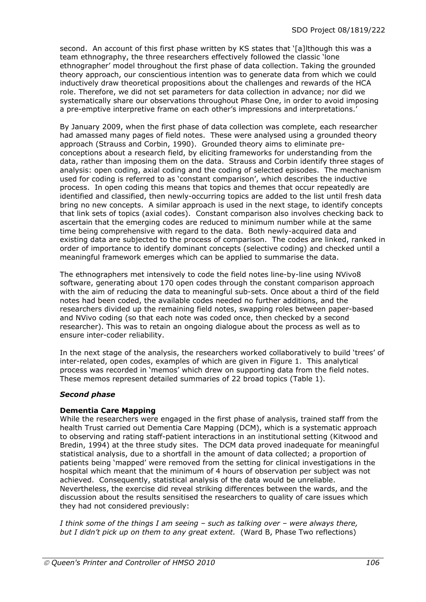second. An account of this first phase written by KS states that '[a]lthough this was a team ethnography, the three researchers effectively followed the classic 'lone ethnographer' model throughout the first phase of data collection. Taking the grounded theory approach, our conscientious intention was to generate data from which we could inductively draw theoretical propositions about the challenges and rewards of the HCA role. Therefore, we did not set parameters for data collection in advance; nor did we systematically share our observations throughout Phase One, in order to avoid imposing a pre-emptive interpretive frame on each other's impressions and interpretations.'

By January 2009, when the first phase of data collection was complete, each researcher had amassed many pages of field notes. These were analysed using a grounded theory approach (Strauss and Corbin, 1990). Grounded theory aims to eliminate preconceptions about a research field, by eliciting frameworks for understanding from the data, rather than imposing them on the data. Strauss and Corbin identify three stages of analysis: open coding, axial coding and the coding of selected episodes. The mechanism used for coding is referred to as 'constant comparison', which describes the inductive process. In open coding this means that topics and themes that occur repeatedly are identified and classified, then newly-occurring topics are added to the list until fresh data bring no new concepts. A similar approach is used in the next stage, to identify concepts that link sets of topics (axial codes). Constant comparison also involves checking back to ascertain that the emerging codes are reduced to minimum number while at the same time being comprehensive with regard to the data. Both newly-acquired data and existing data are subjected to the process of comparison. The codes are linked, ranked in order of importance to identify dominant concepts (selective coding) and checked until a meaningful framework emerges which can be applied to summarise the data.

The ethnographers met intensively to code the field notes line-by-line using NVivo8 software, generating about 170 open codes through the constant comparison approach with the aim of reducing the data to meaningful sub-sets. Once about a third of the field notes had been coded, the available codes needed no further additions, and the researchers divided up the remaining field notes, swapping roles between paper-based and NVivo coding (so that each note was coded once, then checked by a second researcher). This was to retain an ongoing dialogue about the process as well as to ensure inter-coder reliability.

In the next stage of the analysis, the researchers worked collaboratively to build 'trees' of inter-related, open codes, examples of which are given in Figure 1. This analytical process was recorded in 'memos' which drew on supporting data from the field notes. These memos represent detailed summaries of 22 broad topics (Table 1).

#### *Second phase*

#### **Dementia Care Mapping**

While the researchers were engaged in the first phase of analysis, trained staff from the health Trust carried out Dementia Care Mapping (DCM), which is a systematic approach to observing and rating staff-patient interactions in an institutional setting (Kitwood and Bredin, 1994) at the three study sites. The DCM data proved inadequate for meaningful statistical analysis, due to a shortfall in the amount of data collected; a proportion of patients being 'mapped' were removed from the setting for clinical investigations in the hospital which meant that the minimum of 4 hours of observation per subject was not achieved. Consequently, statistical analysis of the data would be unreliable. Nevertheless, the exercise did reveal striking differences between the wards, and the discussion about the results sensitised the researchers to quality of care issues which they had not considered previously:

*I think some of the things I am seeing – such as talking over – were always there, but I didn't pick up on them to any great extent.* (Ward B, Phase Two reflections)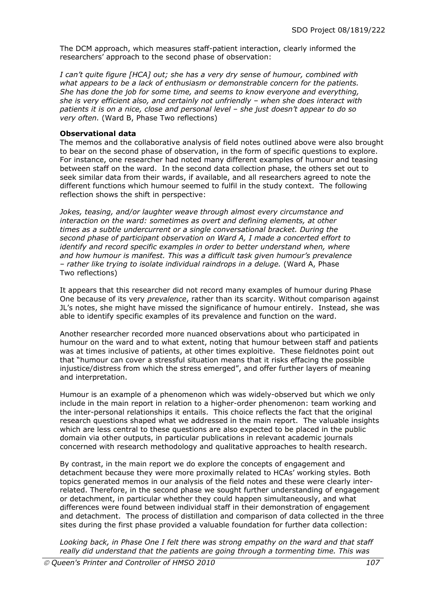The DCM approach, which measures staff-patient interaction, clearly informed the researchers' approach to the second phase of observation:

*I can't quite figure [HCA] out; she has a very dry sense of humour, combined with what appears to be a lack of enthusiasm or demonstrable concern for the patients. She has done the job for some time, and seems to know everyone and everything, she is very efficient also, and certainly not unfriendly – when she does interact with patients it is on a nice, close and personal level – she just doesn't appear to do so very often.* (Ward B, Phase Two reflections)

#### **Observational data**

The memos and the collaborative analysis of field notes outlined above were also brought to bear on the second phase of observation, in the form of specific questions to explore. For instance, one researcher had noted many different examples of humour and teasing between staff on the ward. In the second data collection phase, the others set out to seek similar data from their wards, if available, and all researchers agreed to note the different functions which humour seemed to fulfil in the study context. The following reflection shows the shift in perspective:

*Jokes, teasing, and/or laughter weave through almost every circumstance and interaction on the ward: sometimes as overt and defining elements, at other times as a subtle undercurrent or a single conversational bracket. During the second phase of participant observation on Ward A, I made a concerted effort to identify and record specific examples in order to better understand when, where and how humour is manifest. This was a difficult task given humour's prevalence – rather like trying to isolate individual raindrops in a deluge.* (Ward A, Phase Two reflections)

It appears that this researcher did not record many examples of humour during Phase One because of its very *prevalence*, rather than its scarcity. Without comparison against JL's notes, she might have missed the significance of humour entirely. Instead, she was able to identify specific examples of its prevalence and function on the ward.

Another researcher recorded more nuanced observations about who participated in humour on the ward and to what extent, noting that humour between staff and patients was at times inclusive of patients, at other times exploitive. These fieldnotes point out that "humour can cover a stressful situation means that it risks effacing the possible injustice/distress from which the stress emerged", and offer further layers of meaning and interpretation.

Humour is an example of a phenomenon which was widely-observed but which we only include in the main report in relation to a higher-order phenomenon: team working and the inter-personal relationships it entails. This choice reflects the fact that the original research questions shaped what we addressed in the main report. The valuable insights which are less central to these questions are also expected to be placed in the public domain via other outputs, in particular publications in relevant academic journals concerned with research methodology and qualitative approaches to health research.

By contrast, in the main report we do explore the concepts of engagement and detachment because they were more proximally related to HCAs' working styles. Both topics generated memos in our analysis of the field notes and these were clearly interrelated. Therefore, in the second phase we sought further understanding of engagement or detachment, in particular whether they could happen simultaneously, and what differences were found between individual staff in their demonstration of engagement and detachment. The process of distillation and comparison of data collected in the three sites during the first phase provided a valuable foundation for further data collection:

*Looking back, in Phase One I felt there was strong empathy on the ward and that staff really did understand that the patients are going through a tormenting time. This was*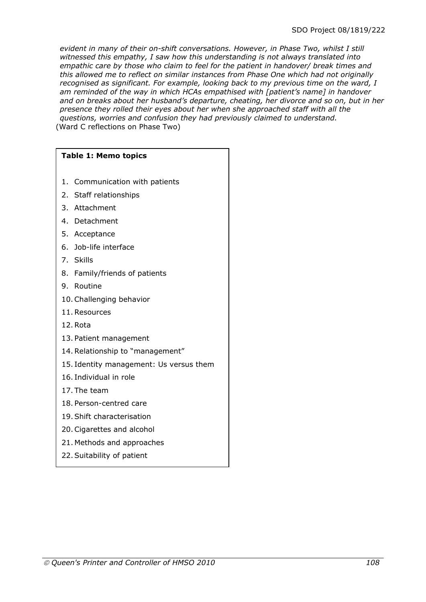*evident in many of their on-shift conversations. However, in Phase Two, whilst I still witnessed this empathy, I saw how this understanding is not always translated into empathic care by those who claim to feel for the patient in handover/ break times and this allowed me to reflect on similar instances from Phase One which had not originally recognised as significant. For example, looking back to my previous time on the ward, I am reminded of the way in which HCAs empathised with [patient's name] in handover and on breaks about her husband's departure, cheating, her divorce and so on, but in her presence they rolled their eyes about her when she approached staff with all the questions, worries and confusion they had previously claimed to understand.*  (Ward C reflections on Phase Two)

# **Table 1: Memo topics**

- 1. Communication with patients
- 2. Staff relationships
- 3. Attachment
- 4. Detachment
- 5. Acceptance
- 6. Job-life interface
- 7. Skills
- 8. Family/friends of patients
- 9. Routine
- 10.Challenging behavior
- 11.Resources
- 12.Rota
- 13. Patient management
- 14.Relationship to "management"
- 15. Identity management: Us versus them
- 16. Individual in role
- 17. The team
- 18. Person-centred care
- 19.Shift characterisation
- 20.Cigarettes and alcohol
- 21. Methods and approaches
- 22.Suitability of patient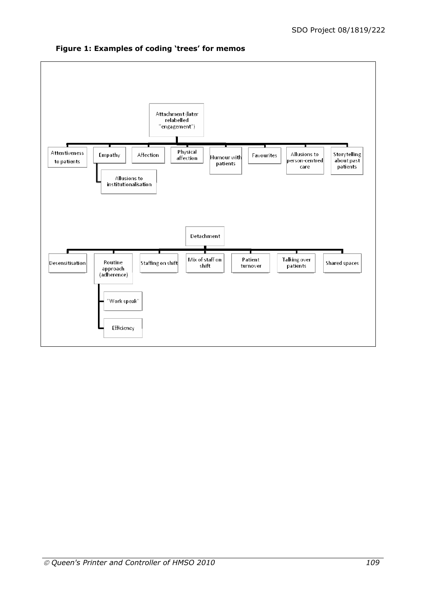

## **Figure 1: Examples of coding 'trees' for memos**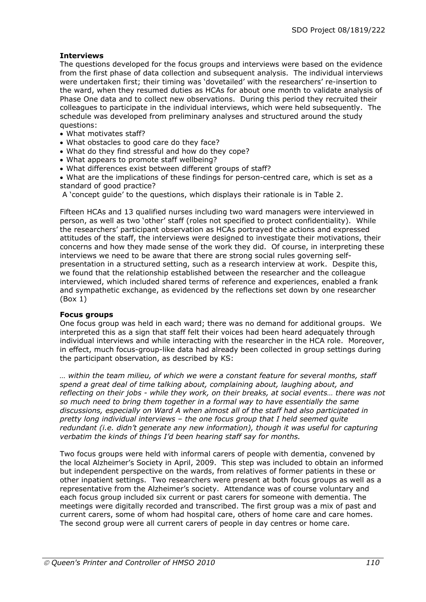## **Interviews**

The questions developed for the focus groups and interviews were based on the evidence from the first phase of data collection and subsequent analysis. The individual interviews were undertaken first; their timing was 'dovetailed' with the researchers' re-insertion to the ward, when they resumed duties as HCAs for about one month to validate analysis of Phase One data and to collect new observations. During this period they recruited their colleagues to participate in the individual interviews, which were held subsequently. The schedule was developed from preliminary analyses and structured around the study questions:

- What motivates staff?
- What obstacles to good care do they face?
- What do they find stressful and how do they cope?
- What appears to promote staff wellbeing?
- What differences exist between different groups of staff?

 What are the implications of these findings for person-centred care, which is set as a standard of good practice?

A 'concept guide' to the questions, which displays their rationale is in Table 2.

Fifteen HCAs and 13 qualified nurses including two ward managers were interviewed in person, as well as two 'other' staff (roles not specified to protect confidentiality). While the researchers' participant observation as HCAs portrayed the actions and expressed attitudes of the staff, the interviews were designed to investigate their motivations, their concerns and how they made sense of the work they did. Of course, in interpreting these interviews we need to be aware that there are strong social rules governing selfpresentation in a structured setting, such as a research interview at work. Despite this, we found that the relationship established between the researcher and the colleague interviewed, which included shared terms of reference and experiences, enabled a frank and sympathetic exchange, as evidenced by the reflections set down by one researcher (Box 1)

#### **Focus groups**

One focus group was held in each ward; there was no demand for additional groups. We interpreted this as a sign that staff felt their voices had been heard adequately through individual interviews and while interacting with the researcher in the HCA role. Moreover, in effect, much focus-group-like data had already been collected in group settings during the participant observation, as described by KS:

*… within the team milieu, of which we were a constant feature for several months, staff spend a great deal of time talking about, complaining about, laughing about, and reflecting on their jobs - while they work, on their breaks, at social events… there was not so much need to bring them together in a formal way to have essentially the same discussions, especially on Ward A when almost all of the staff had also participated in pretty long individual interviews – the one focus group that I held seemed quite redundant (i.e. didn't generate any new information), though it was useful for capturing verbatim the kinds of things I'd been hearing staff say for months.* 

Two focus groups were held with informal carers of people with dementia, convened by the local Alzheimer's Society in April, 2009. This step was included to obtain an informed but independent perspective on the wards, from relatives of former patients in these or other inpatient settings. Two researchers were present at both focus groups as well as a representative from the Alzheimer's society. Attendance was of course voluntary and each focus group included six current or past carers for someone with dementia. The meetings were digitally recorded and transcribed. The first group was a mix of past and current carers, some of whom had hospital care, others of home care and care homes. The second group were all current carers of people in day centres or home care.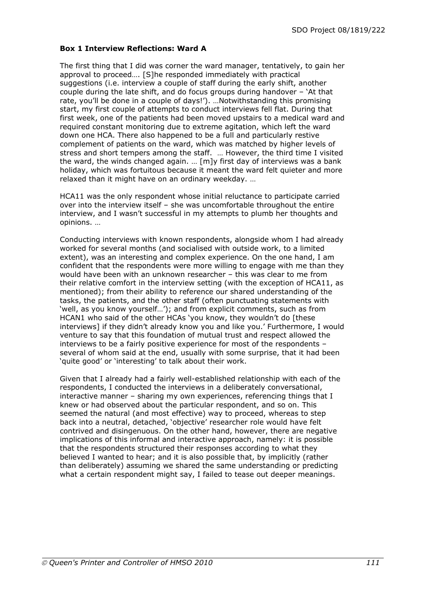#### **Box 1 Interview Reflections: Ward A**

The first thing that I did was corner the ward manager, tentatively, to gain her approval to proceed…. [S]he responded immediately with practical suggestions (i.e. interview a couple of staff during the early shift, another couple during the late shift, and do focus groups during handover – 'At that rate, you'll be done in a couple of days!'). …Notwithstanding this promising start, my first couple of attempts to conduct interviews fell flat. During that first week, one of the patients had been moved upstairs to a medical ward and required constant monitoring due to extreme agitation, which left the ward down one HCA. There also happened to be a full and particularly restive complement of patients on the ward, which was matched by higher levels of stress and short tempers among the staff. … However, the third time I visited the ward, the winds changed again. … [m]y first day of interviews was a bank holiday, which was fortuitous because it meant the ward felt quieter and more relaxed than it might have on an ordinary weekday. …

HCA11 was the only respondent whose initial reluctance to participate carried over into the interview itself – she was uncomfortable throughout the entire interview, and I wasn't successful in my attempts to plumb her thoughts and opinions. …

Conducting interviews with known respondents, alongside whom I had already worked for several months (and socialised with outside work, to a limited extent), was an interesting and complex experience. On the one hand, I am confident that the respondents were more willing to engage with me than they would have been with an unknown researcher – this was clear to me from their relative comfort in the interview setting (with the exception of HCA11, as mentioned); from their ability to reference our shared understanding of the tasks, the patients, and the other staff (often punctuating statements with 'well, as you know yourself…'); and from explicit comments, such as from HCAN1 who said of the other HCAs 'you know, they wouldn't do [these interviews] if they didn't already know you and like you.' Furthermore, I would venture to say that this foundation of mutual trust and respect allowed the interviews to be a fairly positive experience for most of the respondents – several of whom said at the end, usually with some surprise, that it had been 'quite good' or 'interesting' to talk about their work.

Given that I already had a fairly well-established relationship with each of the respondents, I conducted the interviews in a deliberately conversational, interactive manner – sharing my own experiences, referencing things that I knew or had observed about the particular respondent, and so on. This seemed the natural (and most effective) way to proceed, whereas to step back into a neutral, detached, 'objective' researcher role would have felt contrived and disingenuous. On the other hand, however, there are negative implications of this informal and interactive approach, namely: it is possible that the respondents structured their responses according to what they believed I wanted to hear; and it is also possible that, by implicitly (rather than deliberately) assuming we shared the same understanding or predicting what a certain respondent might say, I failed to tease out deeper meanings.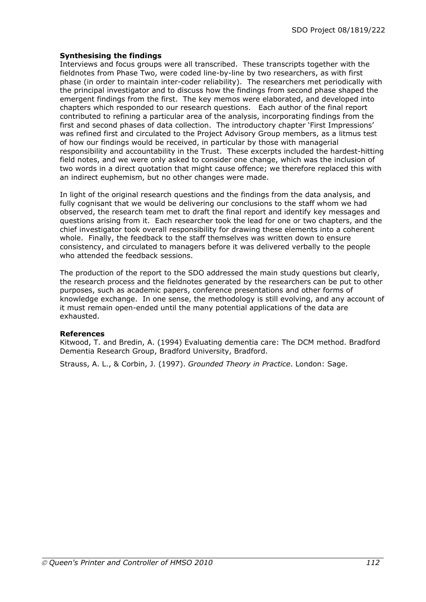## **Synthesising the findings**

Interviews and focus groups were all transcribed. These transcripts together with the fieldnotes from Phase Two, were coded line-by-line by two researchers, as with first phase (in order to maintain inter-coder reliability). The researchers met periodically with the principal investigator and to discuss how the findings from second phase shaped the emergent findings from the first. The key memos were elaborated, and developed into chapters which responded to our research questions. Each author of the final report contributed to refining a particular area of the analysis, incorporating findings from the first and second phases of data collection. The introductory chapter 'First Impressions' was refined first and circulated to the Project Advisory Group members, as a litmus test of how our findings would be received, in particular by those with managerial responsibility and accountability in the Trust. These excerpts included the hardest-hitting field notes, and we were only asked to consider one change, which was the inclusion of two words in a direct quotation that might cause offence; we therefore replaced this with an indirect euphemism, but no other changes were made.

In light of the original research questions and the findings from the data analysis, and fully cognisant that we would be delivering our conclusions to the staff whom we had observed, the research team met to draft the final report and identify key messages and questions arising from it. Each researcher took the lead for one or two chapters, and the chief investigator took overall responsibility for drawing these elements into a coherent whole. Finally, the feedback to the staff themselves was written down to ensure consistency, and circulated to managers before it was delivered verbally to the people who attended the feedback sessions.

The production of the report to the SDO addressed the main study questions but clearly, the research process and the fieldnotes generated by the researchers can be put to other purposes, such as academic papers, conference presentations and other forms of knowledge exchange. In one sense, the methodology is still evolving, and any account of it must remain open-ended until the many potential applications of the data are exhausted.

### **References**

Kitwood, T. and Bredin, A. (1994) Evaluating dementia care: The DCM method. Bradford Dementia Research Group, Bradford University, Bradford.

Strauss, A. L., & Corbin, J. (1997). *Grounded Theory in Practice*. London: Sage.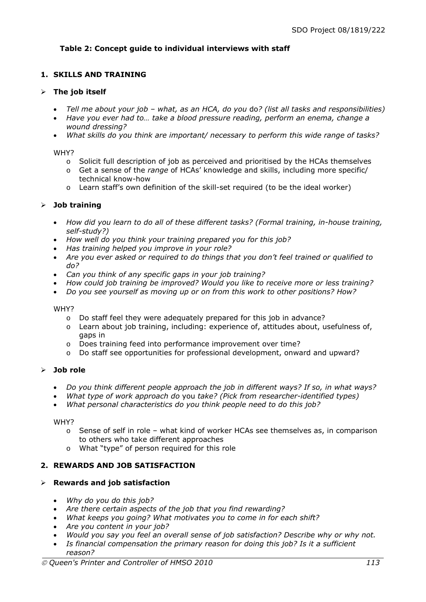## **Table 2: Concept guide to individual interviews with staff**

## **1. SKILLS AND TRAINING**

#### **The job itself**

- *Tell me about your job what, as an HCA, do you* do*? (list all tasks and responsibilities)*
- *Have you ever had to… take a blood pressure reading, perform an enema, change a wound dressing?*
- *What skills do you think are important/ necessary to perform this wide range of tasks?*

#### WHY?

- o Solicit full description of job as perceived and prioritised by the HCAs themselves
- o Get a sense of the *range* of HCAs' knowledge and skills, including more specific/ technical know-how
- o Learn staff's own definition of the skill-set required (to be the ideal worker)

### **Job training**

- *How did you learn to do all of these different tasks? (Formal training, in-house training, self-study?)*
- *How well do you think your training prepared you for this job?*
- *Has training helped you improve in your role?*
- *Are you ever asked or required to do things that you don't feel trained or qualified to do?*
- *Can you think of any specific gaps in your job training?*
- *How could job training be improved? Would you like to receive more or less training?*
- *Do you see yourself as moving up or on from this work to other positions? How?*

#### WHY?

- o Do staff feel they were adequately prepared for this job in advance?
- $\circ$  Learn about job training, including: experience of, attitudes about, usefulness of, gaps in
- o Does training feed into performance improvement over time?
- o Do staff see opportunities for professional development, onward and upward?

### **Job role**

- *Do you think different people approach the job in different ways? If so, in what ways?*
- *What type of work approach do* you *take? (Pick from researcher-identified types)*
- *What personal characteristics do you think people need to do this job?*

#### WHY?

- $\circ$  Sense of self in role what kind of worker HCAs see themselves as, in comparison to others who take different approaches
- o What "type" of person required for this role

### **2. REWARDS AND JOB SATISFACTION**

### **Rewards and job satisfaction**

- *Why do you do this job?*
- *Are there certain aspects of the job that you find rewarding?*
- *What keeps you going? What motivates you to come in for each shift?*
- *Are you content in your job?*
- *Would you say you feel an overall sense of job satisfaction? Describe why or why not.*
- *Is financial compensation the primary reason for doing this job? Is it a sufficient reason?*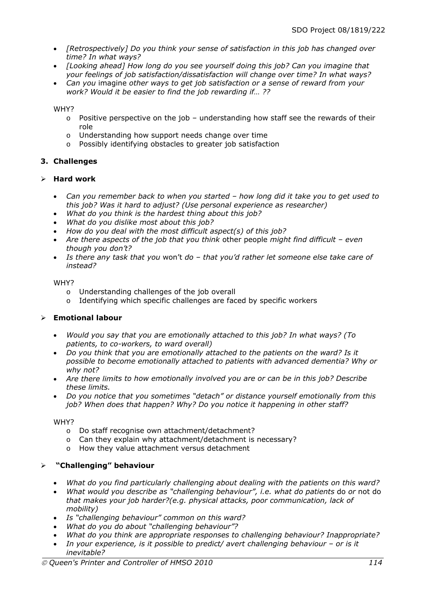- *[Retrospectively] Do you think your sense of satisfaction in this job has changed over time? In what ways?*
- *[Looking ahead] How long do you see yourself doing this job? Can you imagine that your feelings of job satisfaction/dissatisfaction will change over time? In what ways?*
- *Can you* imagine *other ways to get job satisfaction or a sense of reward from your work? Would it be easier to find the job rewarding if… ??*

#### WHY?

- $\circ$  Positive perspective on the job understanding how staff see the rewards of their role
- o Understanding how support needs change over time
- o Possibly identifying obstacles to greater job satisfaction

## **3. Challenges**

### **Hard work**

- *Can you remember back to when you started how long did it take you to get used to this job? Was it hard to adjust? (Use personal experience as researcher)*
- *What do you think is the hardest thing about this job?*
- *What do you dislike most about this job?*
- *How do you deal with the most difficult aspect(s) of this job?*
- *Are there aspects of the job that you think* other people *might find difficult even though you don't?*
- *Is there any task that you* won't *do that you'd rather let someone else take care of instead?*

#### WHY?

- o Understanding challenges of the job overall
- o Identifying which specific challenges are faced by specific workers

## **Emotional labour**

- *Would you say that you are emotionally attached to this job? In what ways? (To patients, to co-workers, to ward overall)*
- *Do you think that you are emotionally attached to the patients on the ward? Is it possible to become emotionally attached to patients with advanced dementia? Why or why not?*
- *Are there limits to how emotionally involved you are or can be in this job? Describe these limits.*
- *Do you notice that you sometimes "detach" or distance yourself emotionally from this job? When does that happen? Why? Do you notice it happening in other staff?*

### WHY?

- o Do staff recognise own attachment/detachment?
- o Can they explain why attachment/detachment is necessary?
- o How they value attachment versus detachment

## **"Challenging" behaviour**

- *What do you find particularly challenging about dealing with the patients on this ward?*
- *What would you describe as "challenging behaviour", i.e. what do patients* do *or* not do *that makes your job harder?(e.g. physical attacks, poor communication, lack of mobility)*
- *Is "challenging behaviour" common on this ward?*
- *What do you do about "challenging behaviour"?*
- *What do you think are appropriate responses to challenging behaviour? Inappropriate?*
- *In your experience, is it possible to predict/ avert challenging behaviour or is it inevitable?*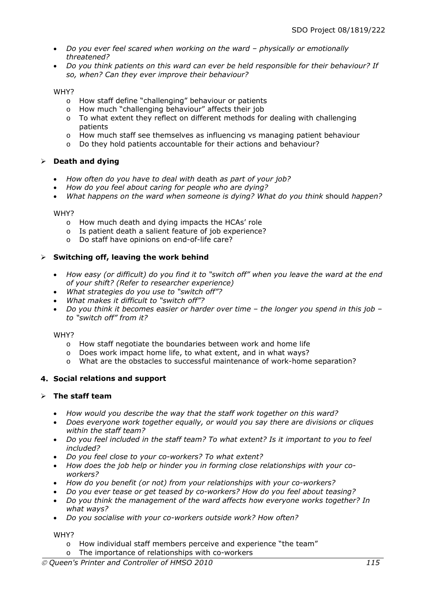- *Do you ever feel scared when working on the ward physically or emotionally threatened?*
- *Do you think patients on this ward can ever be held responsible for their behaviour? If so, when? Can they ever improve their behaviour?*

#### WHY?

- o How staff define "challenging" behaviour or patients
- o How much "challenging behaviour" affects their job
- o To what extent they reflect on different methods for dealing with challenging patients
- o How much staff see themselves as influencing vs managing patient behaviour
- o Do they hold patients accountable for their actions and behaviour?

### **Death and dying**

- *How often do you have to deal with* death *as part of your job?*
- *How do you feel about caring for people who are dying?*
- *What happens on the ward when someone is dying? What do you think* should *happen?*

#### WHY?

- o How much death and dying impacts the HCAs' role
- o Is patient death a salient feature of job experience?
- o Do staff have opinions on end-of-life care?

### **Switching off, leaving the work behind**

- *How easy (or difficult) do you find it to "switch off" when you leave the ward at the end of your shift? (Refer to researcher experience)*
- *What strategies do you use to "switch off"?*
- *What makes it difficult to "switch off"?*
- *Do you think it becomes easier or harder over time the longer you spend in this job to "switch off" from it?*

#### WHY?

- o How staff negotiate the boundaries between work and home life
- o Does work impact home life, to what extent, and in what ways?
- o What are the obstacles to successful maintenance of work-home separation?

### **4. Social relations and support**

### **The staff team**

- *How would you describe the way that the staff work together on this ward?*
- *Does everyone work together equally, or would you say there are divisions or cliques within the staff team?*
- *Do you feel included in the staff team? To what extent? Is it important to you to feel included?*
- *Do you feel close to your co-workers? To what extent?*
- *How does the job help or hinder you in forming close relationships with your coworkers?*
- *How do you benefit (or not) from your relationships with your co-workers?*
- *Do you ever tease or get teased by co-workers? How do you feel about teasing?*
- *Do you think the management of the ward affects how everyone works together? In what ways?*
- *Do you socialise with your co-workers outside work? How often?*

WHY?

- o How individual staff members perceive and experience "the team"
- o The importance of relationships with co-workers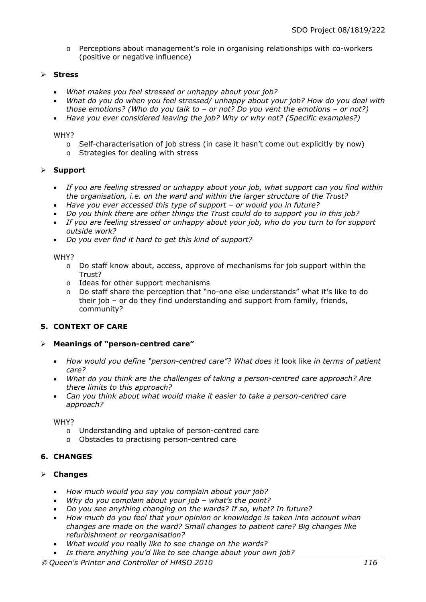o Perceptions about management's role in organising relationships with co-workers (positive or negative influence)

### **Stress**

- *What makes you feel stressed or unhappy about your job?*
- *What do you do when you feel stressed/ unhappy about your job? How do you deal with those emotions? (Who do you talk to – or not? Do you vent the emotions – or not?)*
- *Have you ever considered leaving the job? Why or why not? (Specific examples?)*

WHY?

- o Self-characterisation of job stress (in case it hasn't come out explicitly by now)
- o Strategies for dealing with stress

### **Support**

- *If you are feeling stressed or unhappy about your job, what support can you find within the organisation, i.e. on the ward and within the larger structure of the Trust?*
- *Have you ever accessed this type of support or would you in future?*
- *Do you think there are other things the Trust could do to support you in this job?*
- *If you are feeling stressed or unhappy about your job, who do you turn to for support outside work?*
- *Do you ever find it hard to get this kind of support?*

#### WHY?

- o Do staff know about, access, approve of mechanisms for job support within the Trust?
- o Ideas for other support mechanisms
- o Do staff share the perception that "no-one else understands" what it's like to do their job – or do they find understanding and support from family, friends, community?

### **5. CONTEXT OF CARE**

### **Meanings of "person-centred care"**

- *How would you define "person-centred care"? What does it* look like *in terms of patient care?*
- *What do you think are the challenges of taking a person-centred care approach? Are there limits to this approach?*
- *Can you think about what would make it easier to take a person-centred care approach?*

WHY?

- o Understanding and uptake of person-centred care
- o Obstacles to practising person-centred care

### **6. CHANGES**

## **Changes**

- *How much would you say you complain about your job?*
- *Why do you complain about your job what's the point?*
- *Do you see anything changing on the wards? If so, what? In future?*
- *How much do you feel that your opinion or knowledge is taken into account when changes are made on the ward? Small changes to patient care? Big changes like refurbishment or reorganisation?*
- *What would you* really *like to see change on the wards?*
- *Is there anything you'd like to see change about your own job?*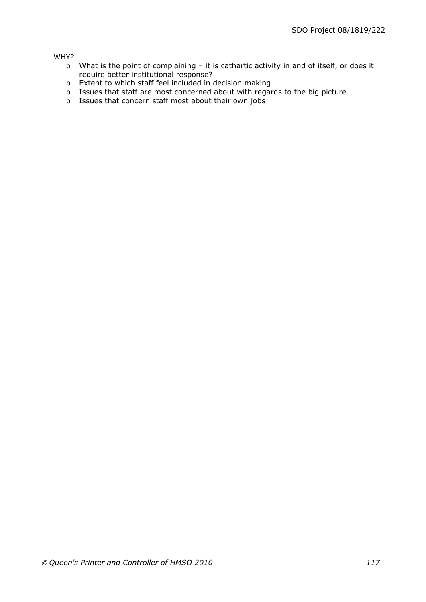#### WHY?

- o What is the point of complaining it is cathartic activity in and of itself, or does it require better institutional response?
- o Extent to which staff feel included in decision making
- o Issues that staff are most concerned about with regards to the big picture
- o Issues that concern staff most about their own jobs